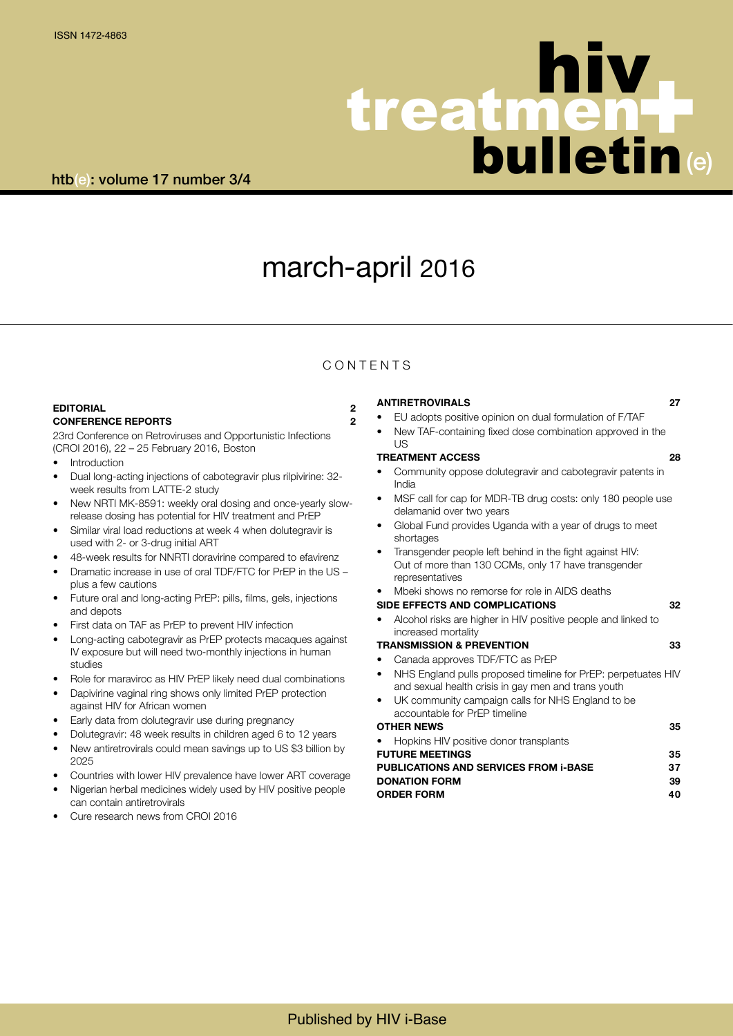# treatmen bulletin |<br>|-<br>| n (e) hiv

# march-april 2016

## **CONTENTS**

### **EDITORIAL 2 CONFERENCE REPORTS 2**

23rd Conference on Retroviruses and Opportunistic Infections (CROI 2016), 22 – 25 February 2016, Boston

- **Introduction**
- Dual long-acting injections of cabotegravir plus rilpivirine: 32 week results from LATTE-2 study
- New NRTI MK-8591: weekly oral dosing and once-yearly slowrelease dosing has potential for HIV treatment and PrEP
- Similar viral load reductions at week 4 when dolutegravir is used with 2- or 3-drug initial ART
- 48-week results for NNRTI doravirine compared to efavirenz
- Dramatic increase in use of oral TDF/FTC for PrEP in the US plus a few cautions
- Future oral and long-acting PrEP: pills, films, gels, injections and depots
- First data on TAF as PrEP to prevent HIV infection
- Long-acting cabotegravir as PrEP protects macaques against IV exposure but will need two-monthly injections in human studies
- Role for maraviroc as HIV PrEP likely need dual combinations
- Dapivirine vaginal ring shows only limited PrEP protection against HIV for African women
- Early data from dolutegravir use during pregnancy
- Dolutegravir: 48 week results in children aged 6 to 12 years
- New antiretrovirals could mean savings up to US \$3 billion by 2025
- Countries with lower HIV prevalence have lower ART coverage
- Nigerian herbal medicines widely used by HIV positive people can contain antiretrovirals
- Cure research news from CROI 2016

## **ANTIRETROVIRALS 27**

- EU adopts positive opinion on dual formulation of F/TAF
- New TAF-containing fixed dose combination approved in the  $|I|$

## **TREATMENT ACCESS 28**

- Community oppose dolutegravir and cabotegravir patents in India
- MSF call for cap for MDR-TB drug costs: only 180 people use delamanid over two years
- Global Fund provides Uganda with a year of drugs to meet shortages
- Transgender people left behind in the fight against HIV: Out of more than 130 CCMs, only 17 have transgender representatives
- Mbeki shows no remorse for role in AIDS deaths

## **SIDE EFFECTS AND COMPLICATIONS 32**

• Alcohol risks are higher in HIV positive people and linked to increased mortality

## **TRANSMISSION & PREVENTION 33**

- Canada approves TDF/FTC as PrEP • NHS England pulls proposed timeline for PrEP: perpetuates HIV and sexual health crisis in gay men and trans youth
- UK community campaign calls for NHS England to be accountable for PrEP timeline

## **OTHER NEWS 35**

• Hopkins HIV positive donor transplants **FUTURE MEETINGS 35 PUBLICATIONS AND SERVICES FROM i-BASE 37 DONATION FORM 39 ORDER FORM 40**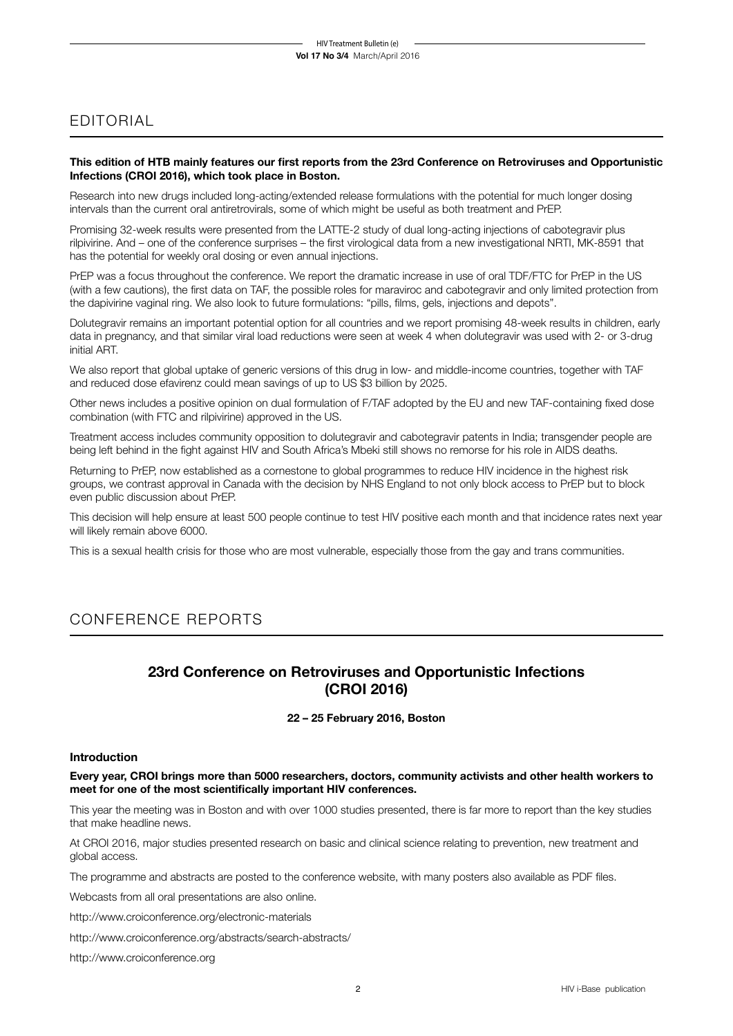## EDITORIAL

## **This edition of HTB mainly features our first reports from the 23rd Conference on Retroviruses and Opportunistic Infections (CROI 2016), which took place in Boston.**

Research into new drugs included long-acting/extended release formulations with the potential for much longer dosing intervals than the current oral antiretrovirals, some of which might be useful as both treatment and PrEP.

Promising 32-week results were presented from the LATTE-2 study of dual long-acting injections of cabotegravir plus rilpivirine. And – one of the conference surprises – the first virological data from a new investigational NRTI, MK-8591 that has the potential for weekly oral dosing or even annual injections.

PrEP was a focus throughout the conference. We report the dramatic increase in use of oral TDF/FTC for PrEP in the US (with a few cautions), the first data on TAF, the possible roles for maraviroc and cabotegravir and only limited protection from the dapivirine vaginal ring. We also look to future formulations: "pills, films, gels, injections and depots".

Dolutegravir remains an important potential option for all countries and we report promising 48-week results in children, early data in pregnancy, and that similar viral load reductions were seen at week 4 when dolutegravir was used with 2- or 3-drug initial ART.

We also report that global uptake of generic versions of this drug in low- and middle-income countries, together with TAF and reduced dose efavirenz could mean savings of up to US \$3 billion by 2025.

Other news includes a positive opinion on dual formulation of F/TAF adopted by the EU and new TAF-containing fixed dose combination (with FTC and rilpivirine) approved in the US.

Treatment access includes community opposition to dolutegravir and cabotegravir patents in India; transgender people are being left behind in the fight against HIV and South Africa's Mbeki still shows no remorse for his role in AIDS deaths.

Returning to PrEP, now established as a cornestone to global programmes to reduce HIV incidence in the highest risk groups, we contrast approval in Canada with the decision by NHS England to not only block access to PrEP but to block even public discussion about PrEP.

This decision will help ensure at least 500 people continue to test HIV positive each month and that incidence rates next year will likely remain above 6000.

This is a sexual health crisis for those who are most vulnerable, especially those from the gay and trans communities.

## CONFERENCE REPORTS

## **23rd Conference on Retroviruses and Opportunistic Infections (CROI 2016)**

## **22 – 25 February 2016, Boston**

## **Introduction**

**Every year, CROI brings more than 5000 researchers, doctors, community activists and other health workers to meet for one of the most scientifically important HIV conferences.** 

This year the meeting was in Boston and with over 1000 studies presented, there is far more to report than the key studies that make headline news.

At CROI 2016, major studies presented research on basic and clinical science relating to prevention, new treatment and global access.

The programme and abstracts are posted to the conference website, with many posters also available as PDF files.

Webcasts from all oral presentations are also online.

http://www.croiconference.org/electronic-materials

http://www.croiconference.org/abstracts/search-abstracts/

http://www.croiconference.org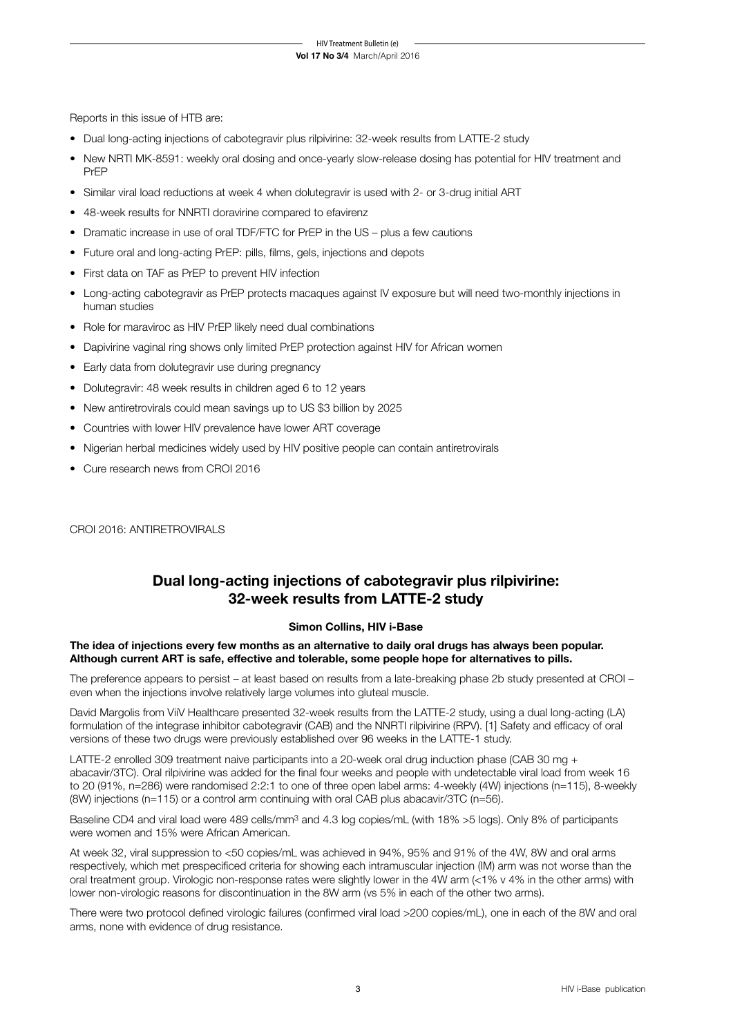Reports in this issue of HTB are:

- Dual long-acting injections of cabotegravir plus rilpivirine: 32-week results from LATTE-2 study
- New NRTI MK-8591: weekly oral dosing and once-yearly slow-release dosing has potential for HIV treatment and PrEP
- Similar viral load reductions at week 4 when dolutegravir is used with 2- or 3-drug initial ART
- 48-week results for NNRTI doravirine compared to efavirenz
- Dramatic increase in use of oral TDF/FTC for PrEP in the US plus a few cautions
- Future oral and long-acting PrEP: pills, films, gels, injections and depots
- First data on TAF as PrEP to prevent HIV infection
- Long-acting cabotegravir as PrEP protects macaques against IV exposure but will need two-monthly injections in human studies
- Role for maraviroc as HIV PrEP likely need dual combinations
- Dapivirine vaginal ring shows only limited PrEP protection against HIV for African women
- Early data from dolutegravir use during pregnancy
- Dolutegravir: 48 week results in children aged 6 to 12 years
- New antiretrovirals could mean savings up to US \$3 billion by 2025
- Countries with lower HIV prevalence have lower ART coverage
- Nigerian herbal medicines widely used by HIV positive people can contain antiretrovirals
- Cure research news from CROI 2016

CROI 2016: ANTIRETROVIRALS

## **Dual long-acting injections of cabotegravir plus rilpivirine: 32-week results from LATTE-2 study**

## **Simon Collins, HIV i-Base**

**The idea of injections every few months as an alternative to daily oral drugs has always been popular. Although current ART is safe, effective and tolerable, some people hope for alternatives to pills.**

The preference appears to persist – at least based on results from a late-breaking phase 2b study presented at CROI – even when the injections involve relatively large volumes into gluteal muscle.

David Margolis from ViiV Healthcare presented 32-week results from the LATTE-2 study, using a dual long-acting (LA) formulation of the integrase inhibitor cabotegravir (CAB) and the NNRTI rilpivirine (RPV). [1] Safety and efficacy of oral versions of these two drugs were previously established over 96 weeks in the LATTE-1 study.

LATTE-2 enrolled 309 treatment naive participants into a 20-week oral drug induction phase (CAB 30 mg + abacavir/3TC). Oral rilpivirine was added for the final four weeks and people with undetectable viral load from week 16 to 20 (91%, n=286) were randomised 2:2:1 to one of three open label arms: 4-weekly (4W) injections (n=115), 8-weekly (8W) injections (n=115) or a control arm continuing with oral CAB plus abacavir/3TC (n=56).

Baseline CD4 and viral load were 489 cells/mm3 and 4.3 log copies/mL (with 18% >5 logs). Only 8% of participants were women and 15% were African American.

At week 32, viral suppression to <50 copies/mL was achieved in 94%, 95% and 91% of the 4W, 8W and oral arms respectively, which met prespecificed criteria for showing each intramuscular injection (IM) arm was not worse than the oral treatment group. Virologic non-response rates were slightly lower in the 4W arm (<1% v 4% in the other arms) with lower non-virologic reasons for discontinuation in the 8W arm (vs 5% in each of the other two arms).

There were two protocol defined virologic failures (confirmed viral load >200 copies/mL), one in each of the 8W and oral arms, none with evidence of drug resistance.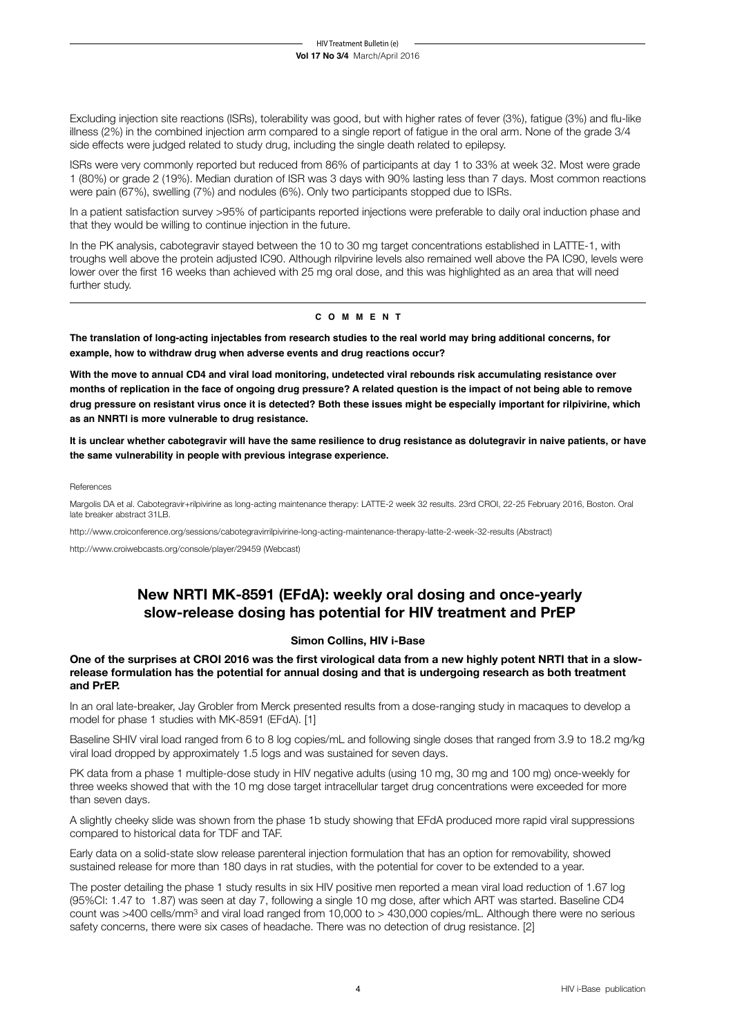Excluding injection site reactions (ISRs), tolerability was good, but with higher rates of fever (3%), fatigue (3%) and flu-like illness (2%) in the combined injection arm compared to a single report of fatigue in the oral arm. None of the grade 3/4 side effects were judged related to study drug, including the single death related to epilepsy.

ISRs were very commonly reported but reduced from 86% of participants at day 1 to 33% at week 32. Most were grade 1 (80%) or grade 2 (19%). Median duration of ISR was 3 days with 90% lasting less than 7 days. Most common reactions were pain (67%), swelling (7%) and nodules (6%). Only two participants stopped due to ISRs.

In a patient satisfaction survey >95% of participants reported injections were preferable to daily oral induction phase and that they would be willing to continue injection in the future.

In the PK analysis, cabotegravir stayed between the 10 to 30 mg target concentrations established in LATTE-1, with troughs well above the protein adjusted IC90. Although rilpvirine levels also remained well above the PA IC90, levels were lower over the first 16 weeks than achieved with 25 mg oral dose, and this was highlighted as an area that will need further study.

### **c o m m e n t**

**The translation of long-acting injectables from research studies to the real world may bring additional concerns, for example, how to withdraw drug when adverse events and drug reactions occur?** 

**With the move to annual CD4 and viral load monitoring, undetected viral rebounds risk accumulating resistance over months of replication in the face of ongoing drug pressure? A related question is the impact of not being able to remove drug pressure on resistant virus once it is detected? Both these issues might be especially important for rilpivirine, which as an NNRTI is more vulnerable to drug resistance.**

**It is unclear whether cabotegravir will have the same resilience to drug resistance as dolutegravir in naive patients, or have the same vulnerability in people with previous integrase experience.**

#### References

Margolis DA et al. Cabotegravir+rilpivirine as long-acting maintenance therapy: LATTE-2 week 32 results. 23rd CROI, 22-25 February 2016, Boston. Oral late breaker abstract 31LB.

http://www.croiconference.org/sessions/cabotegravirrilpivirine-long-acting-maintenance-therapy-latte-2-week-32-results (Abstract)

http://www.croiwebcasts.org/console/player/29459 (Webcast)

## **New NRTI MK-8591 (EFdA): weekly oral dosing and once-yearly slow-release dosing has potential for HIV treatment and PrEP**

## **Simon Collins, HIV i-Base**

### **One of the surprises at CROI 2016 was the first virological data from a new highly potent NRTI that in a slowrelease formulation has the potential for annual dosing and that is undergoing research as both treatment and PrEP.**

In an oral late-breaker, Jay Grobler from Merck presented results from a dose-ranging study in macaques to develop a model for phase 1 studies with MK-8591 (EFdA). [1]

Baseline SHIV viral load ranged from 6 to 8 log copies/mL and following single doses that ranged from 3.9 to 18.2 mg/kg viral load dropped by approximately 1.5 logs and was sustained for seven days.

PK data from a phase 1 multiple-dose study in HIV negative adults (using 10 mg, 30 mg and 100 mg) once-weekly for three weeks showed that with the 10 mg dose target intracellular target drug concentrations were exceeded for more than seven days.

A slightly cheeky slide was shown from the phase 1b study showing that EFdA produced more rapid viral suppressions compared to historical data for TDF and TAF.

Early data on a solid-state slow release parenteral injection formulation that has an option for removability, showed sustained release for more than 180 days in rat studies, with the potential for cover to be extended to a year.

The poster detailing the phase 1 study results in six HIV positive men reported a mean viral load reduction of 1.67 log (95%CI: 1.47 to 1.87) was seen at day 7, following a single 10 mg dose, after which ART was started. Baseline CD4 count was >400 cells/mm3 and viral load ranged from 10,000 to > 430,000 copies/mL. Although there were no serious safety concerns, there were six cases of headache. There was no detection of drug resistance. [2]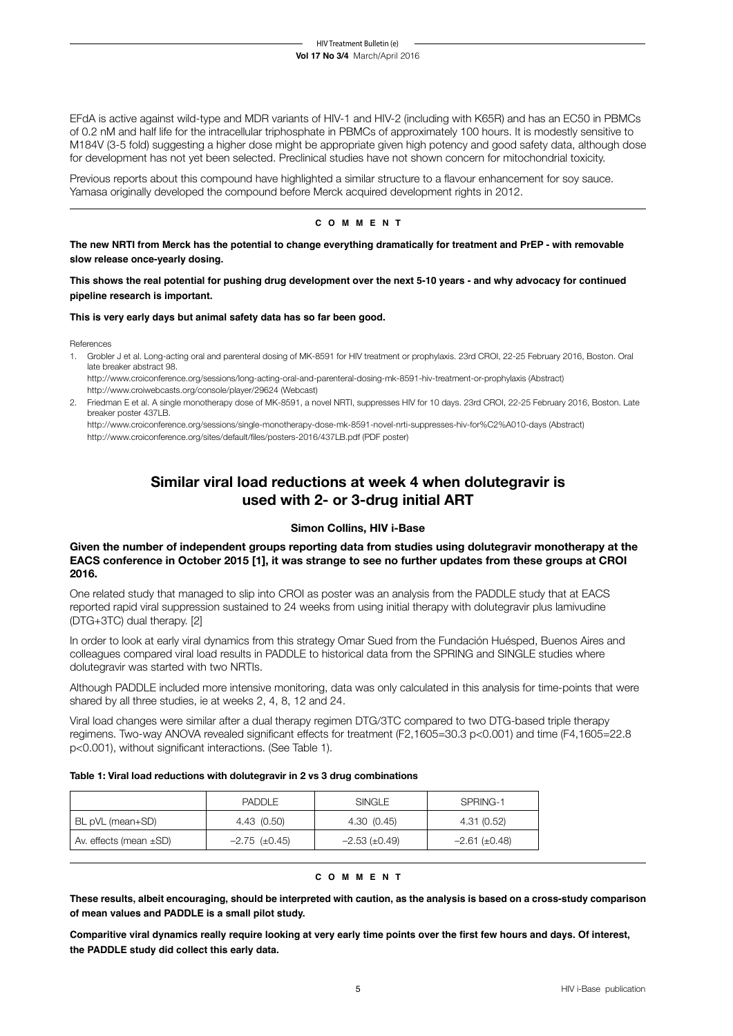EFdA is active against wild-type and MDR variants of HIV-1 and HIV-2 (including with K65R) and has an EC50 in PBMCs of 0.2 nM and half life for the intracellular triphosphate in PBMCs of approximately 100 hours. It is modestly sensitive to M184V (3-5 fold) suggesting a higher dose might be appropriate given high potency and good safety data, although dose for development has not yet been selected. Preclinical studies have not shown concern for mitochondrial toxicity.

Previous reports about this compound have highlighted a similar structure to a flavour enhancement for soy sauce. Yamasa originally developed the compound before Merck acquired development rights in 2012.

## **c o m m e n t**

**The new NRTI from Merck has the potential to change everything dramatically for treatment and PrEP - with removable slow release once-yearly dosing.**

**This shows the real potential for pushing drug development over the next 5-10 years - and why advocacy for continued pipeline research is important.**

### **This is very early days but animal safety data has so far been good.**

References

1. Grobler J et al. Long-acting oral and parenteral dosing of MK-8591 for HIV treatment or prophylaxis. 23rd CROI, 22-25 February 2016, Boston. Oral late breaker abstract 98.

http://www.croiconference.org/sessions/long-acting-oral-and-parenteral-dosing-mk-8591-hiv-treatment-or-prophylaxis (Abstract) http://www.croiwebcasts.org/console/player/29624 (Webcast)

2. Friedman E et al. A single monotherapy dose of MK-8591, a novel NRTI, suppresses HIV for 10 days. 23rd CROI, 22-25 February 2016, Boston. Late breaker poster 437LB

http://www.croiconference.org/sessions/single-monotherapy-dose-mk-8591-novel-nrti-suppresses-hiv-for%C2%A010-days (Abstract) http://www.croiconference.org/sites/default/files/posters-2016/437LB.pdf (PDF poster)

## **Similar viral load reductions at week 4 when dolutegravir is used with 2- or 3-drug initial ART**

## **Simon Collins, HIV i-Base**

## **Given the number of independent groups reporting data from studies using dolutegravir monotherapy at the EACS conference in October 2015 [1], it was strange to see no further updates from these groups at CROI 2016.**

One related study that managed to slip into CROI as poster was an analysis from the PADDLE study that at EACS reported rapid viral suppression sustained to 24 weeks from using initial therapy with dolutegravir plus lamivudine (DTG+3TC) dual therapy. [2]

In order to look at early viral dynamics from this strategy Omar Sued from the Fundación Huésped, Buenos Aires and colleagues compared viral load results in PADDLE to historical data from the SPRING and SINGLE studies where dolutegravir was started with two NRTIs.

Although PADDLE included more intensive monitoring, data was only calculated in this analysis for time-points that were shared by all three studies, ie at weeks 2, 4, 8, 12 and 24.

Viral load changes were similar after a dual therapy regimen DTG/3TC compared to two DTG-based triple therapy regimens. Two-way ANOVA revealed significant effects for treatment (F2,1605=30.3 p<0.001) and time (F4,1605=22.8 p<0.001), without significant interactions. (See Table 1).

#### **Table 1: Viral load reductions with dolutegravir in 2 vs 3 drug combinations**

|                             | <b>PADDLE</b>        | SINGLE               | SPRING-1          |
|-----------------------------|----------------------|----------------------|-------------------|
| BL pVL (mean+SD)            | 4.43 (0.50)          | 4.30 (0.45)          | 4.31(0.52)        |
| Av. effects (mean $\pm$ SD) | $-2.75 \ (\pm 0.45)$ | $-2.53 \ (\pm 0.49)$ | $-2.61(\pm 0.48)$ |

#### **c o m m e n t**

**These results, albeit encouraging, should be interpreted with caution, as the analysis is based on a cross-study comparison of mean values and PADDLE is a small pilot study.** 

**Comparitive viral dynamics really require looking at very early time points over the first few hours and days. Of interest, the PADDLE study did collect this early data.**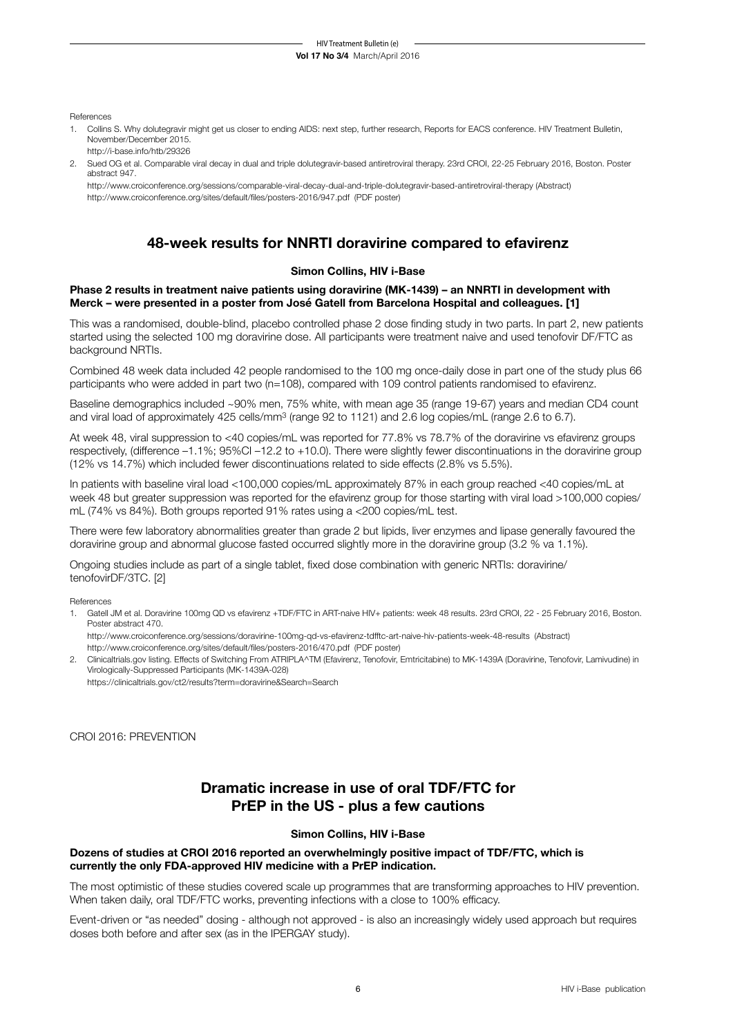References

- 1. Collins S. Why dolutegravir might get us closer to ending AIDS: next step, further research, Reports for EACS conference. HIV Treatment Bulletin, November/December 2015. http://i-base.info/htb/29326
- 2. Sued OG et al. Comparable viral decay in dual and triple dolutegravir-based antiretroviral therapy. 23rd CROI, 22-25 February 2016, Boston. Poster abstract 947.

http://www.croiconference.org/sessions/comparable-viral-decay-dual-and-triple-dolutegravir-based-antiretroviral-therapy (Abstract) http://www.croiconference.org/sites/default/files/posters-2016/947.pdf (PDF poster)

## **48-week results for NNRTI doravirine compared to efavirenz**

## **Simon Collins, HIV i-Base**

## **Phase 2 results in treatment naive patients using doravirine (MK-1439) – an NNRTI in development with Merck – were presented in a poster from José Gatell from Barcelona Hospital and colleagues. [1]**

This was a randomised, double-blind, placebo controlled phase 2 dose finding study in two parts. In part 2, new patients started using the selected 100 mg doravirine dose. All participants were treatment naive and used tenofovir DF/FTC as background NRTIs.

Combined 48 week data included 42 people randomised to the 100 mg once-daily dose in part one of the study plus 66 participants who were added in part two (n=108), compared with 109 control patients randomised to efavirenz.

Baseline demographics included ~90% men, 75% white, with mean age 35 (range 19-67) years and median CD4 count and viral load of approximately 425 cells/mm3 (range 92 to 1121) and 2.6 log copies/mL (range 2.6 to 6.7).

At week 48, viral suppression to <40 copies/mL was reported for 77.8% vs 78.7% of the doravirine vs efavirenz groups respectively, (difference –1.1%; 95%CI –12.2 to +10.0). There were slightly fewer discontinuations in the doravirine group (12% vs 14.7%) which included fewer discontinuations related to side effects (2.8% vs 5.5%).

In patients with baseline viral load <100,000 copies/mL approximately 87% in each group reached <40 copies/mL at week 48 but greater suppression was reported for the efavirenz group for those starting with viral load >100,000 copies/ mL (74% vs 84%). Both groups reported 91% rates using a <200 copies/mL test.

There were few laboratory abnormalities greater than grade 2 but lipids, liver enzymes and lipase generally favoured the doravirine group and abnormal glucose fasted occurred slightly more in the doravirine group (3.2 % va 1.1%).

Ongoing studies include as part of a single tablet, fixed dose combination with generic NRTIs: doravirine/ tenofovirDF/3TC. [2]

References

1. Gatell JM et al. Doravirine 100mg QD vs efavirenz +TDF/FTC in ART-naive HIV+ patients: week 48 results. 23rd CROI, 22 - 25 February 2016, Boston. Poster abstract 470.

http://www.croiconference.org/sessions/doravirine-100mg-qd-vs-efavirenz-tdfftc-art-naive-hiv-patients-week-48-results (Abstract) http://www.croiconference.org/sites/default/files/posters-2016/470.pdf (PDF poster)

2. Clinicaltrials.gov listing. Effects of Switching From ATRIPLA^TM (Efavirenz, Tenofovir, Emtricitabine) to MK-1439A (Doravirine, Tenofovir, Lamivudine) in Virologically-Suppressed Participants (MK-1439A-028) https://clinicaltrials.gov/ct2/results?term=doravirine&Search=Search

CROI 2016: PREVENTION

## **Dramatic increase in use of oral TDF/FTC for PrEP in the US - plus a few cautions**

## **Simon Collins, HIV i-Base**

## **Dozens of studies at CROI 2016 reported an overwhelmingly positive impact of TDF/FTC, which is currently the only FDA-approved HIV medicine with a PrEP indication.**

The most optimistic of these studies covered scale up programmes that are transforming approaches to HIV prevention. When taken daily, oral TDF/FTC works, preventing infections with a close to 100% efficacy.

Event-driven or "as needed" dosing - although not approved - is also an increasingly widely used approach but requires doses both before and after sex (as in the IPERGAY study).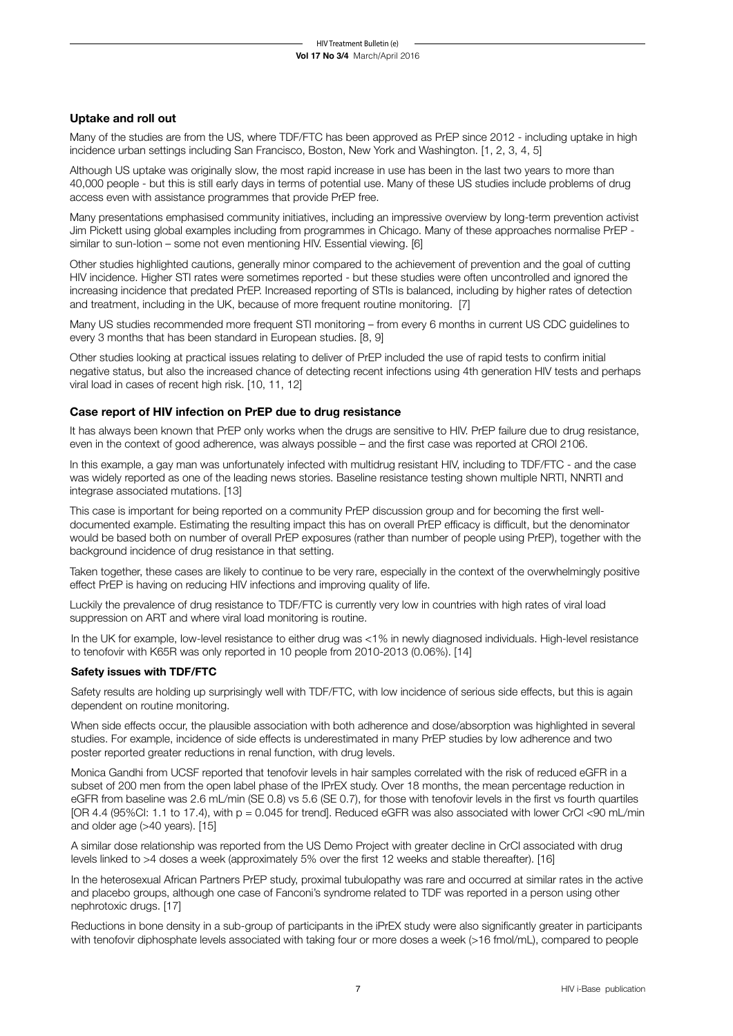## **Uptake and roll out**

Many of the studies are from the US, where TDF/FTC has been approved as PrEP since 2012 - including uptake in high incidence urban settings including San Francisco, Boston, New York and Washington. [1, 2, 3, 4, 5]

Although US uptake was originally slow, the most rapid increase in use has been in the last two years to more than 40,000 people - but this is still early days in terms of potential use. Many of these US studies include problems of drug access even with assistance programmes that provide PrEP free.

Many presentations emphasised community initiatives, including an impressive overview by long-term prevention activist Jim Pickett using global examples including from programmes in Chicago. Many of these approaches normalise PrEP similar to sun-lotion – some not even mentioning HIV. Essential viewing. [6]

Other studies highlighted cautions, generally minor compared to the achievement of prevention and the goal of cutting HIV incidence. Higher STI rates were sometimes reported - but these studies were often uncontrolled and ignored the increasing incidence that predated PrEP. Increased reporting of STIs is balanced, including by higher rates of detection and treatment, including in the UK, because of more frequent routine monitoring. [7]

Many US studies recommended more frequent STI monitoring – from every 6 months in current US CDC guidelines to every 3 months that has been standard in European studies. [8, 9]

Other studies looking at practical issues relating to deliver of PrEP included the use of rapid tests to confirm initial negative status, but also the increased chance of detecting recent infections using 4th generation HIV tests and perhaps viral load in cases of recent high risk. [10, 11, 12]

## **Case report of HIV infection on PrEP due to drug resistance**

It has always been known that PrEP only works when the drugs are sensitive to HIV. PrEP failure due to drug resistance, even in the context of good adherence, was always possible – and the first case was reported at CROI 2106.

In this example, a gay man was unfortunately infected with multidrug resistant HIV, including to TDF/FTC - and the case was widely reported as one of the leading news stories. Baseline resistance testing shown multiple NRTI, NNRTI and integrase associated mutations. [13]

This case is important for being reported on a community PrEP discussion group and for becoming the first welldocumented example. Estimating the resulting impact this has on overall PrEP efficacy is difficult, but the denominator would be based both on number of overall PrEP exposures (rather than number of people using PrEP), together with the background incidence of drug resistance in that setting.

Taken together, these cases are likely to continue to be very rare, especially in the context of the overwhelmingly positive effect PrEP is having on reducing HIV infections and improving quality of life.

Luckily the prevalence of drug resistance to TDF/FTC is currently very low in countries with high rates of viral load suppression on ART and where viral load monitoring is routine.

In the UK for example, low-level resistance to either drug was <1% in newly diagnosed individuals. High-level resistance to tenofovir with K65R was only reported in 10 people from 2010-2013 (0.06%). [14]

## **Safety issues with TDF/FTC**

Safety results are holding up surprisingly well with TDF/FTC, with low incidence of serious side effects, but this is again dependent on routine monitoring.

When side effects occur, the plausible association with both adherence and dose/absorption was highlighted in several studies. For example, incidence of side effects is underestimated in many PrEP studies by low adherence and two poster reported greater reductions in renal function, with drug levels.

Monica Gandhi from UCSF reported that tenofovir levels in hair samples correlated with the risk of reduced eGFR in a subset of 200 men from the open label phase of the IPrEX study. Over 18 months, the mean percentage reduction in eGFR from baseline was 2.6 mL/min (SE 0.8) vs 5.6 (SE 0.7), for those with tenofovir levels in the first vs fourth quartiles [OR 4.4 (95%CI: 1.1 to 17.4), with  $p = 0.045$  for trend]. Reduced eGFR was also associated with lower CrCl <90 mL/min and older age (>40 years). [15]

A similar dose relationship was reported from the US Demo Project with greater decline in CrCl associated with drug levels linked to >4 doses a week (approximately 5% over the first 12 weeks and stable thereafter). [16]

In the heterosexual African Partners PrEP study, proximal tubulopathy was rare and occurred at similar rates in the active and placebo groups, although one case of Fanconi's syndrome related to TDF was reported in a person using other nephrotoxic drugs. [17]

Reductions in bone density in a sub-group of participants in the iPrEX study were also significantly greater in participants with tenofovir diphosphate levels associated with taking four or more doses a week (>16 fmol/mL), compared to people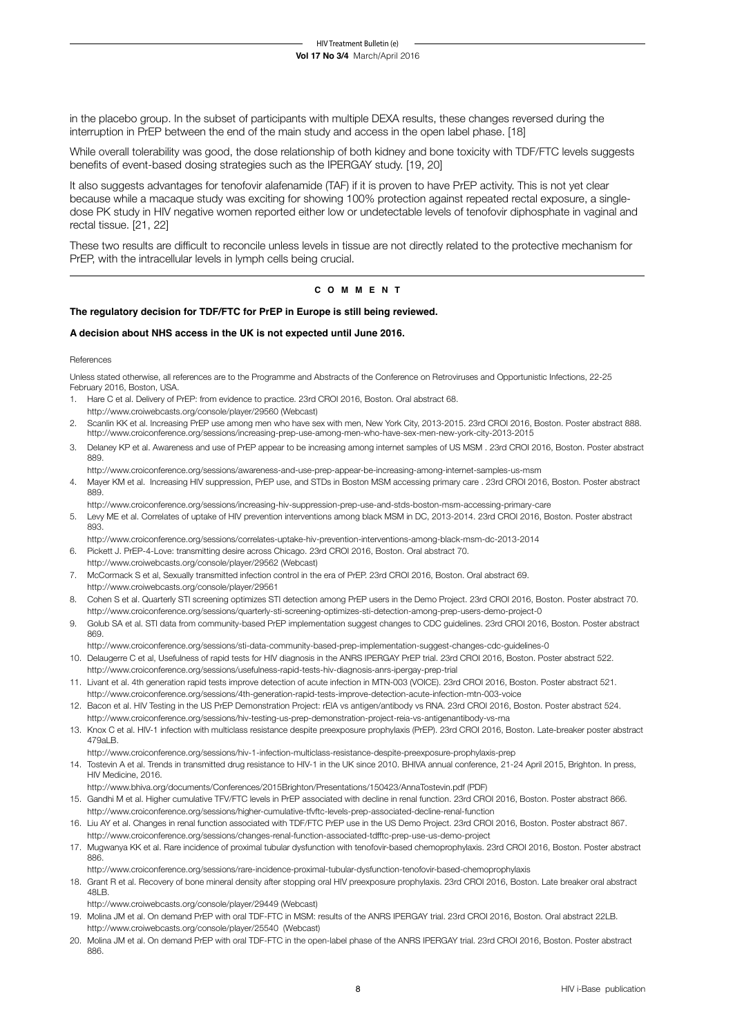in the placebo group. In the subset of participants with multiple DEXA results, these changes reversed during the interruption in PrEP between the end of the main study and access in the open label phase. [18]

While overall tolerability was good, the dose relationship of both kidney and bone toxicity with TDF/FTC levels suggests benefits of event-based dosing strategies such as the IPERGAY study. [19, 20]

It also suggests advantages for tenofovir alafenamide (TAF) if it is proven to have PrEP activity. This is not yet clear because while a macaque study was exciting for showing 100% protection against repeated rectal exposure, a singledose PK study in HIV negative women reported either low or undetectable levels of tenofovir diphosphate in vaginal and rectal tissue. [21, 22]

These two results are difficult to reconcile unless levels in tissue are not directly related to the protective mechanism for PrEP, with the intracellular levels in lymph cells being crucial.

## **c o m m e n t**

#### **The regulatory decision for TDF/FTC for PrEP in Europe is still being reviewed.**

#### **A decision about NHS access in the UK is not expected until June 2016.**

References

Unless stated otherwise, all references are to the Programme and Abstracts of the Conference on Retroviruses and Opportunistic Infections, 22-25 February 2016, Boston, USA.

- 1. Hare C et al. Delivery of PrEP: from evidence to practice. 23rd CROI 2016, Boston. Oral abstract 68. http://www.croiwebcasts.org/console/player/29560 (Webcast)
- 2. Scanlin KK et al. Increasing PrEP use among men who have sex with men, New York City, 2013-2015. 23rd CROI 2016, Boston. Poster abstract 888. http://www.croiconference.org/sessions/increasing-prep-use-among-men-who-have-sex-men-new-york-city-2013-2015
- 3. Delaney KP et al. Awareness and use of PrEP appear to be increasing among internet samples of US MSM . 23rd CROI 2016, Boston. Poster abstract 880
- http://www.croiconference.org/sessions/awareness-and-use-prep-appear-be-increasing-among-internet-samples-us-msm 4. Mayer KM et al. Increasing HIV suppression, PrEP use, and STDs in Boston MSM accessing primary care . 23rd CROI 2016, Boston. Poster abstract 889.

http://www.croiconference.org/sessions/increasing-hiv-suppression-prep-use-and-stds-boston-msm-accessing-primary-care

- 5. Levy ME et al. Correlates of uptake of HIV prevention interventions among black MSM in DC, 2013-2014. 23rd CROI 2016, Boston. Poster abstract 893.
- http://www.croiconference.org/sessions/correlates-uptake-hiv-prevention-interventions-among-black-msm-dc-2013-2014

6. Pickett J. PrEP-4-Love: transmitting desire across Chicago. 23rd CROI 2016, Boston. Oral abstract 70.

http://www.croiwebcasts.org/console/player/29562 (Webcast)

- 7. McCormack S et al, Sexually transmitted infection control in the era of PrEP. 23rd CROI 2016, Boston. Oral abstract 69. http://www.croiwebcasts.org/console/player/29561
- 8. Cohen S et al. Quarterly STI screening optimizes STI detection among PrEP users in the Demo Project. 23rd CROI 2016, Boston. Poster abstract 70. http://www.croiconference.org/sessions/quarterly-sti-screening-optimizes-sti-detection-among-prep-users-demo-project-0
- 9. Golub SA et al. STI data from community-based PrEP implementation suggest changes to CDC guidelines. 23rd CROI 2016, Boston. Poster abstract 869.

http://www.croiconference.org/sessions/sti-data-community-based-prep-implementation-suggest-changes-cdc-guidelines-0

10. Delaugerre C et al, Usefulness of rapid tests for HIV diagnosis in the ANRS IPERGAY PrEP trial. 23rd CROI 2016, Boston. Poster abstract 522.

http://www.croiconference.org/sessions/usefulness-rapid-tests-hiv-diagnosis-anrs-ipergay-prep-trial

- 11. Livant et al. 4th generation rapid tests improve detection of acute infection in MTN-003 (VOICE). 23rd CROI 2016, Boston. Poster abstract 521. http://www.croiconference.org/sessions/4th-generation-rapid-tests-improve-detection-acute-infection-mtn-003-voice
- 12. Bacon et al. HIV Testing in the US PrEP Demonstration Project: rEIA vs antigen/antibody vs RNA. 23rd CROI 2016, Boston. Poster abstract 524. http://www.croiconference.org/sessions/hiv-testing-us-prep-demonstration-project-reia-vs-antigenantibody-vs-rna
- 13. Knox C et al. HIV-1 infection with multiclass resistance despite preexposure prophylaxis (PrEP). 23rd CROI 2016, Boston. Late-breaker poster abstract 479aLB.

http://www.croiconference.org/sessions/hiv-1-infection-multiclass-resistance-despite-preexposure-prophylaxis-prep

14. Tostevin A et al. Trends in transmitted drug resistance to HIV-1 in the UK since 2010. BHIVA annual conference, 21-24 April 2015, Brighton. In press, HIV Medicine, 2016.

http://www.bhiva.org/documents/Conferences/2015Brighton/Presentations/150423/AnnaTostevin.pdf (PDF)

- 15. Gandhi M et al. Higher cumulative TFV/FTC levels in PrEP associated with decline in renal function. 23rd CROI 2016, Boston. Poster abstract 866. http://www.croiconference.org/sessions/higher-cumulative-tfvftc-levels-prep-associated-decline-renal-function
- 16. Liu AY et al. Changes in renal function associated with TDF/FTC PrEP use in the US Demo Project. 23rd CROI 2016, Boston. Poster abstract 867. http://www.croiconference.org/sessions/changes-renal-function-associated-tdfftc-prep-use-us-demo-project
- 17. Mugwanya KK et al. Rare incidence of proximal tubular dysfunction with tenofovir-based chemoprophylaxis. 23rd CROI 2016, Boston. Poster abstract 886.
- http://www.croiconference.org/sessions/rare-incidence-proximal-tubular-dysfunction-tenofovir-based-chemoprophylaxis 18. Grant R et al. Recovery of bone mineral density after stopping oral HIV preexposure prophylaxis. 23rd CROI 2016, Boston. Late breaker oral abstract 48LB.

http://www.croiwebcasts.org/console/player/29449 (Webcast)

- 19. Molina JM et al. On demand PrEP with oral TDF-FTC in MSM: results of the ANRS IPERGAY trial. 23rd CROI 2016, Boston. Oral abstract 22LB. http://www.croiwebcasts.org/console/player/25540 (Webcast)
- 20. Molina JM et al. On demand PrEP with oral TDF-FTC in the open-label phase of the ANRS IPERGAY trial. 23rd CROI 2016, Boston. Poster abstract 886.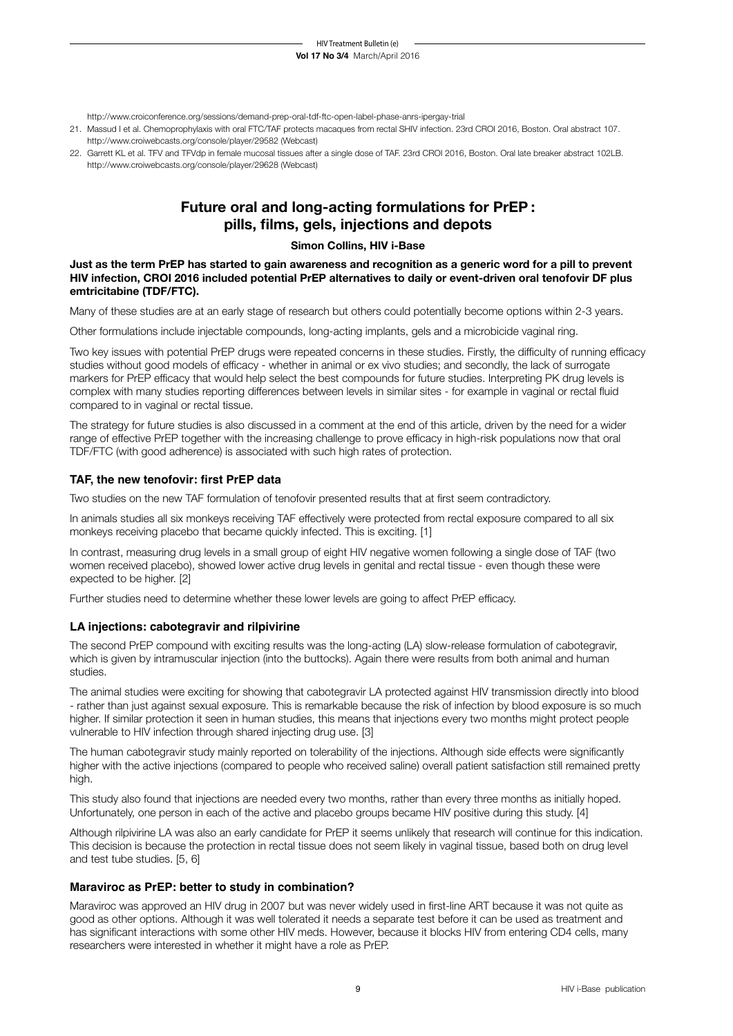http://www.croiconference.org/sessions/demand-prep-oral-tdf-ftc-open-label-phase-anrs-ipergay-trial

- 21. Massud I et al. Chemoprophylaxis with oral FTC/TAF protects macaques from rectal SHIV infection. 23rd CROI 2016, Boston. Oral abstract 107. http://www.croiwebcasts.org/console/player/29582 (Webcast)
- 22. Garrett KL et al. TFV and TFVdp in female mucosal tissues after a single dose of TAF. 23rd CROI 2016, Boston. Oral late breaker abstract 102LB. http://www.croiwebcasts.org/console/player/29628 (Webcast)

## **Future oral and long-acting formulations for PrEP : pills, films, gels, injections and depots**

## **Simon Collins, HIV i-Base**

**Just as the term PrEP has started to gain awareness and recognition as a generic word for a pill to prevent HIV infection, CROI 2016 included potential PrEP alternatives to daily or event-driven oral tenofovir DF plus emtricitabine (TDF/FTC).**

Many of these studies are at an early stage of research but others could potentially become options within 2-3 years.

Other formulations include injectable compounds, long-acting implants, gels and a microbicide vaginal ring.

Two key issues with potential PrEP drugs were repeated concerns in these studies. Firstly, the difficulty of running efficacy studies without good models of efficacy - whether in animal or ex vivo studies; and secondly, the lack of surrogate markers for PrEP efficacy that would help select the best compounds for future studies. Interpreting PK drug levels is complex with many studies reporting differences between levels in similar sites - for example in vaginal or rectal fluid compared to in vaginal or rectal tissue.

The strategy for future studies is also discussed in a comment at the end of this article, driven by the need for a wider range of effective PrEP together with the increasing challenge to prove efficacy in high-risk populations now that oral TDF/FTC (with good adherence) is associated with such high rates of protection.

## **TAF, the new tenofovir: first PrEP data**

Two studies on the new TAF formulation of tenofovir presented results that at first seem contradictory.

In animals studies all six monkeys receiving TAF effectively were protected from rectal exposure compared to all six monkeys receiving placebo that became quickly infected. This is exciting. [1]

In contrast, measuring drug levels in a small group of eight HIV negative women following a single dose of TAF (two women received placebo), showed lower active drug levels in genital and rectal tissue - even though these were expected to be higher. [2]

Further studies need to determine whether these lower levels are going to affect PrEP efficacy.

## **LA injections: cabotegravir and rilpivirine**

The second PrEP compound with exciting results was the long-acting (LA) slow-release formulation of cabotegravir, which is given by intramuscular injection (into the buttocks). Again there were results from both animal and human studies.

The animal studies were exciting for showing that cabotegravir LA protected against HIV transmission directly into blood - rather than just against sexual exposure. This is remarkable because the risk of infection by blood exposure is so much higher. If similar protection it seen in human studies, this means that injections every two months might protect people vulnerable to HIV infection through shared injecting drug use. [3]

The human cabotegravir study mainly reported on tolerability of the injections. Although side effects were significantly higher with the active injections (compared to people who received saline) overall patient satisfaction still remained pretty high.

This study also found that injections are needed every two months, rather than every three months as initially hoped. Unfortunately, one person in each of the active and placebo groups became HIV positive during this study. [4]

Although rilpivirine LA was also an early candidate for PrEP it seems unlikely that research will continue for this indication. This decision is because the protection in rectal tissue does not seem likely in vaginal tissue, based both on drug level and test tube studies. [5, 6]

## **Maraviroc as PrEP: better to study in combination?**

Maraviroc was approved an HIV drug in 2007 but was never widely used in first-line ART because it was not quite as good as other options. Although it was well tolerated it needs a separate test before it can be used as treatment and has significant interactions with some other HIV meds. However, because it blocks HIV from entering CD4 cells, many researchers were interested in whether it might have a role as PrEP.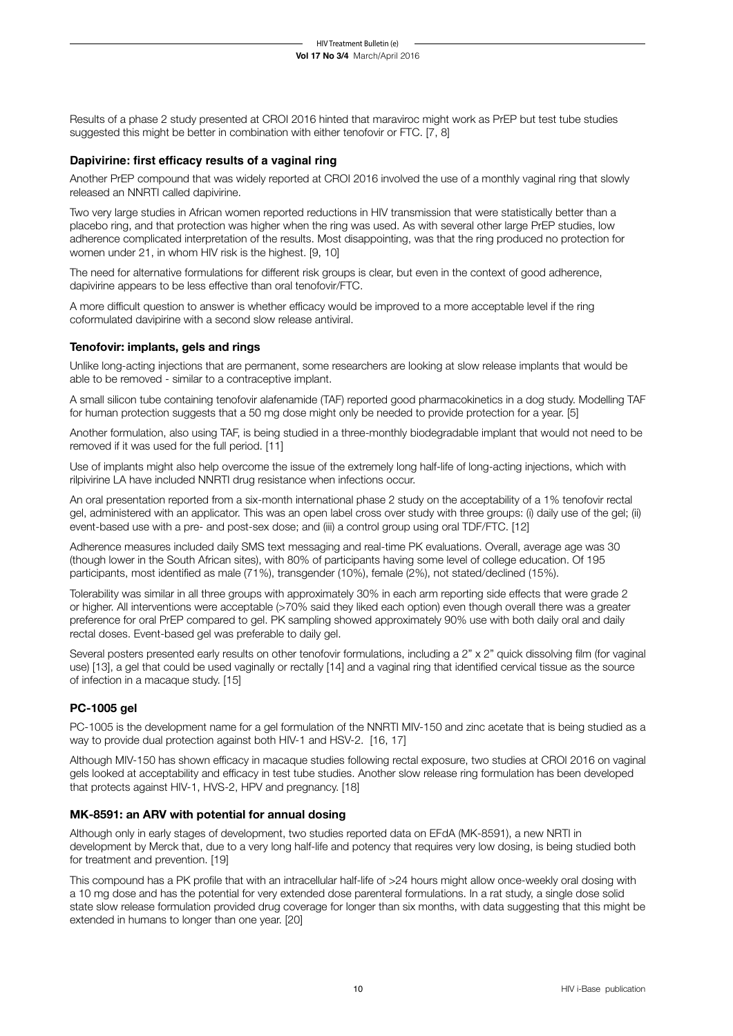Results of a phase 2 study presented at CROI 2016 hinted that maraviroc might work as PrEP but test tube studies suggested this might be better in combination with either tenofovir or FTC. [7, 8]

## **Dapivirine: first efficacy results of a vaginal ring**

Another PrEP compound that was widely reported at CROI 2016 involved the use of a monthly vaginal ring that slowly released an NNRTI called dapivirine.

Two very large studies in African women reported reductions in HIV transmission that were statistically better than a placebo ring, and that protection was higher when the ring was used. As with several other large PrEP studies, low adherence complicated interpretation of the results. Most disappointing, was that the ring produced no protection for women under 21, in whom HIV risk is the highest. [9, 10]

The need for alternative formulations for different risk groups is clear, but even in the context of good adherence, dapivirine appears to be less effective than oral tenofovir/FTC.

A more difficult question to answer is whether efficacy would be improved to a more acceptable level if the ring coformulated davipirine with a second slow release antiviral.

## **Tenofovir: implants, gels and rings**

Unlike long-acting injections that are permanent, some researchers are looking at slow release implants that would be able to be removed - similar to a contraceptive implant.

A small silicon tube containing tenofovir alafenamide (TAF) reported good pharmacokinetics in a dog study. Modelling TAF for human protection suggests that a 50 mg dose might only be needed to provide protection for a year. [5]

Another formulation, also using TAF, is being studied in a three-monthly biodegradable implant that would not need to be removed if it was used for the full period. [11]

Use of implants might also help overcome the issue of the extremely long half-life of long-acting injections, which with rilpivirine LA have included NNRTI drug resistance when infections occur.

An oral presentation reported from a six-month international phase 2 study on the acceptability of a 1% tenofovir rectal gel, administered with an applicator. This was an open label cross over study with three groups: (i) daily use of the gel; (ii) event-based use with a pre- and post-sex dose; and (iii) a control group using oral TDF/FTC. [12]

Adherence measures included daily SMS text messaging and real-time PK evaluations. Overall, average age was 30 (though lower in the South African sites), with 80% of participants having some level of college education. Of 195 participants, most identified as male (71%), transgender (10%), female (2%), not stated/declined (15%).

Tolerability was similar in all three groups with approximately 30% in each arm reporting side effects that were grade 2 or higher. All interventions were acceptable (>70% said they liked each option) even though overall there was a greater preference for oral PrEP compared to gel. PK sampling showed approximately 90% use with both daily oral and daily rectal doses. Event-based gel was preferable to daily gel.

Several posters presented early results on other tenofovir formulations, including a 2" x 2" quick dissolving film (for vaginal use) [13], a gel that could be used vaginally or rectally [14] and a vaginal ring that identified cervical tissue as the source of infection in a macaque study. [15]

## **PC-1005 gel**

PC-1005 is the development name for a gel formulation of the NNRTI MIV-150 and zinc acetate that is being studied as a way to provide dual protection against both HIV-1 and HSV-2. [16, 17]

Although MIV-150 has shown efficacy in macaque studies following rectal exposure, two studies at CROI 2016 on vaginal gels looked at acceptability and efficacy in test tube studies. Another slow release ring formulation has been developed that protects against HIV-1, HVS-2, HPV and pregnancy. [18]

## **MK-8591: an ARV with potential for annual dosing**

Although only in early stages of development, two studies reported data on EFdA (MK-8591), a new NRTI in development by Merck that, due to a very long half-life and potency that requires very low dosing, is being studied both for treatment and prevention. [19]

This compound has a PK profile that with an intracellular half-life of >24 hours might allow once-weekly oral dosing with a 10 mg dose and has the potential for very extended dose parenteral formulations. In a rat study, a single dose solid state slow release formulation provided drug coverage for longer than six months, with data suggesting that this might be extended in humans to longer than one year. [20]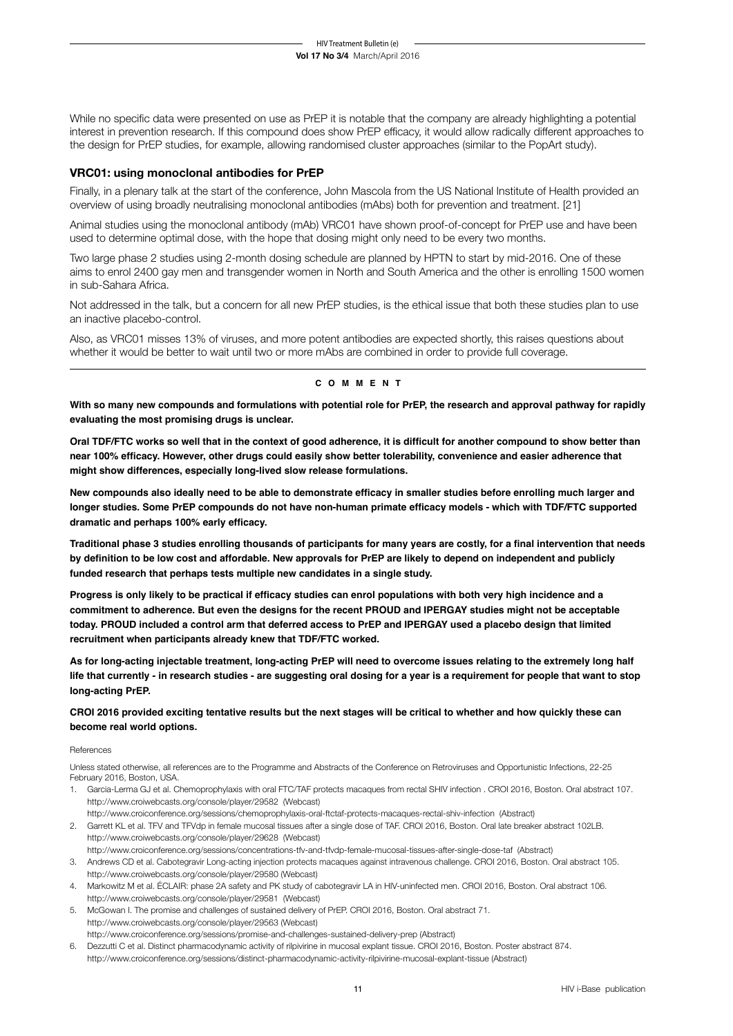While no specific data were presented on use as PrEP it is notable that the company are already highlighting a potential interest in prevention research. If this compound does show PrEP efficacy, it would allow radically different approaches to the design for PrEP studies, for example, allowing randomised cluster approaches (similar to the PopArt study).

## **VRC01: using monoclonal antibodies for PrEP**

Finally, in a plenary talk at the start of the conference, John Mascola from the US National Institute of Health provided an overview of using broadly neutralising monoclonal antibodies (mAbs) both for prevention and treatment. [21]

Animal studies using the monoclonal antibody (mAb) VRC01 have shown proof-of-concept for PrEP use and have been used to determine optimal dose, with the hope that dosing might only need to be every two months.

Two large phase 2 studies using 2-month dosing schedule are planned by HPTN to start by mid-2016. One of these aims to enrol 2400 gay men and transgender women in North and South America and the other is enrolling 1500 women in sub-Sahara Africa.

Not addressed in the talk, but a concern for all new PrEP studies, is the ethical issue that both these studies plan to use an inactive placebo-control.

Also, as VRC01 misses 13% of viruses, and more potent antibodies are expected shortly, this raises questions about whether it would be better to wait until two or more mAbs are combined in order to provide full coverage.

### **c o m m e n t**

**With so many new compounds and formulations with potential role for PrEP, the research and approval pathway for rapidly evaluating the most promising drugs is unclear.**

**Oral TDF/FTC works so well that in the context of good adherence, it is difficult for another compound to show better than near 100% efficacy. However, other drugs could easily show better tolerability, convenience and easier adherence that might show differences, especially long-lived slow release formulations.**

**New compounds also ideally need to be able to demonstrate efficacy in smaller studies before enrolling much larger and longer studies. Some PrEP compounds do not have non-human primate efficacy models - which with TDF/FTC supported dramatic and perhaps 100% early efficacy.**

**Traditional phase 3 studies enrolling thousands of participants for many years are costly, for a final intervention that needs by definition to be low cost and affordable. New approvals for PrEP are likely to depend on independent and publicly funded research that perhaps tests multiple new candidates in a single study.**

**Progress is only likely to be practical if efficacy studies can enrol populations with both very high incidence and a commitment to adherence. But even the designs for the recent PROUD and IPERGAY studies might not be acceptable today. PROUD included a control arm that deferred access to PrEP and IPERGAY used a placebo design that limited recruitment when participants already knew that TDF/FTC worked.**

**As for long-acting injectable treatment, long-acting PrEP will need to overcome issues relating to the extremely long half life that currently - in research studies - are suggesting oral dosing for a year is a requirement for people that want to stop long-acting PrEP.**

## **CROI 2016 provided exciting tentative results but the next stages will be critical to whether and how quickly these can become real world options.**

#### References

Unless stated otherwise, all references are to the Programme and Abstracts of the Conference on Retroviruses and Opportunistic Infections, 22-25 February 2016, Boston, USA.

- 1. Garcia-Lerma GJ et al. Chemoprophylaxis with oral FTC/TAF protects macaques from rectal SHIV infection . CROI 2016, Boston. Oral abstract 107. http://www.croiwebcasts.org/console/player/29582 (Webcast) http://www.croiconference.org/sessions/chemoprophylaxis-oral-ftctaf-protects-macaques-rectal-shiv-infection (Abstract)
- 2. Garrett KL et al. TFV and TFVdp in female mucosal tissues after a single dose of TAF. CROI 2016, Boston. Oral late breaker abstract 102LB. http://www.croiwebcasts.org/console/player/29628 (Webcast)
- http://www.croiconference.org/sessions/concentrations-tfv-and-tfvdp-female-mucosal-tissues-after-single-dose-taf (Abstract) 3. Andrews CD et al. Cabotegravir Long-acting injection protects macaques against intravenous challenge. CROI 2016, Boston. Oral abstract 105. http://www.croiwebcasts.org/console/player/29580 (Webcast)
- 4. Markowitz M et al. ÉCLAIR: phase 2A safety and PK study of cabotegravir LA in HIV-uninfected men. CROI 2016, Boston. Oral abstract 106. http://www.croiwebcasts.org/console/player/29581 (Webcast)
- 5. McGowan I. The promise and challenges of sustained delivery of PrEP. CROI 2016, Boston. Oral abstract 71. http://www.croiwebcasts.org/console/player/29563 (Webcast) http://www.croiconference.org/sessions/promise-and-challenges-sustained-delivery-prep (Abstract)
- 6. Dezzutti C et al. Distinct pharmacodynamic activity of rilpivirine in mucosal explant tissue. CROI 2016, Boston. Poster abstract 874. http://www.croiconference.org/sessions/distinct-pharmacodynamic-activity-rilpivirine-mucosal-explant-tissue (Abstract)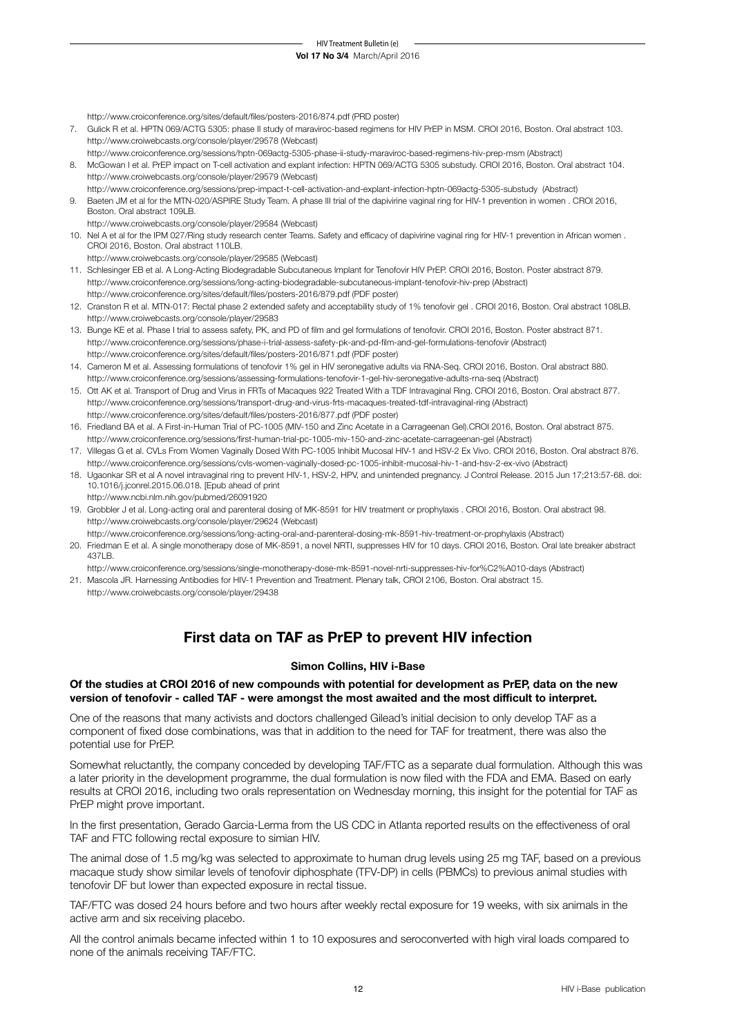http://www.croiconference.org/sites/default/files/posters-2016/874.pdf (PRD poster)

- 7. Gulick R et al. HPTN 069/ACTG 5305: phase II study of maraviroc-based regimens for HIV PrEP in MSM. CROI 2016, Boston. Oral abstract 103. http://www.croiwebcasts.org/console/player/29578 (Webcast)
- http://www.croiconference.org/sessions/hptn-069actg-5305-phase-ii-study-maraviroc-based-regimens-hiv-prep-msm (Abstract) 8. McGowan I et al. PrEP impact on T-cell activation and explant infection: HPTN 069/ACTG 5305 substudy. CROI 2016, Boston. Oral abstract 104. http://www.croiwebcasts.org/console/player/29579 (Webcast)
- http://www.croiconference.org/sessions/prep-impact-t-cell-activation-and-explant-infection-hptn-069actg-5305-substudy (Abstract) 9. Baeten JM et al for the MTN-020/ASPIRE Study Team. A phase III trial of the dapivirine vaginal ring for HIV-1 prevention in women . CROI 2016, Boston. Oral abstract 109LB.
- http://www.croiwebcasts.org/console/player/29584 (Webcast) 10. Nel A et al for the IPM 027/Ring study research center Teams. Safety and efficacy of dapivirine vaginal ring for HIV-1 prevention in African women . CROI 2016, Boston. Oral abstract 110LB.
- http://www.croiwebcasts.org/console/player/29585 (Webcast)
- 11. Schlesinger EB et al. A Long-Acting Biodegradable Subcutaneous Implant for Tenofovir HIV PrEP. CROI 2016, Boston. Poster abstract 879. http://www.croiconference.org/sessions/long-acting-biodegradable-subcutaneous-implant-tenofovir-hiv-prep (Abstract) http://www.croiconference.org/sites/default/files/posters-2016/879.pdf (PDF poster)
- 12. Cranston R et al. MTN-017: Rectal phase 2 extended safety and acceptability study of 1% tenofovir gel . CROI 2016, Boston. Oral abstract 108LB. http://www.croiwebcasts.org/console/player/29583
- 13. Bunge KE et al. Phase I trial to assess safety, PK, and PD of film and gel formulations of tenofovir. CROI 2016, Boston. Poster abstract 871. http://www.croiconference.org/sessions/phase-i-trial-assess-safety-pk-and-pd-film-and-gel-formulations-tenofovir (Abstract) http://www.croiconference.org/sites/default/files/posters-2016/871.pdf (PDF poster)
- 14. Cameron M et al. Assessing formulations of tenofovir 1% gel in HIV seronegative adults via RNA-Seq. CROI 2016, Boston. Oral abstract 880. http://www.croiconference.org/sessions/assessing-formulations-tenofovir-1-gel-hiv-seronegative-adults-rna-seq (Abstract)
- 15. Ott AK et al. Transport of Drug and Virus in FRTs of Macaques 922 Treated With a TDF Intravaginal Ring. CROI 2016, Boston. Oral abstract 877. http://www.croiconference.org/sessions/transport-drug-and-virus-frts-macaques-treated-tdf-intravaginal-ring (Abstract) http://www.croiconference.org/sites/default/files/posters-2016/877.pdf (PDF poster)
- 16. Friedland BA et al. A First-in-Human Trial of PC-1005 (MIV-150 and Zinc Acetate in a Carrageenan Gel).CROI 2016, Boston. Oral abstract 875. http://www.croiconference.org/sessions/first-human-trial-pc-1005-miv-150-and-zinc-acetate-carrageenan-gel (Abstract)
- 17. Villegas G et al. CVLs From Women Vaginally Dosed With PC-1005 Inhibit Mucosal HIV-1 and HSV-2 Ex Vivo. CROI 2016, Boston. Oral abstract 876. http://www.croiconference.org/sessions/cvls-women-vaginally-dosed-pc-1005-inhibit-mucosal-hiv-1-and-hsv-2-ex-vivo (Abstract)
- 18. Ugaonkar SR et al A novel intravaginal ring to prevent HIV-1, HSV-2, HPV, and unintended pregnancy. J Control Release. 2015 Jun 17;213:57-68. doi: 10.1016/j.jconrel.2015.06.018. [Epub ahead of print http://www.ncbi.nlm.nih.gov/pubmed/26091920
- 19. Grobbler J et al. Long-acting oral and parenteral dosing of MK-8591 for HIV treatment or prophylaxis . CROI 2016, Boston. Oral abstract 98. http://www.croiwebcasts.org/console/player/29624 (Webcast)
	- http://www.croiconference.org/sessions/long-acting-oral-and-parenteral-dosing-mk-8591-hiv-treatment-or-prophylaxis (Abstract)
- 20. Friedman E et al. A single monotherapy dose of MK-8591, a novel NRTI, suppresses HIV for 10 days. CROI 2016, Boston. Oral late breaker abstract 437LB.

http://www.croiconference.org/sessions/single-monotherapy-dose-mk-8591-novel-nrti-suppresses-hiv-for%C2%A010-days (Abstract)

21. Mascola JR. Harnessing Antibodies for HIV-1 Prevention and Treatment. Plenary talk, CROI 2106, Boston. Oral abstract 15. http://www.croiwebcasts.org/console/player/29438

## **First data on TAF as PrEP to prevent HIV infection**

#### **Simon Collins, HIV i-Base**

## **Of the studies at CROI 2016 of new compounds with potential for development as PrEP, data on the new version of tenofovir - called TAF - were amongst the most awaited and the most difficult to interpret.**

One of the reasons that many activists and doctors challenged Gilead's initial decision to only develop TAF as a component of fixed dose combinations, was that in addition to the need for TAF for treatment, there was also the potential use for PrEP.

Somewhat reluctantly, the company conceded by developing TAF/FTC as a separate dual formulation. Although this was a later priority in the development programme, the dual formulation is now filed with the FDA and EMA. Based on early results at CROI 2016, including two orals representation on Wednesday morning, this insight for the potential for TAF as PrEP might prove important.

In the first presentation, Gerado Garcia-Lerma from the US CDC in Atlanta reported results on the effectiveness of oral TAF and FTC following rectal exposure to simian HIV.

The animal dose of 1.5 mg/kg was selected to approximate to human drug levels using 25 mg TAF, based on a previous macaque study show similar levels of tenofovir diphosphate (TFV-DP) in cells (PBMCs) to previous animal studies with tenofovir DF but lower than expected exposure in rectal tissue.

TAF/FTC was dosed 24 hours before and two hours after weekly rectal exposure for 19 weeks, with six animals in the active arm and six receiving placebo.

All the control animals became infected within 1 to 10 exposures and seroconverted with high viral loads compared to none of the animals receiving TAF/FTC.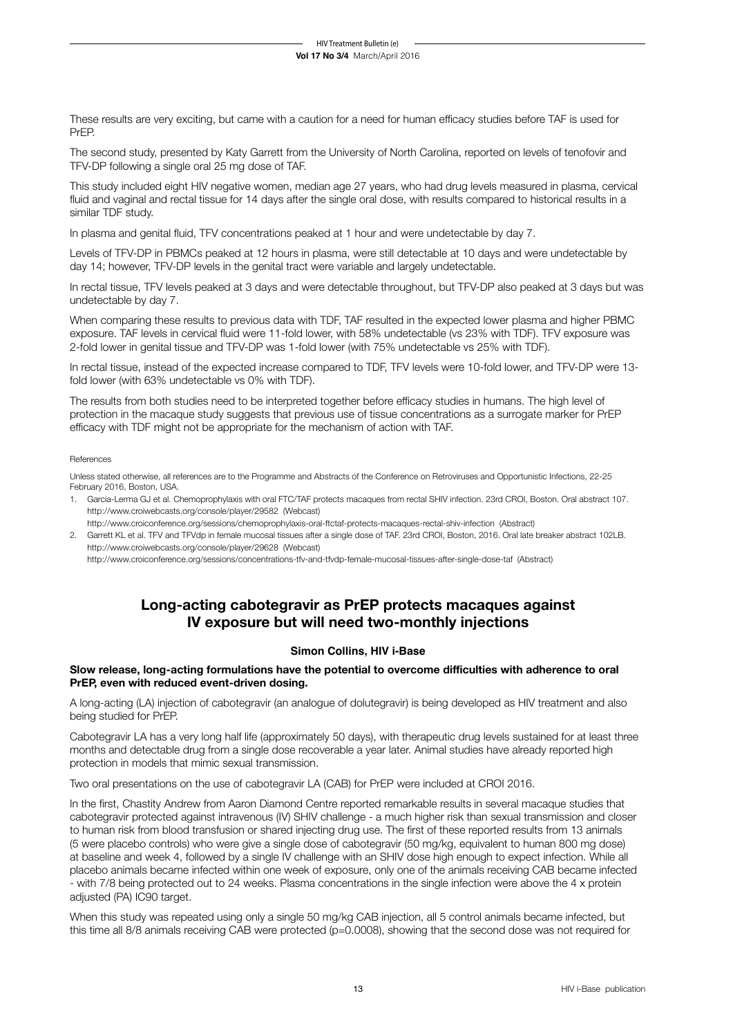These results are very exciting, but came with a caution for a need for human efficacy studies before TAF is used for PrEP.

The second study, presented by Katy Garrett from the University of North Carolina, reported on levels of tenofovir and TFV-DP following a single oral 25 mg dose of TAF.

This study included eight HIV negative women, median age 27 years, who had drug levels measured in plasma, cervical fluid and vaginal and rectal tissue for 14 days after the single oral dose, with results compared to historical results in a similar TDF study.

In plasma and genital fluid, TFV concentrations peaked at 1 hour and were undetectable by day 7.

Levels of TFV-DP in PBMCs peaked at 12 hours in plasma, were still detectable at 10 days and were undetectable by day 14; however, TFV-DP levels in the genital tract were variable and largely undetectable.

In rectal tissue, TFV levels peaked at 3 days and were detectable throughout, but TFV-DP also peaked at 3 days but was undetectable by day 7.

When comparing these results to previous data with TDF, TAF resulted in the expected lower plasma and higher PBMC exposure. TAF levels in cervical fluid were 11-fold lower, with 58% undetectable (vs 23% with TDF). TFV exposure was 2-fold lower in genital tissue and TFV-DP was 1-fold lower (with 75% undetectable vs 25% with TDF).

In rectal tissue, instead of the expected increase compared to TDF, TFV levels were 10-fold lower, and TFV-DP were 13 fold lower (with 63% undetectable vs 0% with TDF).

The results from both studies need to be interpreted together before efficacy studies in humans. The high level of protection in the macaque study suggests that previous use of tissue concentrations as a surrogate marker for PrEP efficacy with TDF might not be appropriate for the mechanism of action with TAF.

#### References

Unless stated otherwise, all references are to the Programme and Abstracts of the Conference on Retroviruses and Opportunistic Infections, 22-25 February 2016, Boston, USA.

- 1. Garcia-Lerma GJ et al. Chemoprophylaxis with oral FTC/TAF protects macaques from rectal SHIV infection. 23rd CROI, Boston. Oral abstract 107. http://www.croiwebcasts.org/console/player/29582 (Webcast)
- http://www.croiconference.org/sessions/chemoprophylaxis-oral-ftctaf-protects-macaques-rectal-shiv-infection (Abstract) 2. Garrett KL et al. TFV and TFVdp in female mucosal tissues after a single dose of TAF. 23rd CROI, Boston, 2016. Oral late breaker abstract 102LB. http://www.croiwebcasts.org/console/player/29628 (Webcast)

http://www.croiconference.org/sessions/concentrations-tfv-and-tfvdp-female-mucosal-tissues-after-single-dose-taf (Abstract)

## **Long-acting cabotegravir as PrEP protects macaques against IV exposure but will need two-monthly injections**

## **Simon Collins, HIV i-Base**

## **Slow release, long-acting formulations have the potential to overcome difficulties with adherence to oral PrEP, even with reduced event-driven dosing.**

A long-acting (LA) injection of cabotegravir (an analogue of dolutegravir) is being developed as HIV treatment and also being studied for PrEP.

Cabotegravir LA has a very long half life (approximately 50 days), with therapeutic drug levels sustained for at least three months and detectable drug from a single dose recoverable a year later. Animal studies have already reported high protection in models that mimic sexual transmission.

Two oral presentations on the use of cabotegravir LA (CAB) for PrEP were included at CROI 2016.

In the first, Chastity Andrew from Aaron Diamond Centre reported remarkable results in several macaque studies that cabotegravir protected against intravenous (IV) SHIV challenge - a much higher risk than sexual transmission and closer to human risk from blood transfusion or shared injecting drug use. The first of these reported results from 13 animals (5 were placebo controls) who were give a single dose of cabotegravir (50 mg/kg, equivalent to human 800 mg dose) at baseline and week 4, followed by a single IV challenge with an SHIV dose high enough to expect infection. While all placebo animals became infected within one week of exposure, only one of the animals receiving CAB became infected - with 7/8 being protected out to 24 weeks. Plasma concentrations in the single infection were above the 4 x protein adiusted (PA) IC90 target.

When this study was repeated using only a single 50 mg/kg CAB injection, all 5 control animals became infected, but this time all 8/8 animals receiving CAB were protected (p=0.0008), showing that the second dose was not required for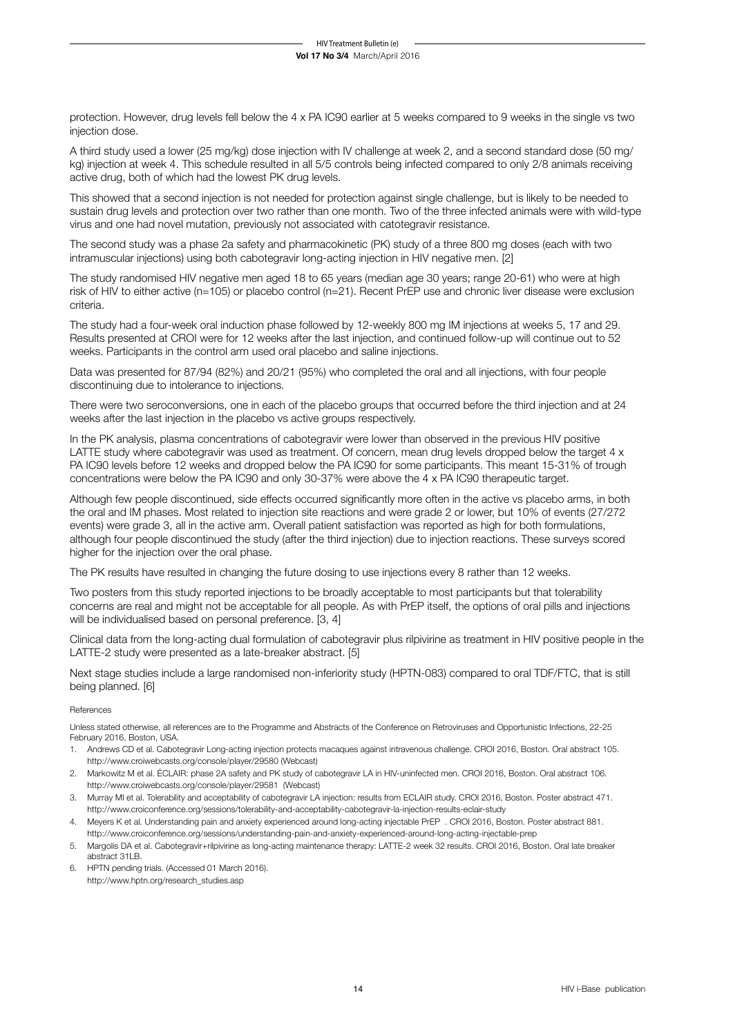protection. However, drug levels fell below the 4 x PA IC90 earlier at 5 weeks compared to 9 weeks in the single vs two injection dose.

A third study used a lower (25 mg/kg) dose injection with IV challenge at week 2, and a second standard dose (50 mg/ kg) injection at week 4. This schedule resulted in all 5/5 controls being infected compared to only 2/8 animals receiving active drug, both of which had the lowest PK drug levels.

This showed that a second injection is not needed for protection against single challenge, but is likely to be needed to sustain drug levels and protection over two rather than one month. Two of the three infected animals were with wild-type virus and one had novel mutation, previously not associated with catotegravir resistance.

The second study was a phase 2a safety and pharmacokinetic (PK) study of a three 800 mg doses (each with two intramuscular injections) using both cabotegravir long-acting injection in HIV negative men. [2]

The study randomised HIV negative men aged 18 to 65 years (median age 30 years; range 20-61) who were at high risk of HIV to either active (n=105) or placebo control (n=21). Recent PrEP use and chronic liver disease were exclusion criteria.

The study had a four-week oral induction phase followed by 12-weekly 800 mg IM injections at weeks 5, 17 and 29. Results presented at CROI were for 12 weeks after the last injection, and continued follow-up will continue out to 52 weeks. Participants in the control arm used oral placebo and saline injections.

Data was presented for 87/94 (82%) and 20/21 (95%) who completed the oral and all injections, with four people discontinuing due to intolerance to injections.

There were two seroconversions, one in each of the placebo groups that occurred before the third injection and at 24 weeks after the last injection in the placebo vs active groups respectively.

In the PK analysis, plasma concentrations of cabotegravir were lower than observed in the previous HIV positive LATTE study where cabotegravir was used as treatment. Of concern, mean drug levels dropped below the target 4 x PA IC90 levels before 12 weeks and dropped below the PA IC90 for some participants. This meant 15-31% of trough concentrations were below the PA IC90 and only 30-37% were above the 4 x PA IC90 therapeutic target.

Although few people discontinued, side effects occurred significantly more often in the active vs placebo arms, in both the oral and IM phases. Most related to injection site reactions and were grade 2 or lower, but 10% of events (27/272 events) were grade 3, all in the active arm. Overall patient satisfaction was reported as high for both formulations, although four people discontinued the study (after the third injection) due to injection reactions. These surveys scored higher for the injection over the oral phase.

The PK results have resulted in changing the future dosing to use injections every 8 rather than 12 weeks.

Two posters from this study reported injections to be broadly acceptable to most participants but that tolerability concerns are real and might not be acceptable for all people. As with PrEP itself, the options of oral pills and injections will be individualised based on personal preference. [3, 4]

Clinical data from the long-acting dual formulation of cabotegravir plus rilpivirine as treatment in HIV positive people in the LATTE-2 study were presented as a late-breaker abstract. [5]

Next stage studies include a large randomised non-inferiority study (HPTN-083) compared to oral TDF/FTC, that is still being planned. [6]

#### **References**

Unless stated otherwise, all references are to the Programme and Abstracts of the Conference on Retroviruses and Opportunistic Infections, 22-25 February 2016, Boston, USA.

- 1. Andrews CD et al. Cabotegravir Long-acting injection protects macaques against intravenous challenge. CROI 2016, Boston. Oral abstract 105. http://www.croiwebcasts.org/console/player/29580 (Webcast)
- 2. Markowitz M et al. ÉCLAIR: phase 2A safety and PK study of cabotegravir LA in HIV-uninfected men. CROI 2016, Boston. Oral abstract 106. http://www.croiwebcasts.org/console/player/29581 (Webcast)
- 3. Murray MI et al. Tolerability and acceptability of cabotegravir LA injection: results from ECLAIR study. CROI 2016, Boston. Poster abstract 471. http://www.croiconference.org/sessions/tolerability-and-acceptability-cabotegravir-la-injection-results-eclair-study
- 4. Meyers K et al. Understanding pain and anxiety experienced around long-acting injectable PrEP . CROI 2016, Boston. Poster abstract 881. http://www.croiconference.org/sessions/understanding-pain-and-anxiety-experienced-around-long-acting-injectable-prep
- 5. Margolis DA et al. Cabotegravir+rilpivirine as long-acting maintenance therapy: LATTE-2 week 32 results. CROI 2016, Boston. Oral late breaker abstract 31LB.
- 6. HPTN pending trials. (Accessed 01 March 2016). http://www.hptn.org/research\_studies.asp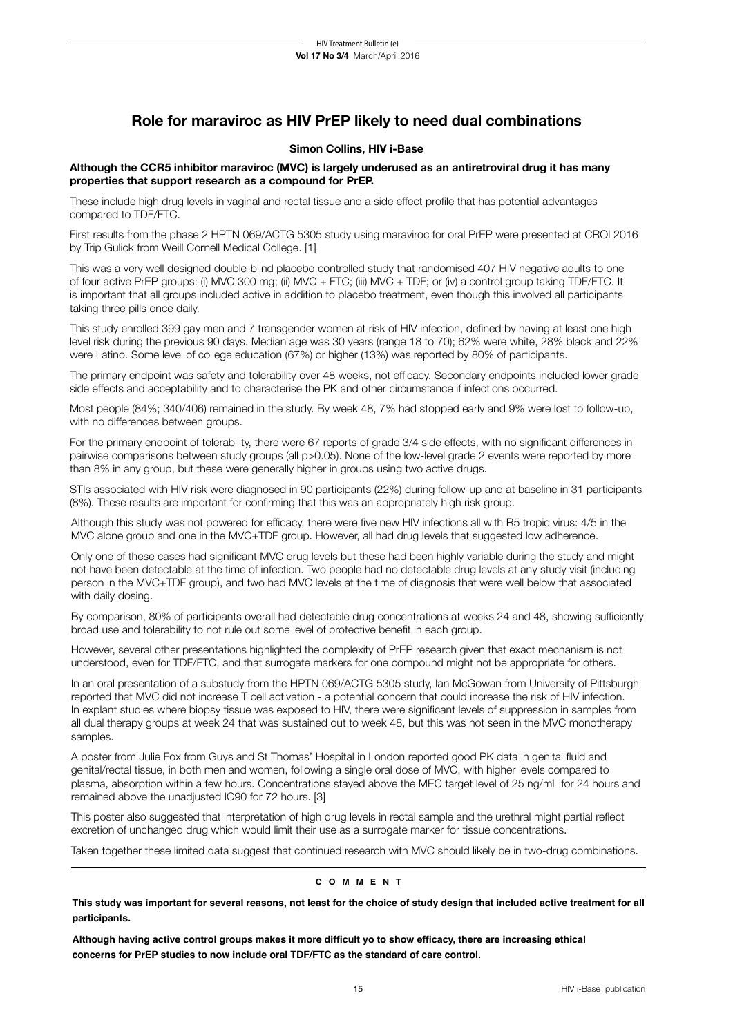## **Role for maraviroc as HIV PrEP likely to need dual combinations**

## **Simon Collins, HIV i-Base**

## **Although the CCR5 inhibitor maraviroc (MVC) is largely underused as an antiretroviral drug it has many properties that support research as a compound for PrEP.**

These include high drug levels in vaginal and rectal tissue and a side effect profile that has potential advantages compared to TDF/FTC.

First results from the phase 2 HPTN 069/ACTG 5305 study using maraviroc for oral PrEP were presented at CROI 2016 by Trip Gulick from Weill Cornell Medical College. [1]

This was a very well designed double-blind placebo controlled study that randomised 407 HIV negative adults to one of four active PrEP groups: (i) MVC 300 mg; (ii) MVC + FTC; (iii) MVC + TDF; or (iv) a control group taking TDF/FTC. It is important that all groups included active in addition to placebo treatment, even though this involved all participants taking three pills once daily.

This study enrolled 399 gay men and 7 transgender women at risk of HIV infection, defined by having at least one high level risk during the previous 90 days. Median age was 30 years (range 18 to 70); 62% were white, 28% black and 22% were Latino. Some level of college education (67%) or higher (13%) was reported by 80% of participants.

The primary endpoint was safety and tolerability over 48 weeks, not efficacy. Secondary endpoints included lower grade side effects and acceptability and to characterise the PK and other circumstance if infections occurred.

Most people (84%; 340/406) remained in the study. By week 48, 7% had stopped early and 9% were lost to follow-up, with no differences between groups.

For the primary endpoint of tolerability, there were 67 reports of grade 3/4 side effects, with no significant differences in pairwise comparisons between study groups (all p>0.05). None of the low-level grade 2 events were reported by more than 8% in any group, but these were generally higher in groups using two active drugs.

STIs associated with HIV risk were diagnosed in 90 participants (22%) during follow-up and at baseline in 31 participants (8%). These results are important for confirming that this was an appropriately high risk group.

Although this study was not powered for efficacy, there were five new HIV infections all with R5 tropic virus: 4/5 in the MVC alone group and one in the MVC+TDF group. However, all had drug levels that suggested low adherence.

Only one of these cases had significant MVC drug levels but these had been highly variable during the study and might not have been detectable at the time of infection. Two people had no detectable drug levels at any study visit (including person in the MVC+TDF group), and two had MVC levels at the time of diagnosis that were well below that associated with daily dosing.

By comparison, 80% of participants overall had detectable drug concentrations at weeks 24 and 48, showing sufficiently broad use and tolerability to not rule out some level of protective benefit in each group.

However, several other presentations highlighted the complexity of PrEP research given that exact mechanism is not understood, even for TDF/FTC, and that surrogate markers for one compound might not be appropriate for others.

In an oral presentation of a substudy from the HPTN 069/ACTG 5305 study, Ian McGowan from University of Pittsburgh reported that MVC did not increase T cell activation - a potential concern that could increase the risk of HIV infection. In explant studies where biopsy tissue was exposed to HIV, there were significant levels of suppression in samples from all dual therapy groups at week 24 that was sustained out to week 48, but this was not seen in the MVC monotherapy samples.

A poster from Julie Fox from Guys and St Thomas' Hospital in London reported good PK data in genital fluid and genital/rectal tissue, in both men and women, following a single oral dose of MVC, with higher levels compared to plasma, absorption within a few hours. Concentrations stayed above the MEC target level of 25 ng/mL for 24 hours and remained above the unadjusted IC90 for 72 hours. [3]

This poster also suggested that interpretation of high drug levels in rectal sample and the urethral might partial reflect excretion of unchanged drug which would limit their use as a surrogate marker for tissue concentrations.

Taken together these limited data suggest that continued research with MVC should likely be in two-drug combinations.

## **c o m m e n t**

**This study was important for several reasons, not least for the choice of study design that included active treatment for all participants.**

**Although having active control groups makes it more difficult yo to show efficacy, there are increasing ethical concerns for PrEP studies to now include oral TDF/FTC as the standard of care control.**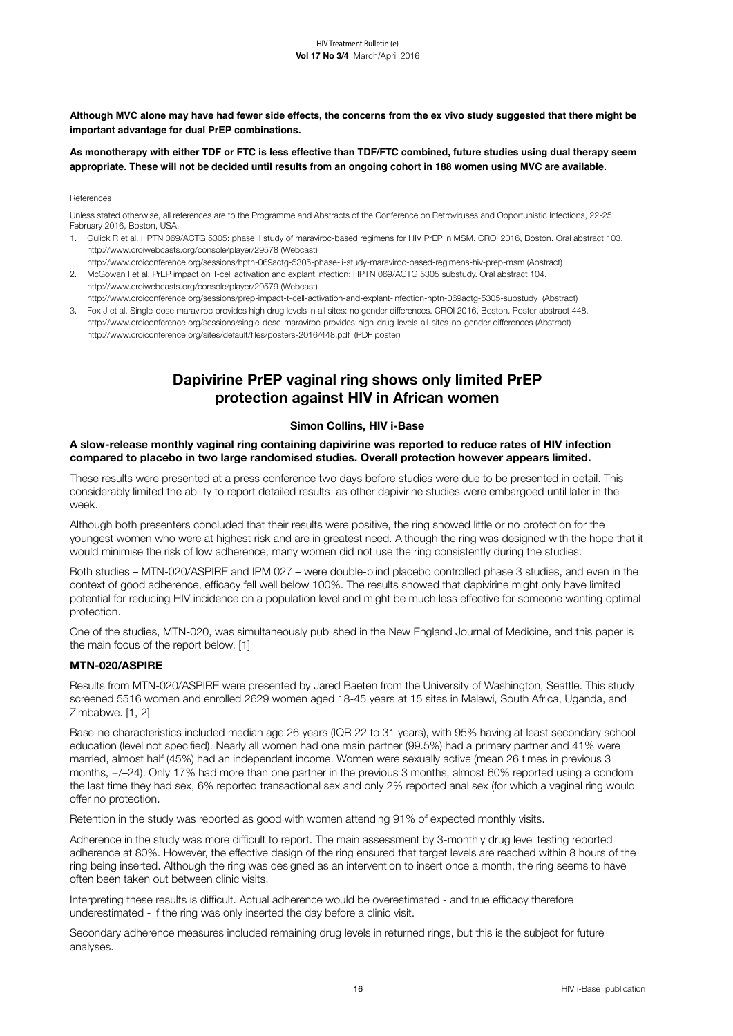**Although MVC alone may have had fewer side effects, the concerns from the ex vivo study suggested that there might be important advantage for dual PrEP combinations.**

**As monotherapy with either TDF or FTC is less effective than TDF/FTC combined, future studies using dual therapy seem appropriate. These will not be decided until results from an ongoing cohort in 188 women using MVC are available.**

#### **References**

Unless stated otherwise, all references are to the Programme and Abstracts of the Conference on Retroviruses and Opportunistic Infections, 22-25 February 2016, Boston, USA.

- 1. Gulick R et al. HPTN 069/ACTG 5305: phase II study of maraviroc-based regimens for HIV PrEP in MSM. CROI 2016, Boston. Oral abstract 103. http://www.croiwebcasts.org/console/player/29578 (Webcast)
- http://www.croiconference.org/sessions/hptn-069actg-5305-phase-ii-study-maraviroc-based-regimens-hiv-prep-msm (Abstract) 2. McGowan I et al. PrEP impact on T-cell activation and explant infection: HPTN 069/ACTG 5305 substudy. Oral abstract 104. http://www.croiwebcasts.org/console/player/29579 (Webcast)
- http://www.croiconference.org/sessions/prep-impact-t-cell-activation-and-explant-infection-hptn-069actg-5305-substudy (Abstract) 3. Fox J et al. Single-dose maraviroc provides high drug levels in all sites: no gender differences. CROI 2016, Boston. Poster abstract 448.
- http://www.croiconference.org/sessions/single-dose-maraviroc-provides-high-drug-levels-all-sites-no-gender-differences (Abstract) http://www.croiconference.org/sites/default/files/posters-2016/448.pdf (PDF poster)

## **Dapivirine PrEP vaginal ring shows only limited PrEP protection against HIV in African women**

## **Simon Collins, HIV i-Base**

## **A slow-release monthly vaginal ring containing dapivirine was reported to reduce rates of HIV infection compared to placebo in two large randomised studies. Overall protection however appears limited.**

These results were presented at a press conference two days before studies were due to be presented in detail. This considerably limited the ability to report detailed results as other dapivirine studies were embargoed until later in the week.

Although both presenters concluded that their results were positive, the ring showed little or no protection for the youngest women who were at highest risk and are in greatest need. Although the ring was designed with the hope that it would minimise the risk of low adherence, many women did not use the ring consistently during the studies.

Both studies – MTN-020/ASPIRE and IPM 027 – were double-blind placebo controlled phase 3 studies, and even in the context of good adherence, efficacy fell well below 100%. The results showed that dapivirine might only have limited potential for reducing HIV incidence on a population level and might be much less effective for someone wanting optimal protection.

One of the studies, MTN-020, was simultaneously published in the New England Journal of Medicine, and this paper is the main focus of the report below. [1]

## **MTN-020/ASPIRE**

Results from MTN-020/ASPIRE were presented by Jared Baeten from the University of Washington, Seattle. This study screened 5516 women and enrolled 2629 women aged 18-45 years at 15 sites in Malawi, South Africa, Uganda, and Zimbabwe. [1, 2]

Baseline characteristics included median age 26 years (IQR 22 to 31 years), with 95% having at least secondary school education (level not specified). Nearly all women had one main partner (99.5%) had a primary partner and 41% were married, almost half (45%) had an independent income. Women were sexually active (mean 26 times in previous 3 months, +/–24). Only 17% had more than one partner in the previous 3 months, almost 60% reported using a condom the last time they had sex, 6% reported transactional sex and only 2% reported anal sex (for which a vaginal ring would offer no protection.

Retention in the study was reported as good with women attending 91% of expected monthly visits.

Adherence in the study was more difficult to report. The main assessment by 3-monthly drug level testing reported adherence at 80%. However, the effective design of the ring ensured that target levels are reached within 8 hours of the ring being inserted. Although the ring was designed as an intervention to insert once a month, the ring seems to have often been taken out between clinic visits.

Interpreting these results is difficult. Actual adherence would be overestimated - and true efficacy therefore underestimated - if the ring was only inserted the day before a clinic visit.

Secondary adherence measures included remaining drug levels in returned rings, but this is the subject for future analyses.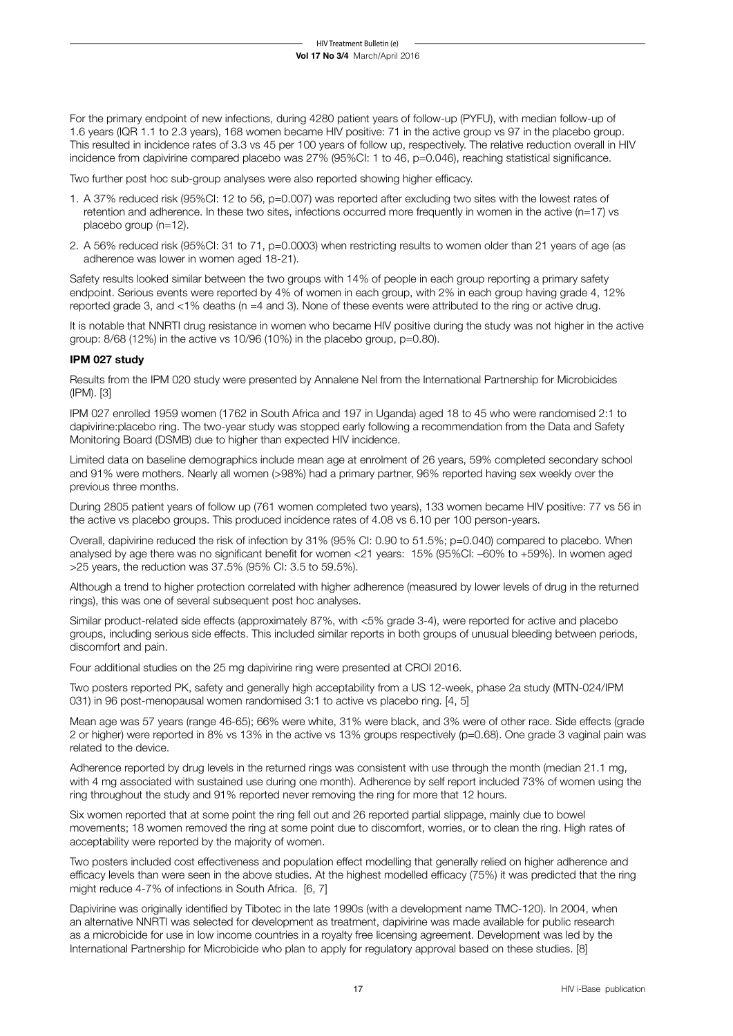For the primary endpoint of new infections, during 4280 patient years of follow-up (PYFU), with median follow-up of 1.6 years (IQR 1.1 to 2.3 years), 168 women became HIV positive: 71 in the active group vs 97 in the placebo group. This resulted in incidence rates of 3.3 vs 45 per 100 years of follow up, respectively. The relative reduction overall in HIV incidence from dapivirine compared placebo was 27% (95%CI: 1 to 46, p=0.046), reaching statistical significance.

Two further post hoc sub-group analyses were also reported showing higher efficacy.

- 1. A 37% reduced risk (95%CI: 12 to 56, p=0.007) was reported after excluding two sites with the lowest rates of retention and adherence. In these two sites, infections occurred more frequently in women in the active (n=17) vs placebo group (n=12).
- 2. A 56% reduced risk (95%CI: 31 to 71, p=0.0003) when restricting results to women older than 21 years of age (as adherence was lower in women aged 18-21).

Safety results looked similar between the two groups with 14% of people in each group reporting a primary safety endpoint. Serious events were reported by 4% of women in each group, with 2% in each group having grade 4, 12% reported grade 3, and <1% deaths (n =4 and 3). None of these events were attributed to the ring or active drug.

It is notable that NNRTI drug resistance in women who became HIV positive during the study was not higher in the active group: 8/68 (12%) in the active vs 10/96 (10%) in the placebo group, p=0.80).

## **IPM 027 study**

Results from the IPM 020 study were presented by Annalene Nel from the International Partnership for Microbicides (IPM). [3]

IPM 027 enrolled 1959 women (1762 in South Africa and 197 in Uganda) aged 18 to 45 who were randomised 2:1 to dapivirine:placebo ring. The two-year study was stopped early following a recommendation from the Data and Safety Monitoring Board (DSMB) due to higher than expected HIV incidence.

Limited data on baseline demographics include mean age at enrolment of 26 years, 59% completed secondary school and 91% were mothers. Nearly all women (>98%) had a primary partner, 96% reported having sex weekly over the previous three months.

During 2805 patient years of follow up (761 women completed two years), 133 women became HIV positive: 77 vs 56 in the active vs placebo groups. This produced incidence rates of 4.08 vs 6.10 per 100 person-years.

Overall, dapivirine reduced the risk of infection by 31% (95% CI: 0.90 to 51.5%; p=0.040) compared to placebo. When analysed by age there was no significant benefit for women <21 years: 15% (95%CI: –60% to +59%). In women aged >25 years, the reduction was 37.5% (95% CI: 3.5 to 59.5%).

Although a trend to higher protection correlated with higher adherence (measured by lower levels of drug in the returned rings), this was one of several subsequent post hoc analyses.

Similar product-related side effects (approximately 87%, with <5% grade 3-4), were reported for active and placebo groups, including serious side effects. This included similar reports in both groups of unusual bleeding between periods, discomfort and pain.

Four additional studies on the 25 mg dapivirine ring were presented at CROI 2016.

Two posters reported PK, safety and generally high acceptability from a US 12-week, phase 2a study (MTN-024/IPM 031) in 96 post-menopausal women randomised 3:1 to active vs placebo ring. [4, 5]

Mean age was 57 years (range 46-65); 66% were white, 31% were black, and 3% were of other race. Side effects (grade 2 or higher) were reported in 8% vs 13% in the active vs 13% groups respectively (p=0.68). One grade 3 vaginal pain was related to the device.

Adherence reported by drug levels in the returned rings was consistent with use through the month (median 21.1 mg, with 4 mg associated with sustained use during one month). Adherence by self report included 73% of women using the ring throughout the study and 91% reported never removing the ring for more that 12 hours.

Six women reported that at some point the ring fell out and 26 reported partial slippage, mainly due to bowel movements; 18 women removed the ring at some point due to discomfort, worries, or to clean the ring. High rates of acceptability were reported by the majority of women.

Two posters included cost effectiveness and population effect modelling that generally relied on higher adherence and efficacy levels than were seen in the above studies. At the highest modelled efficacy (75%) it was predicted that the ring might reduce 4-7% of infections in South Africa. [6, 7]

Dapivirine was originally identified by Tibotec in the late 1990s (with a development name TMC-120). In 2004, when an alternative NNRTI was selected for development as treatment, dapivirine was made available for public research as a microbicide for use in low income countries in a royalty free licensing agreement. Development was led by the International Partnership for Microbicide who plan to apply for regulatory approval based on these studies. [8]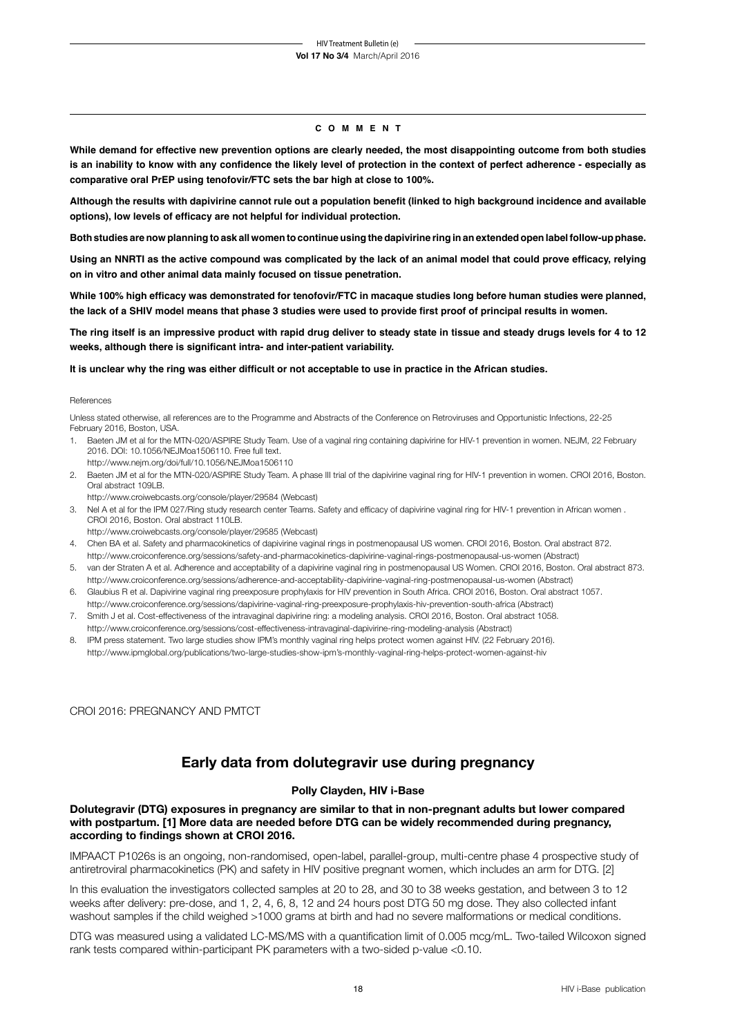### **c o m m e n t**

**While demand for effective new prevention options are clearly needed, the most disappointing outcome from both studies is an inability to know with any confidence the likely level of protection in the context of perfect adherence - especially as comparative oral PrEP using tenofovir/FTC sets the bar high at close to 100%.**

**Although the results with dapivirine cannot rule out a population benefit (linked to high background incidence and available options), low levels of efficacy are not helpful for individual protection.** 

**Both studies are now planning to ask all women to continue using the dapivirine ring in an extended open label follow-up phase.**

**Using an NNRTI as the active compound was complicated by the lack of an animal model that could prove efficacy, relying on in vitro and other animal data mainly focused on tissue penetration.** 

**While 100% high efficacy was demonstrated for tenofovir/FTC in macaque studies long before human studies were planned, the lack of a SHIV model means that phase 3 studies were used to provide first proof of principal results in women.**

**The ring itself is an impressive product with rapid drug deliver to steady state in tissue and steady drugs levels for 4 to 12 weeks, although there is significant intra- and inter-patient variability.**

#### **It is unclear why the ring was either difficult or not acceptable to use in practice in the African studies.**

#### References

Unless stated otherwise, all references are to the Programme and Abstracts of the Conference on Retroviruses and Opportunistic Infections, 22-25 February 2016, Boston, USA.

- 1. Baeten JM et al for the MTN-020/ASPIRE Study Team. Use of a vaginal ring containing dapivirine for HIV-1 prevention in women. NEJM, 22 February 2016. DOI: 10.1056/NEJMoa1506110. Free full text. http://www.nejm.org/doi/full/10.1056/NEJMoa1506110
- 2. Baeten JM et al for the MTN-020/ASPIRE Study Team. A phase III trial of the dapivirine vaginal ring for HIV-1 prevention in women. CROI 2016, Boston. Oral abstract 109LB.
- http://www.croiwebcasts.org/console/player/29584 (Webcast) 3. Nel A et al for the IPM 027/Ring study research center Teams. Safety and efficacy of dapivirine vaginal ring for HIV-1 prevention in African women . CROI 2016, Boston. Oral abstract 110LB.
	- http://www.croiwebcasts.org/console/player/29585 (Webcast)
- 4. Chen BA et al. Safety and pharmacokinetics of dapivirine vaginal rings in postmenopausal US women. CROI 2016, Boston. Oral abstract 872. http://www.croiconference.org/sessions/safety-and-pharmacokinetics-dapivirine-vaginal-rings-postmenopausal-us-women (Abstract)
- 5. van der Straten A et al. Adherence and acceptability of a dapivirine vaginal ring in postmenopausal US Women. CROI 2016, Boston. Oral abstract 873. http://www.croiconference.org/sessions/adherence-and-acceptability-dapivirine-vaginal-ring-postmenopausal-us-women (Abstract)
- 6. Glaubius R et al. Dapivirine vaginal ring preexposure prophylaxis for HIV prevention in South Africa. CROI 2016, Boston. Oral abstract 1057. http://www.croiconference.org/sessions/dapivirine-vaginal-ring-preexposure-prophylaxis-hiv-prevention-south-africa (Abstract)
- 7. Smith J et al. Cost-effectiveness of the intravaginal dapivirine ring: a modeling analysis. CROI 2016, Boston. Oral abstract 1058.
- http://www.croiconference.org/sessions/cost-effectiveness-intravaginal-dapivirine-ring-modeling-analysis (Abstract) 8. IPM press statement. Two large studies show IPM's monthly vaginal ring helps protect women against HIV. (22 February 2016). http://www.ipmglobal.org/publications/two-large-studies-show-ipm's-monthly-vaginal-ring-helps-protect-women-against-hiv

CROI 2016: PREGNANCY AND PMTCT

## **Early data from dolutegravir use during pregnancy**

### **Polly Clayden, HIV i-Base**

### **Dolutegravir (DTG) exposures in pregnancy are similar to that in non-pregnant adults but lower compared with postpartum. [1] More data are needed before DTG can be widely recommended during pregnancy, according to findings shown at CROI 2016.**

IMPAACT P1026s is an ongoing, non-randomised, open-label, parallel-group, multi-centre phase 4 prospective study of antiretroviral pharmacokinetics (PK) and safety in HIV positive pregnant women, which includes an arm for DTG. [2]

In this evaluation the investigators collected samples at 20 to 28, and 30 to 38 weeks gestation, and between 3 to 12 weeks after delivery: pre-dose, and 1, 2, 4, 6, 8, 12 and 24 hours post DTG 50 mg dose. They also collected infant washout samples if the child weighed >1000 grams at birth and had no severe malformations or medical conditions.

DTG was measured using a validated LC-MS/MS with a quantification limit of 0.005 mcg/mL. Two-tailed Wilcoxon signed rank tests compared within-participant PK parameters with a two-sided p-value <0.10.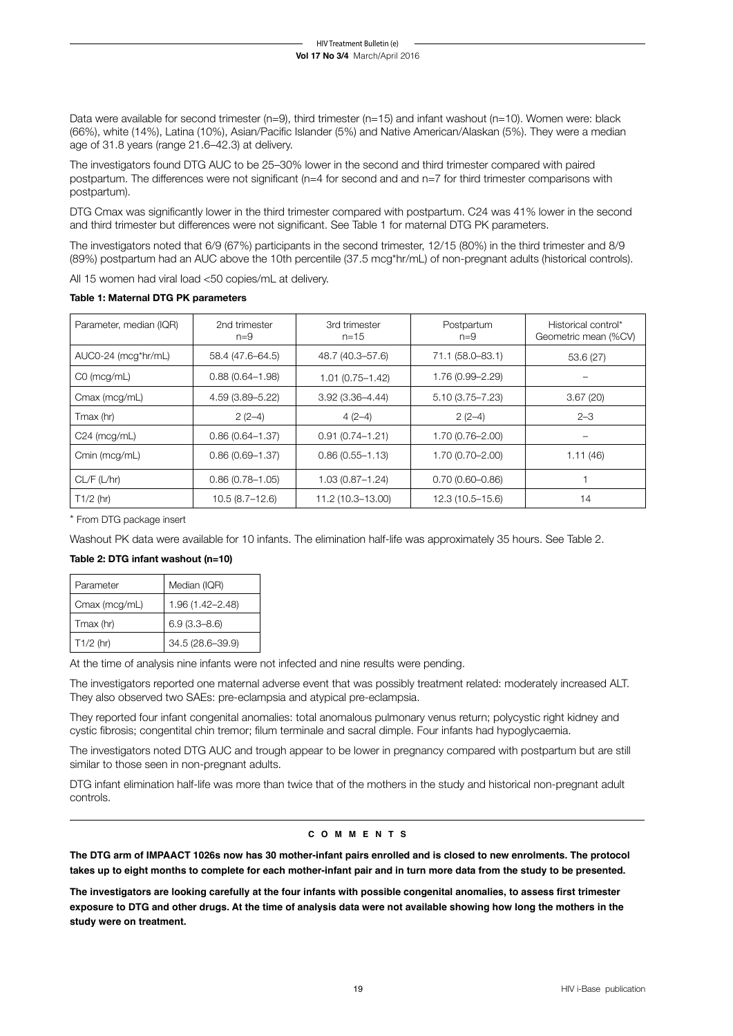Data were available for second trimester (n=9), third trimester (n=15) and infant washout (n=10). Women were: black (66%), white (14%), Latina (10%), Asian/Pacific Islander (5%) and Native American/Alaskan (5%). They were a median age of 31.8 years (range 21.6–42.3) at delivery.

The investigators found DTG AUC to be 25–30% lower in the second and third trimester compared with paired postpartum. The differences were not significant (n=4 for second and and n=7 for third trimester comparisons with postpartum).

DTG Cmax was significantly lower in the third trimester compared with postpartum. C24 was 41% lower in the second and third trimester but differences were not significant. See Table 1 for maternal DTG PK parameters.

The investigators noted that 6/9 (67%) participants in the second trimester, 12/15 (80%) in the third trimester and 8/9 (89%) postpartum had an AUC above the 10th percentile (37.5 mcg\*hr/mL) of non-pregnant adults (historical controls).

All 15 women had viral load <50 copies/mL at delivery.

| Parameter, median (IQR) | 2nd trimester<br>$n=9$ | 3rd trimester<br>$n = 15$ | Postpartum<br>$n=9$ | Historical control*<br>Geometric mean (%CV) |
|-------------------------|------------------------|---------------------------|---------------------|---------------------------------------------|
| AUC0-24 (mcg*hr/mL)     | 58.4 (47.6-64.5)       | 48.7 (40.3-57.6)          | 71.1 (58.0-83.1)    | 53.6(27)                                    |
| $CO$ (mcg/mL)           | $0.88(0.64 - 1.98)$    | $1.01(0.75 - 1.42)$       | 1.76 (0.99-2.29)    |                                             |
| Cmax (mcg/mL)           | 4.59 (3.89–5.22)       | $3.92(3.36 - 4.44)$       | $5.10(3.75 - 7.23)$ | 3.67(20)                                    |
| Tmax (hr)               | $2(2-4)$               | $4(2-4)$                  | $2(2-4)$            | $2 - 3$                                     |
| $C24$ (mcg/mL)          | $0.86(0.64 - 1.37)$    | $0.91(0.74 - 1.21)$       | $1.70(0.76 - 2.00)$ |                                             |
| Cmin (mcg/mL)           | $0.86(0.69 - 1.37)$    | $0.86(0.55 - 1.13)$       | $1.70(0.70 - 2.00)$ | 1.11(46)                                    |
| CL/F (L/hr)             | $0.86(0.78 - 1.05)$    | $1.03(0.87 - 1.24)$       | $0.70(0.60 - 0.86)$ |                                             |
| $T1/2$ (hr)             | $10.5(8.7-12.6)$       | 11.2 (10.3-13.00)         | $12.3(10.5 - 15.6)$ | 14                                          |

\* From DTG package insert

Washout PK data were available for 10 infants. The elimination half-life was approximately 35 hours. See Table 2.

## **Table 2: DTG infant washout (n=10)**

| Parameter     | Median (IQR)     |  |
|---------------|------------------|--|
| Cmax (mcg/mL) | 1.96 (1.42-2.48) |  |
| Tmax (hr)     | $6.9(3.3 - 8.6)$ |  |
| $T1/2$ (hr)   | 34.5 (28.6-39.9) |  |

At the time of analysis nine infants were not infected and nine results were pending.

The investigators reported one maternal adverse event that was possibly treatment related: moderately increased ALT. They also observed two SAEs: pre-eclampsia and atypical pre-eclampsia.

They reported four infant congenital anomalies: total anomalous pulmonary venus return; polycystic right kidney and cystic fibrosis; congentital chin tremor; filum terminale and sacral dimple. Four infants had hypoglycaemia.

The investigators noted DTG AUC and trough appear to be lower in pregnancy compared with postpartum but are still similar to those seen in non-pregnant adults.

DTG infant elimination half-life was more than twice that of the mothers in the study and historical non-pregnant adult controls.

### **c o m m e n t s**

**The DTG arm of IMPAACT 1026s now has 30 mother-infant pairs enrolled and is closed to new enrolments. The protocol takes up to eight months to complete for each mother-infant pair and in turn more data from the study to be presented.**

**The investigators are looking carefully at the four infants with possible congenital anomalies, to assess first trimester exposure to DTG and other drugs. At the time of analysis data were not available showing how long the mothers in the study were on treatment.**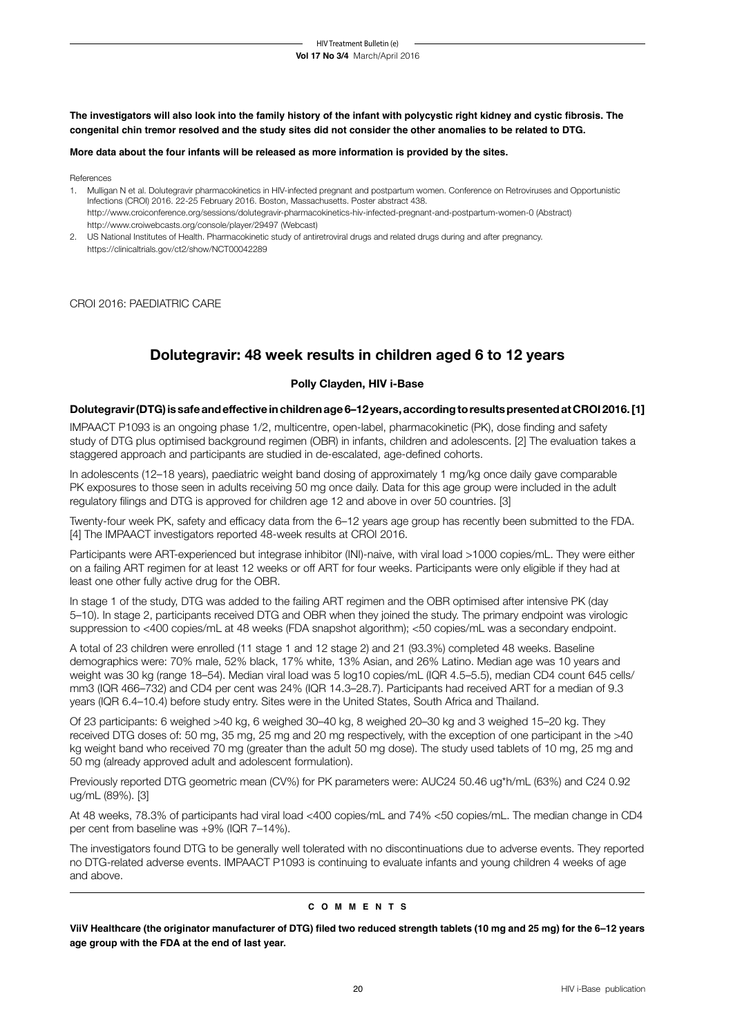**The investigators will also look into the family history of the infant with polycystic right kidney and cystic fibrosis. The congenital chin tremor resolved and the study sites did not consider the other anomalies to be related to DTG.** 

#### **More data about the four infants will be released as more information is provided by the sites.**

References

- 1. Mulligan N et al. Dolutegravir pharmacokinetics in HIV-infected pregnant and postpartum women. Conference on Retroviruses and Opportunistic Infections (CROI) 2016. 22-25 February 2016. Boston, Massachusetts. Poster abstract 438. http://www.croiconference.org/sessions/dolutegravir-pharmacokinetics-hiv-infected-pregnant-and-postpartum-women-0 (Abstract) http://www.croiwebcasts.org/console/player/29497 (Webcast)
- 2. US National Institutes of Health. Pharmacokinetic study of antiretroviral drugs and related drugs during and after pregnancy. https://clinicaltrials.gov/ct2/show/NCT00042289

CROI 2016: PAEDIATRIC CARE

## **Dolutegravir: 48 week results in children aged 6 to 12 years**

## **Polly Clayden, HIV i-Base**

### **Dolutegravir (DTG) is safe and effective in children age 6–12 years, according to results presented at CROI 2016. [1]**

IMPAACT P1093 is an ongoing phase 1/2, multicentre, open-label, pharmacokinetic (PK), dose finding and safety study of DTG plus optimised background regimen (OBR) in infants, children and adolescents. [2] The evaluation takes a staggered approach and participants are studied in de-escalated, age-defined cohorts.

In adolescents (12–18 years), paediatric weight band dosing of approximately 1 mg/kg once daily gave comparable PK exposures to those seen in adults receiving 50 mg once daily. Data for this age group were included in the adult regulatory filings and DTG is approved for children age 12 and above in over 50 countries. [3]

Twenty-four week PK, safety and efficacy data from the 6–12 years age group has recently been submitted to the FDA. [4] The IMPAACT investigators reported 48-week results at CROI 2016.

Participants were ART-experienced but integrase inhibitor (INI)-naive, with viral load >1000 copies/mL. They were either on a failing ART regimen for at least 12 weeks or off ART for four weeks. Participants were only eligible if they had at least one other fully active drug for the OBR.

In stage 1 of the study, DTG was added to the failing ART regimen and the OBR optimised after intensive PK (day 5–10). In stage 2, participants received DTG and OBR when they joined the study. The primary endpoint was virologic suppression to <400 copies/mL at 48 weeks (FDA snapshot algorithm); <50 copies/mL was a secondary endpoint.

A total of 23 children were enrolled (11 stage 1 and 12 stage 2) and 21 (93.3%) completed 48 weeks. Baseline demographics were: 70% male, 52% black, 17% white, 13% Asian, and 26% Latino. Median age was 10 years and weight was 30 kg (range 18–54). Median viral load was 5 log10 copies/mL (IQR 4.5–5.5), median CD4 count 645 cells/ mm3 (IQR 466–732) and CD4 per cent was 24% (IQR 14.3–28.7). Participants had received ART for a median of 9.3 years (IQR 6.4–10.4) before study entry. Sites were in the United States, South Africa and Thailand.

Of 23 participants: 6 weighed >40 kg, 6 weighed 30–40 kg, 8 weighed 20–30 kg and 3 weighed 15–20 kg. They received DTG doses of: 50 mg, 35 mg, 25 mg and 20 mg respectively, with the exception of one participant in the >40 kg weight band who received 70 mg (greater than the adult 50 mg dose). The study used tablets of 10 mg, 25 mg and 50 mg (already approved adult and adolescent formulation).

Previously reported DTG geometric mean (CV%) for PK parameters were: AUC24 50.46 ug\*h/mL (63%) and C24 0.92 ug/mL (89%). [3]

At 48 weeks, 78.3% of participants had viral load <400 copies/mL and 74% <50 copies/mL. The median change in CD4 per cent from baseline was +9% (IQR 7–14%).

The investigators found DTG to be generally well tolerated with no discontinuations due to adverse events. They reported no DTG-related adverse events. IMPAACT P1093 is continuing to evaluate infants and young children 4 weeks of age and above.

#### **c o m m e n t s**

**ViiV Healthcare (the originator manufacturer of DTG) filed two reduced strength tablets (10 mg and 25 mg) for the 6–12 years age group with the FDA at the end of last year.**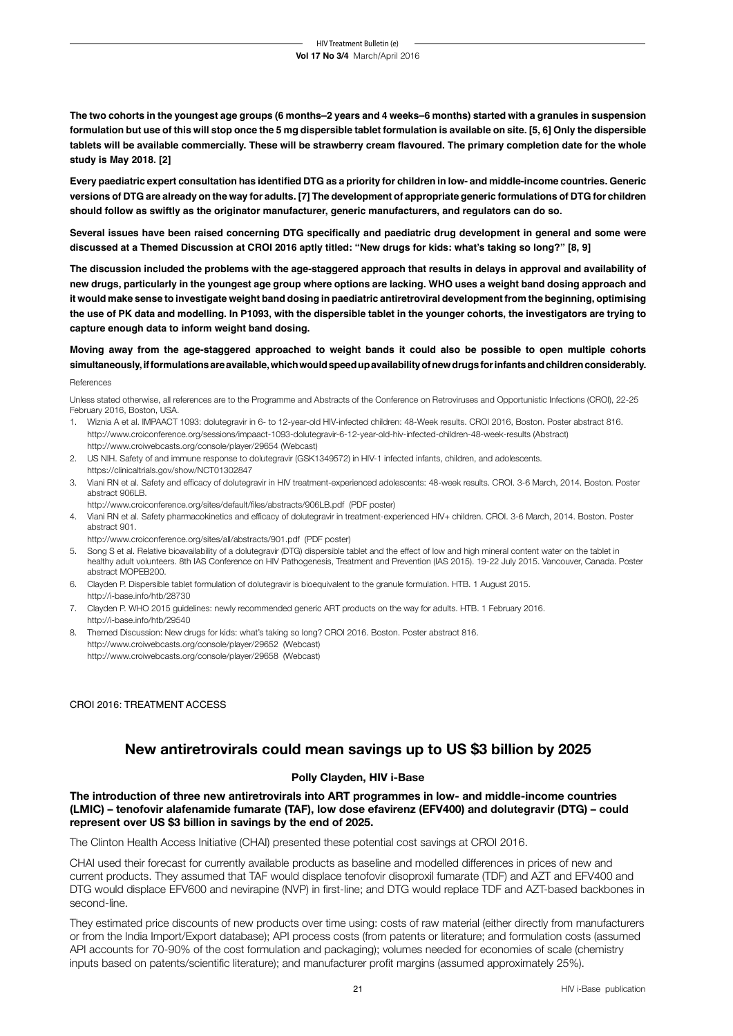**The two cohorts in the youngest age groups (6 months–2 years and 4 weeks–6 months) started with a granules in suspension formulation but use of this will stop once the 5 mg dispersible tablet formulation is available on site. [5, 6] Only the dispersible tablets will be available commercially. These will be strawberry cream flavoured. The primary completion date for the whole study is May 2018. [2]** 

**Every paediatric expert consultation has identified DTG as a priority for children in low- and middle-income countries. Generic versions of DTG are already on the way for adults. [7] The development of appropriate generic formulations of DTG for children should follow as swiftly as the originator manufacturer, generic manufacturers, and regulators can do so.**

**Several issues have been raised concerning DTG specifically and paediatric drug development in general and some were discussed at a Themed Discussion at CROI 2016 aptly titled: "New drugs for kids: what's taking so long?" [8, 9]**

**The discussion included the problems with the age-staggered approach that results in delays in approval and availability of new drugs, particularly in the youngest age group where options are lacking. WHO uses a weight band dosing approach and it would make sense to investigate weight band dosing in paediatric antiretroviral development from the beginning, optimising the use of PK data and modelling. In P1093, with the dispersible tablet in the younger cohorts, the investigators are trying to capture enough data to inform weight band dosing.** 

## **Moving away from the age-staggered approached to weight bands it could also be possible to open multiple cohorts simultaneously, if formulations are available, which would speed up availability of new drugs for infants and children considerably.**

#### References

Unless stated otherwise, all references are to the Programme and Abstracts of the Conference on Retroviruses and Opportunistic Infections (CROI), 22-25 February 2016, Boston, USA.

- 1. Wiznia A et al. IMPAACT 1093: dolutegravir in 6- to 12-year-old HIV-infected children: 48-Week results. CROI 2016, Boston. Poster abstract 816. http://www.croiconference.org/sessions/impaact-1093-dolutegravir-6-12-year-old-hiv-infected-children-48-week-results (Abstract) http://www.croiwebcasts.org/console/player/29654 (Webcast)
- 2. US NIH. Safety of and immune response to dolutegravir (GSK1349572) in HIV-1 infected infants, children, and adolescents. https://clinicaltrials.gov/show/NCT01302847
- 3. Viani RN et al. Safety and efficacy of dolutegravir in HIV treatment-experienced adolescents: 48-week results. CROI. 3-6 March, 2014. Boston. Poster abstract 906LB.
- http://www.croiconference.org/sites/default/files/abstracts/906LB.pdf (PDF poster)
- 4. Viani RN et al. Safety pharmacokinetics and efficacy of dolutegravir in treatment-experienced HIV+ children. CROI. 3-6 March, 2014. Boston. Poster abstract 901.
- <http://www.croiconference.org/sites/all/abstracts/901.pdf>(PDF poster)
- 5. Song S et al. Relative bioavailability of a dolutegravir (DTG) dispersible tablet and the effect of low and high mineral content water on the tablet in healthy adult volunteers. 8th IAS Conference on HIV Pathogenesis, Treatment and Prevention (IAS 2015). 19-22 July 2015. Vancouver, Canada. Poster abstract MOPEB200.
- 6. Clayden P. Dispersible tablet formulation of dolutegravir is bioequivalent to the granule formulation. HTB. 1 August 2015. http://i-base.info/htb/28730
- 7. Clayden P. WHO 2015 guidelines: newly recommended generic ART products on the way for adults. HTB. 1 February 2016. http://i-base.info/htb/29540
- 8. Themed Discussion: New drugs for kids: what's taking so long? CROI 2016. Boston. Poster abstract 816. http://www.croiwebcasts.org/console/player/29652 (Webcast) http://www.croiwebcasts.org/console/player/29658 (Webcast)

CROI 2016: TREATMENT ACCESS

## **New antiretrovirals could mean savings up to US \$3 billion by 2025**

## **Polly Clayden, HIV i-Base**

**The introduction of three new antiretrovirals into ART programmes in low- and middle-income countries (LMIC) – tenofovir alafenamide fumarate (TAF), low dose efavirenz (EFV400) and dolutegravir (DTG) – could represent over US \$3 billion in savings by the end of 2025.** 

The Clinton Health Access Initiative (CHAI) presented these potential cost savings at CROI 2016.

CHAI used their forecast for currently available products as baseline and modelled differences in prices of new and current products. They assumed that TAF would displace tenofovir disoproxil fumarate (TDF) and AZT and EFV400 and DTG would displace EFV600 and nevirapine (NVP) in first-line; and DTG would replace TDF and AZT-based backbones in second-line.

They estimated price discounts of new products over time using: costs of raw material (either directly from manufacturers or from the India Import/Export database); API process costs (from patents or literature; and formulation costs (assumed API accounts for 70-90% of the cost formulation and packaging); volumes needed for economies of scale (chemistry inputs based on patents/scientific literature); and manufacturer profit margins (assumed approximately 25%).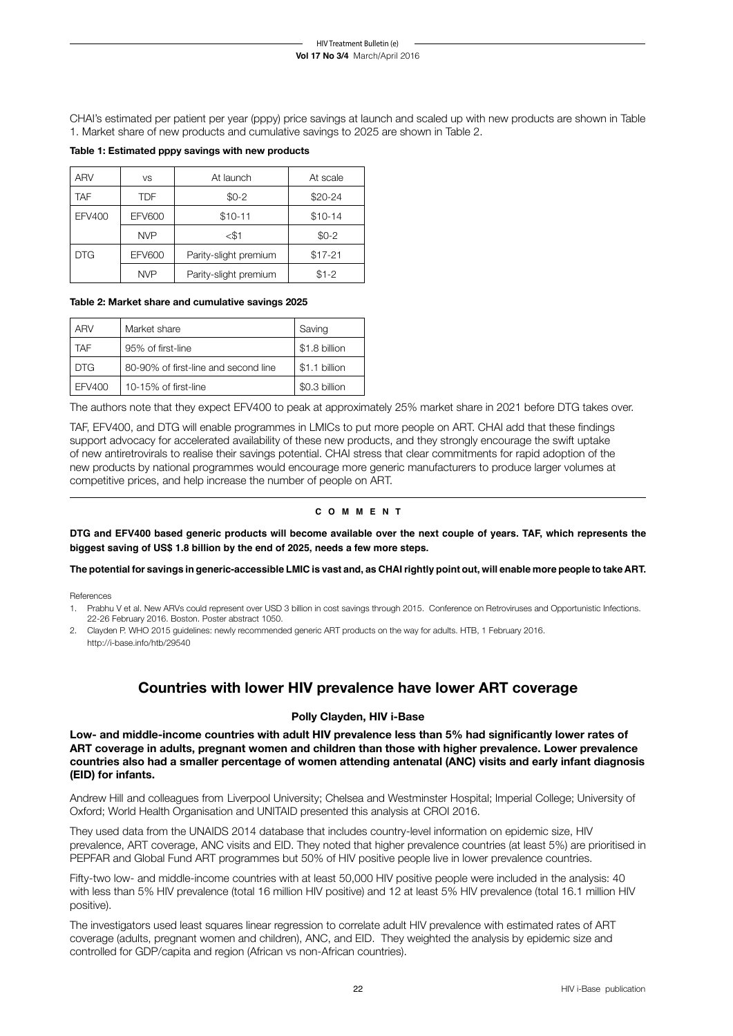CHAI's estimated per patient per year (pppy) price savings at launch and scaled up with new products are shown in Table 1. Market share of new products and cumulative savings to 2025 are shown in Table 2.

### **Table 1: Estimated pppy savings with new products**

| <b>ARV</b>    | <b>VS</b>                 | At launch             | At scale |  |
|---------------|---------------------------|-----------------------|----------|--|
| <b>TAF</b>    | <b>TDF</b>                | $$0-2$                | \$20-24  |  |
| <b>EFV400</b> | $$10-11$<br><b>EFV600</b> |                       | $$10-14$ |  |
|               | <b>NVP</b>                | <\$1                  | $$0-2$   |  |
| <b>DTG</b>    | <b>EFV600</b>             | Parity-slight premium | $$17-21$ |  |
|               | <b>NVP</b>                | Parity-slight premium | $$1-2$   |  |

#### **Table 2: Market share and cumulative savings 2025**

| <b>ARV</b>                                         | Market share         | Saving        |
|----------------------------------------------------|----------------------|---------------|
| TAF                                                | 95% of first-line    | \$1.8 billion |
| <b>DTG</b><br>80-90% of first-line and second line |                      | \$1.1 billion |
| EFV400                                             | 10-15% of first-line | \$0.3 billion |

The authors note that they expect EFV400 to peak at approximately 25% market share in 2021 before DTG takes over.

TAF, EFV400, and DTG will enable programmes in LMICs to put more people on ART. CHAI add that these findings support advocacy for accelerated availability of these new products, and they strongly encourage the swift uptake of new antiretrovirals to realise their savings potential. CHAI stress that clear commitments for rapid adoption of the new products by national programmes would encourage more generic manufacturers to produce larger volumes at competitive prices, and help increase the number of people on ART.

## **c o m m e n t**

**DTG and EFV400 based generic products will become available over the next couple of years. TAF, which represents the biggest saving of US\$ 1.8 billion by the end of 2025, needs a few more steps.** 

**The potential for savings in generic-accessible LMIC is vast and, as CHAI rightly point out, will enable more people to take ART.** 

References

- 1. Prabhu V et al. New ARVs could represent over USD 3 billion in cost savings through 2015. Conference on Retroviruses and Opportunistic Infections. 22-26 February 2016. Boston. Poster abstract 1050.
- 2. Clayden P. WHO 2015 guidelines: newly recommended generic ART products on the way for adults. HTB, 1 February 2016. http://i-base.info/htb/29540

## **Countries with lower HIV prevalence have lower ART coverage**

## **Polly Clayden, HIV i-Base**

**Low- and middle-income countries with adult HIV prevalence less than 5% had significantly lower rates of ART coverage in adults, pregnant women and children than those with higher prevalence. Lower prevalence countries also had a smaller percentage of women attending antenatal (ANC) visits and early infant diagnosis (EID) for infants.** 

Andrew Hill and colleagues from Liverpool University; Chelsea and Westminster Hospital; Imperial College; University of Oxford; World Health Organisation and UNITAID presented this analysis at CROI 2016.

They used data from the UNAIDS 2014 database that includes country-level information on epidemic size, HIV prevalence, ART coverage, ANC visits and EID. They noted that higher prevalence countries (at least 5%) are prioritised in PEPFAR and Global Fund ART programmes but 50% of HIV positive people live in lower prevalence countries.

Fifty-two low- and middle-income countries with at least 50,000 HIV positive people were included in the analysis: 40 with less than 5% HIV prevalence (total 16 million HIV positive) and 12 at least 5% HIV prevalence (total 16.1 million HIV positive).

The investigators used least squares linear regression to correlate adult HIV prevalence with estimated rates of ART coverage (adults, pregnant women and children), ANC, and EID. They weighted the analysis by epidemic size and controlled for GDP/capita and region (African vs non-African countries).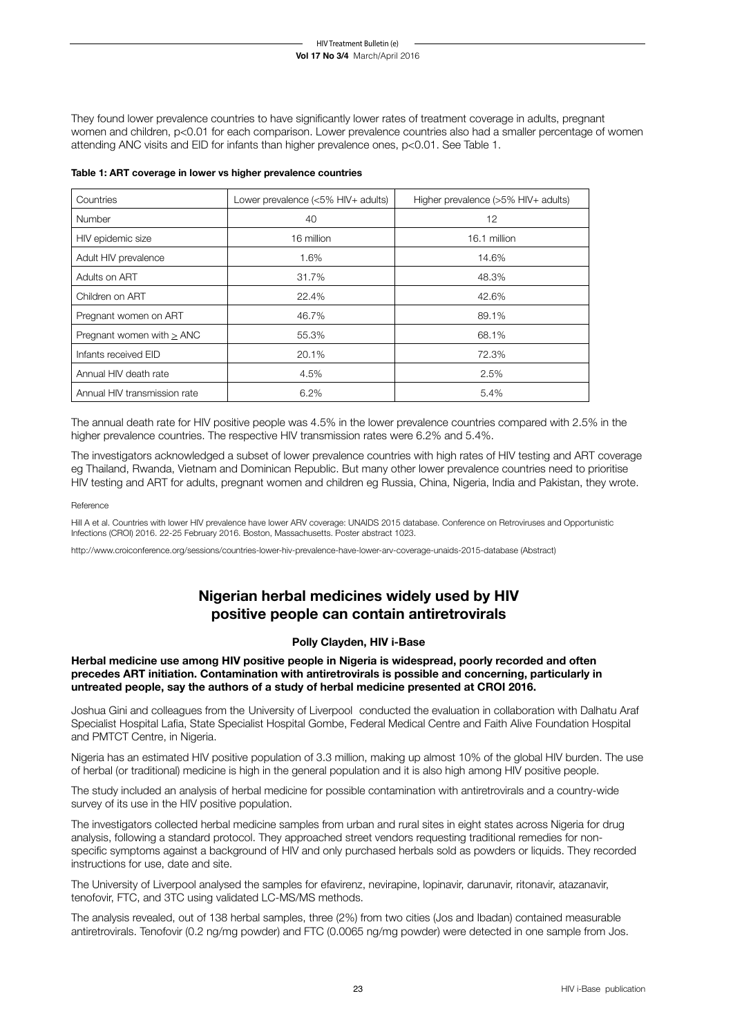#### **Vol 17 No 3/4** March/April 2016 HIV Treatment Bulletin (e)

They found lower prevalence countries to have significantly lower rates of treatment coverage in adults, pregnant women and children, p<0.01 for each comparison. Lower prevalence countries also had a smaller percentage of women attending ANC visits and EID for infants than higher prevalence ones, p<0.01. See Table 1.

| Countries                    | Lower prevalence (<5% HIV+ adults) | Higher prevalence $(>5\%$ HIV + adults) |
|------------------------------|------------------------------------|-----------------------------------------|
| Number                       | 40                                 | 12                                      |
| HIV epidemic size            | 16 million                         | 16.1 million                            |
| Adult HIV prevalence         | 1.6%                               | 14.6%                                   |
| Adults on ART                | 31.7%                              | 48.3%                                   |
| Children on ART              | 22.4%                              | 42.6%                                   |
| Pregnant women on ART        | 46.7%                              | 89.1%                                   |
| Pregnant women with > ANC    | 55.3%                              | 68.1%                                   |
| Infants received EID         | 20.1%                              | 72.3%                                   |
| Annual HIV death rate        | 4.5%                               | 2.5%                                    |
| Annual HIV transmission rate | 6.2%                               | 5.4%                                    |

#### **Table 1: ART coverage in lower vs higher prevalence countries**

The annual death rate for HIV positive people was 4.5% in the lower prevalence countries compared with 2.5% in the higher prevalence countries. The respective HIV transmission rates were 6.2% and 5.4%.

The investigators acknowledged a subset of lower prevalence countries with high rates of HIV testing and ART coverage eg Thailand, Rwanda, Vietnam and Dominican Republic. But many other lower prevalence countries need to prioritise HIV testing and ART for adults, pregnant women and children eg Russia, China, Nigeria, India and Pakistan, they wrote.

#### Reference

Hill A et al. Countries with lower HIV prevalence have lower ARV coverage: UNAIDS 2015 database. Conference on Retroviruses and Opportunistic Infections (CROI) 2016. 22-25 February 2016. Boston, Massachusetts. Poster abstract 1023.

http://www.croiconference.org/sessions/countries-lower-hiv-prevalence-have-lower-arv-coverage-unaids-2015-database (Abstract)

## **Nigerian herbal medicines widely used by HIV positive people can contain antiretrovirals**

## **Polly Clayden, HIV i-Base**

**Herbal medicine use among HIV positive people in Nigeria is widespread, poorly recorded and often precedes ART initiation. Contamination with antiretrovirals is possible and concerning, particularly in untreated people, say the authors of a study of herbal medicine presented at CROI 2016.** 

Joshua Gini and colleagues from the University of Liverpool conducted the evaluation in collaboration with Dalhatu Araf Specialist Hospital Lafia, State Specialist Hospital Gombe, Federal Medical Centre and Faith Alive Foundation Hospital and PMTCT Centre, in Nigeria.

Nigeria has an estimated HIV positive population of 3.3 million, making up almost 10% of the global HIV burden. The use of herbal (or traditional) medicine is high in the general population and it is also high among HIV positive people.

The study included an analysis of herbal medicine for possible contamination with antiretrovirals and a country-wide survey of its use in the HIV positive population.

The investigators collected herbal medicine samples from urban and rural sites in eight states across Nigeria for drug analysis, following a standard protocol. They approached street vendors requesting traditional remedies for nonspecific symptoms against a background of HIV and only purchased herbals sold as powders or liquids. They recorded instructions for use, date and site.

The University of Liverpool analysed the samples for efavirenz, nevirapine, lopinavir, darunavir, ritonavir, atazanavir, tenofovir, FTC, and 3TC using validated LC-MS/MS methods.

The analysis revealed, out of 138 herbal samples, three (2%) from two cities (Jos and Ibadan) contained measurable antiretrovirals. Tenofovir (0.2 ng/mg powder) and FTC (0.0065 ng/mg powder) were detected in one sample from Jos.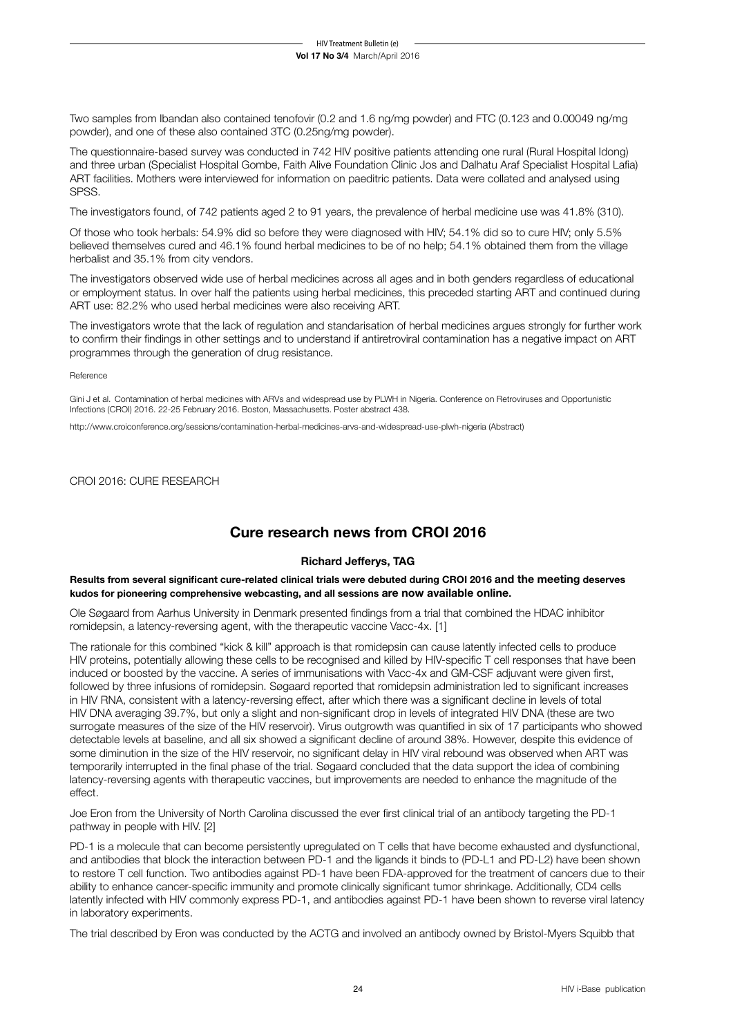Two samples from Ibandan also contained tenofovir (0.2 and 1.6 ng/mg powder) and FTC (0.123 and 0.00049 ng/mg powder), and one of these also contained 3TC (0.25ng/mg powder).

The questionnaire-based survey was conducted in 742 HIV positive patients attending one rural (Rural Hospital Idong) and three urban (Specialist Hospital Gombe, Faith Alive Foundation Clinic Jos and Dalhatu Araf Specialist Hospital Lafia) ART facilities. Mothers were interviewed for information on paeditric patients. Data were collated and analysed using SPSS.

The investigators found, of 742 patients aged 2 to 91 years, the prevalence of herbal medicine use was 41.8% (310).

Of those who took herbals: 54.9% did so before they were diagnosed with HIV; 54.1% did so to cure HIV; only 5.5% believed themselves cured and 46.1% found herbal medicines to be of no help; 54.1% obtained them from the village herbalist and 35.1% from city vendors.

The investigators observed wide use of herbal medicines across all ages and in both genders regardless of educational or employment status. In over half the patients using herbal medicines, this preceded starting ART and continued during ART use: 82.2% who used herbal medicines were also receiving ART.

The investigators wrote that the lack of regulation and standarisation of herbal medicines argues strongly for further work to confirm their findings in other settings and to understand if antiretroviral contamination has a negative impact on ART programmes through the generation of drug resistance.

#### Reference

Gini J et al. Contamination of herbal medicines with ARVs and widespread use by PLWH in Nigeria. Conference on Retroviruses and Opportunistic Infections (CROI) 2016. 22-25 February 2016. Boston, Massachusetts. Poster abstract 438.

http://www.croiconference.org/sessions/contamination-herbal-medicines-arvs-and-widespread-use-plwh-nigeria (Abstract)

CROI 2016: CURE RESEARCH

## **Cure research news from CROI 2016**

## **Richard Jefferys, TAG**

**Results from several significant cure-related clinical trials were debuted during CROI 2016 and the meeting deserves kudos for pioneering comprehensive webcasting, and all sessions are now available online.** 

Ole Søgaard from Aarhus University in Denmark presented findings from a trial that combined the HDAC inhibitor romidepsin, a latency-reversing agent, with the therapeutic vaccine Vacc-4x. [1]

The rationale for this combined "kick & kill" approach is that romidepsin can cause latently infected cells to produce HIV proteins, potentially allowing these cells to be recognised and killed by HIV-specific T cell responses that have been induced or boosted by the vaccine. A series of immunisations with Vacc-4x and GM-CSF adjuvant were given first, followed by three infusions of romidepsin. Søgaard reported that romidepsin administration led to significant increases in HIV RNA, consistent with a latency-reversing effect, after which there was a significant decline in levels of total HIV DNA averaging 39.7%, but only a slight and non-significant drop in levels of integrated HIV DNA (these are two surrogate measures of the size of the HIV reservoir). Virus outgrowth was quantified in six of 17 participants who showed detectable levels at baseline, and all six showed a significant decline of around 38%. However, despite this evidence of some diminution in the size of the HIV reservoir, no significant delay in HIV viral rebound was observed when ART was temporarily interrupted in the final phase of the trial. Søgaard concluded that the data support the idea of combining latency-reversing agents with therapeutic vaccines, but improvements are needed to enhance the magnitude of the effect.

Joe Eron from the University of North Carolina discussed the ever first clinical trial of an antibody targeting the PD-1 pathway in people with HIV. [2]

PD-1 is a molecule that can become persistently upregulated on T cells that have become exhausted and dysfunctional, and antibodies that block the interaction between PD-1 and the ligands it binds to (PD-L1 and PD-L2) have been shown to restore T cell function. Two antibodies against PD-1 have been FDA-approved for the treatment of cancers due to their ability to enhance cancer-specific immunity and promote clinically significant tumor shrinkage. Additionally, CD4 cells latently infected with HIV commonly express PD-1, and antibodies against PD-1 have been shown to reverse viral latency in laboratory experiments.

The trial described by Eron was conducted by the ACTG and involved an antibody owned by Bristol-Myers Squibb that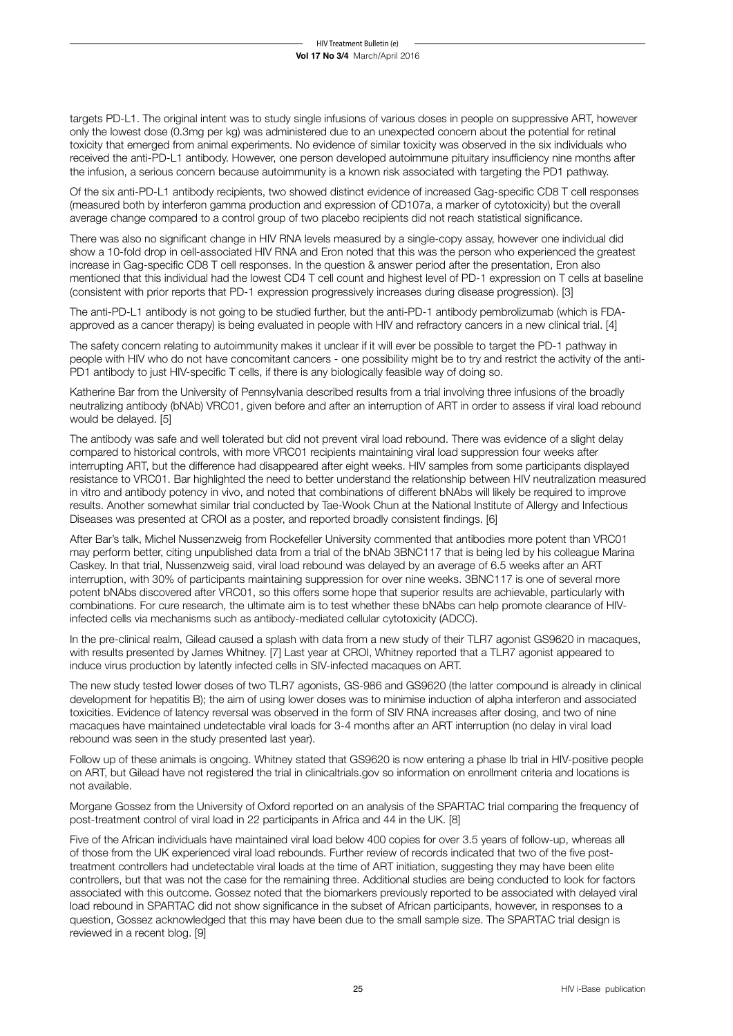targets PD-L1. The original intent was to study single infusions of various doses in people on suppressive ART, however only the lowest dose (0.3mg per kg) was administered due to an unexpected concern about the potential for retinal toxicity that emerged from animal experiments. No evidence of similar toxicity was observed in the six individuals who received the anti-PD-L1 antibody. However, one person developed autoimmune pituitary insufficiency nine months after the infusion, a serious concern because autoimmunity is a known risk associated with targeting the PD1 pathway.

Of the six anti-PD-L1 antibody recipients, two showed distinct evidence of increased Gag-specific CD8 T cell responses (measured both by interferon gamma production and expression of CD107a, a marker of cytotoxicity) but the overall average change compared to a control group of two placebo recipients did not reach statistical significance.

There was also no significant change in HIV RNA levels measured by a single-copy assay, however one individual did show a 10-fold drop in cell-associated HIV RNA and Eron noted that this was the person who experienced the greatest increase in Gag-specific CD8 T cell responses. In the question & answer period after the presentation, Eron also mentioned that this individual had the lowest CD4 T cell count and highest level of PD-1 expression on T cells at baseline (consistent with prior reports that PD-1 expression progressively increases during disease progression). [3]

The anti-PD-L1 antibody is not going to be studied further, but the anti-PD-1 antibody pembrolizumab (which is FDAapproved as a cancer therapy) is being evaluated in people with HIV and refractory cancers in a new clinical trial. [4]

The safety concern relating to autoimmunity makes it unclear if it will ever be possible to target the PD-1 pathway in people with HIV who do not have concomitant cancers - one possibility might be to try and restrict the activity of the anti-PD1 antibody to just HIV-specific T cells, if there is any biologically feasible way of doing so.

Katherine Bar from the University of Pennsylvania described results from a trial involving three infusions of the broadly neutralizing antibody (bNAb) VRC01, given before and after an interruption of ART in order to assess if viral load rebound would be delayed. [5]

The antibody was safe and well tolerated but did not prevent viral load rebound. There was evidence of a slight delay compared to historical controls, with more VRC01 recipients maintaining viral load suppression four weeks after interrupting ART, but the difference had disappeared after eight weeks. HIV samples from some participants displayed resistance to VRC01. Bar highlighted the need to better understand the relationship between HIV neutralization measured in vitro and antibody potency in vivo, and noted that combinations of different bNAbs will likely be required to improve results. Another somewhat similar trial conducted by Tae-Wook Chun at the National Institute of Allergy and Infectious Diseases was presented at CROI as a poster, and reported broadly consistent findings. [6]

After Bar's talk, Michel Nussenzweig from Rockefeller University commented that antibodies more potent than VRC01 may perform better, citing unpublished data from a trial of the bNAb 3BNC117 that is being led by his colleague Marina Caskey. In that trial, Nussenzweig said, viral load rebound was delayed by an average of 6.5 weeks after an ART interruption, with 30% of participants maintaining suppression for over nine weeks. 3BNC117 is one of several more potent bNAbs discovered after VRC01, so this offers some hope that superior results are achievable, particularly with combinations. For cure research, the ultimate aim is to test whether these bNAbs can help promote clearance of HIVinfected cells via mechanisms such as antibody-mediated cellular cytotoxicity (ADCC).

In the pre-clinical realm, Gilead caused a splash with data from a new study of their TLR7 agonist GS9620 in macaques, with results presented by James Whitney. [7] Last year at CROI, Whitney reported that a TLR7 agonist appeared to induce virus production by latently infected cells in SIV-infected macaques on ART.

The new study tested lower doses of two TLR7 agonists, GS-986 and GS9620 (the latter compound is already in clinical development for hepatitis B); the aim of using lower doses was to minimise induction of alpha interferon and associated toxicities. Evidence of latency reversal was observed in the form of SIV RNA increases after dosing, and two of nine macaques have maintained undetectable viral loads for 3-4 months after an ART interruption (no delay in viral load rebound was seen in the study presented last year).

Follow up of these animals is ongoing. Whitney stated that GS9620 is now entering a phase Ib trial in HIV-positive people on ART, but Gilead have not registered the trial in clinicaltrials.gov so information on enrollment criteria and locations is not available.

Morgane Gossez from the University of Oxford reported on an analysis of the SPARTAC trial comparing the frequency of post-treatment control of viral load in 22 participants in Africa and 44 in the UK. [8]

Five of the African individuals have maintained viral load below 400 copies for over 3.5 years of follow-up, whereas all of those from the UK experienced viral load rebounds. Further review of records indicated that two of the five posttreatment controllers had undetectable viral loads at the time of ART initiation, suggesting they may have been elite controllers, but that was not the case for the remaining three. Additional studies are being conducted to look for factors associated with this outcome. Gossez noted that the biomarkers previously reported to be associated with delayed viral load rebound in SPARTAC did not show significance in the subset of African participants, however, in responses to a question, Gossez acknowledged that this may have been due to the small sample size. The SPARTAC trial design is reviewed in a recent blog. [9]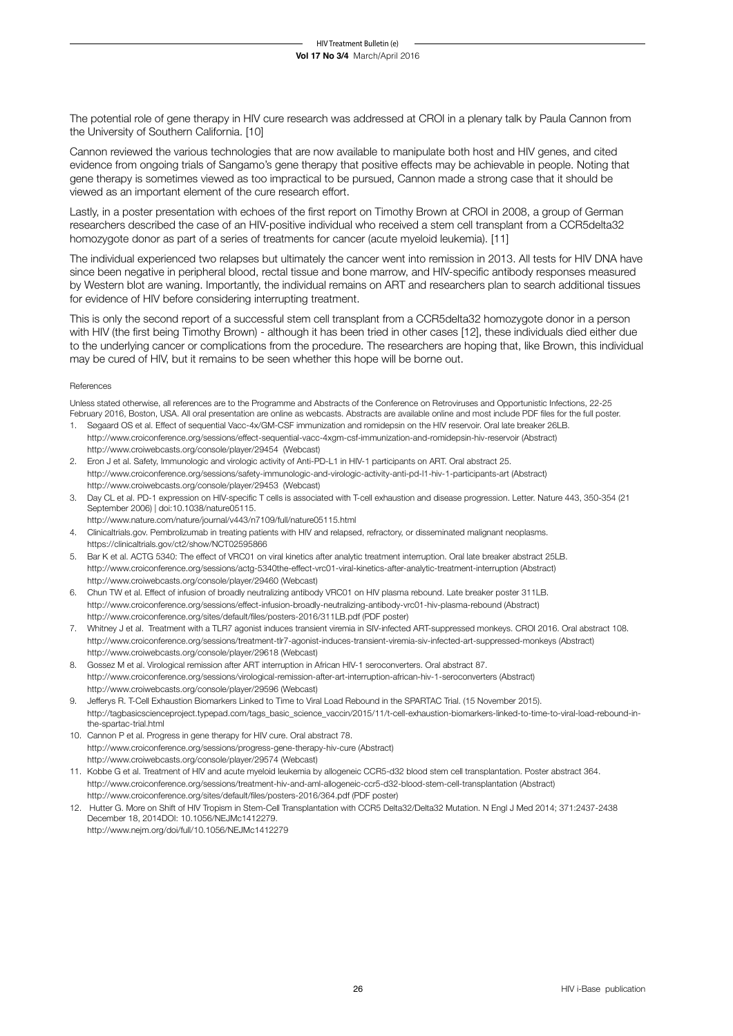The potential role of gene therapy in HIV cure research was addressed at CROI in a plenary talk by Paula Cannon from the University of Southern California. [10]

Cannon reviewed the various technologies that are now available to manipulate both host and HIV genes, and cited evidence from ongoing trials of Sangamo's gene therapy that positive effects may be achievable in people. Noting that gene therapy is sometimes viewed as too impractical to be pursued, Cannon made a strong case that it should be viewed as an important element of the cure research effort.

Lastly, in a poster presentation with echoes of the first report on Timothy Brown at CROI in 2008, a group of German researchers described the case of an HIV-positive individual who received a stem cell transplant from a CCR5delta32 homozygote donor as part of a series of treatments for cancer (acute myeloid leukemia). [11]

The individual experienced two relapses but ultimately the cancer went into remission in 2013. All tests for HIV DNA have since been negative in peripheral blood, rectal tissue and bone marrow, and HIV-specific antibody responses measured by Western blot are waning. Importantly, the individual remains on ART and researchers plan to search additional tissues for evidence of HIV before considering interrupting treatment.

This is only the second report of a successful stem cell transplant from a CCR5delta32 homozygote donor in a person with HIV (the first being Timothy Brown) - although it has been tried in other cases [12], these individuals died either due to the underlying cancer or complications from the procedure. The researchers are hoping that, like Brown, this individual may be cured of HIV, but it remains to be seen whether this hope will be borne out.

#### References

Unless stated otherwise, all references are to the Programme and Abstracts of the Conference on Retroviruses and Opportunistic Infections, 22-25 February 2016, Boston, USA. All oral presentation are online as webcasts. Abstracts are available online and most include PDF files for the full poster.

- 1. Søgaard OS et al. Effect of sequential Vacc-4x/GM-CSF immunization and romidepsin on the HIV reservoir. Oral late breaker 26LB. http://www.croiconference.org/sessions/effect-sequential-vacc-4xgm-csf-immunization-and-romidepsin-hiv-reservoir (Abstract) http://www.croiwebcasts.org/console/player/29454 (Webcast)
- 2. Eron J et al. Safety, Immunologic and virologic activity of Anti-PD-L1 in HIV-1 participants on ART. Oral abstract 25. http://www.croiconference.org/sessions/safety-immunologic-and-virologic-activity-anti-pd-l1-hiv-1-participants-art (Abstract) http://www.croiwebcasts.org/console/player/29453 (Webcast)
- 3. Day CL et al. PD-1 expression on HIV-specific T cells is associated with T-cell exhaustion and disease progression. Letter. Nature 443, 350-354 (21 September 2006) | doi:10.1038/nature05115.
- http://www.nature.com/nature/journal/v443/n7109/full/nature05115.html
- 4. Clinicaltrials.gov. Pembrolizumab in treating patients with HIV and relapsed, refractory, or disseminated malignant neoplasms. https://clinicaltrials.gov/ct2/show/NCT02595866
- 5. Bar K et al. ACTG 5340: The effect of VRC01 on viral kinetics after analytic treatment interruption. Oral late breaker abstract 25LB. http://www.croiconference.org/sessions/actg-5340the-effect-vrc01-viral-kinetics-after-analytic-treatment-interruption (Abstract) http://www.croiwebcasts.org/console/player/29460 (Webcast)
- 6. Chun TW et al. Effect of infusion of broadly neutralizing antibody VRC01 on HIV plasma rebound. Late breaker poster 311LB. http://www.croiconference.org/sessions/effect-infusion-broadly-neutralizing-antibody-vrc01-hiv-plasma-rebound (Abstract) http://www.croiconference.org/sites/default/files/posters-2016/311LB.pdf (PDF poster)
- 7. Whitney J et al. Treatment with a TLR7 agonist induces transient viremia in SIV-infected ART-suppressed monkeys. CROI 2016. Oral abstract 108. http://www.croiconference.org/sessions/treatment-tlr7-agonist-induces-transient-viremia-siv-infected-art-suppressed-monkeys (Abstract) http://www.croiwebcasts.org/console/player/29618 (Webcast)
- 8. Gossez M et al. Virological remission after ART interruption in African HIV-1 seroconverters. Oral abstract 87. http://www.croiconference.org/sessions/virological-remission-after-art-interruption-african-hiv-1-seroconverters (Abstract) http://www.croiwebcasts.org/console/player/29596 (Webcast)
- 9. Jefferys R. T-Cell Exhaustion Biomarkers Linked to Time to Viral Load Rebound in the SPARTAC Trial. (15 November 2015). http://tagbasicscienceproject.typepad.com/tags\_basic\_science\_vaccin/2015/11/t-cell-exhaustion-biomarkers-linked-to-time-to-viral-load-rebound-inthe-spartac-trial.html
- 10. Cannon P et al. Progress in gene therapy for HIV cure. Oral abstract 78. http://www.croiconference.org/sessions/progress-gene-therapy-hiv-cure (Abstract) http://www.croiwebcasts.org/console/player/29574 (Webcast)
- 11. Kobbe G et al. Treatment of HIV and acute myeloid leukemia by allogeneic CCR5-d32 blood stem cell transplantation. Poster abstract 364. http://www.croiconference.org/sessions/treatment-hiv-and-aml-allogeneic-ccr5-d32-blood-stem-cell-transplantation (Abstract) http://www.croiconference.org/sites/default/files/posters-2016/364.pdf (PDF poster)
- 12. Hutter G. More on Shift of HIV Tropism in Stem-Cell Transplantation with CCR5 Delta32/Delta32 Mutation. N Engl J Med 2014; 371:2437-2438 December 18, 2014DOI: 10.1056/NEJMc1412279. http://www.nejm.org/doi/full/10.1056/NEJMc1412279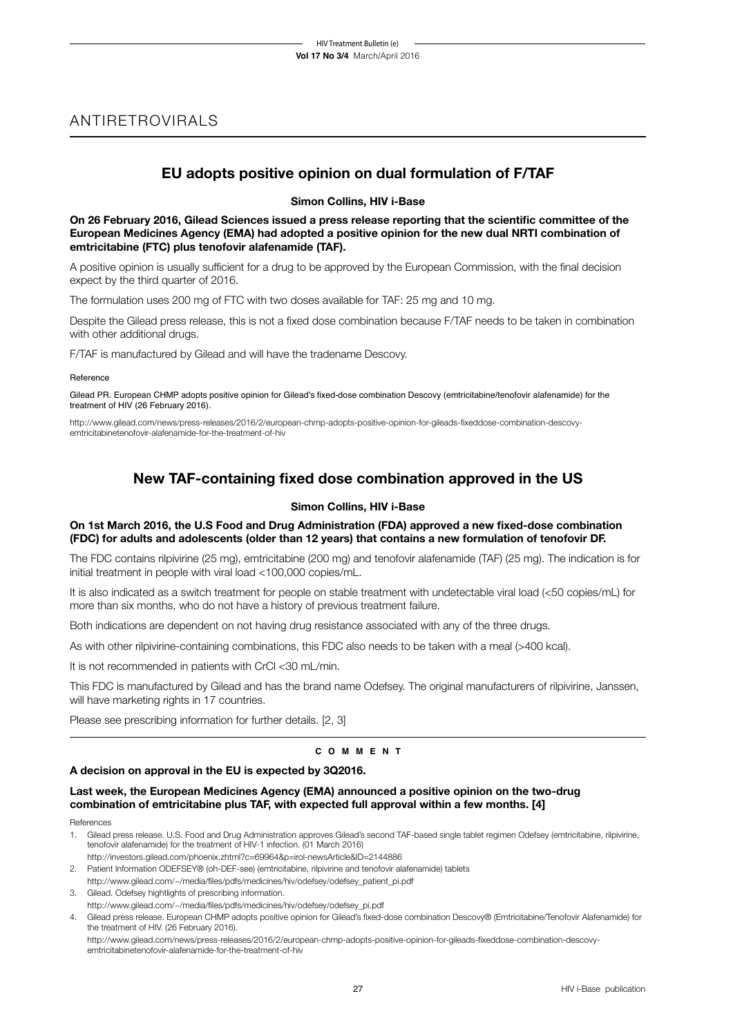## ANTIRETROVIRALS

## **EU adopts positive opinion on dual formulation of F/TAF**

## **Simon Collins, HIV i-Base**

**On 26 February 2016, Gilead Sciences issued a press release reporting that the scientific committee of the European Medicines Agency (EMA) had adopted a positive opinion for the new dual NRTI combination of emtricitabine (FTC) plus tenofovir alafenamide (TAF).**

A positive opinion is usually sufficient for a drug to be approved by the European Commission, with the final decision expect by the third quarter of 2016.

The formulation uses 200 mg of FTC with two doses available for TAF: 25 mg and 10 mg.

Despite the Gilead press release, this is not a fixed dose combination because F/TAF needs to be taken in combination with other additional drugs.

F/TAF is manufactured by Gilead and will have the tradename Descovy.

#### Reference

Gilead PR. European CHMP adopts positive opinion for Gilead's fixed-dose combination Descovy (emtricitabine/tenofovir alafenamide) for the treatment of HIV (26 February 2016).

http://www.gilead.com/news/press-releases/2016/2/european-chmp-adopts-positive-opinion-for-gileads-fixeddose-combination-descovyemtricitabinetenofovir-alafenamide-for-the-treatment-of-hiv

## **New TAF-containing fixed dose combination approved in the US**

## **Simon Collins, HIV i-Base**

## **On 1st March 2016, the U.S Food and Drug Administration (FDA) approved a new fixed-dose combination (FDC) for adults and adolescents (older than 12 years) that contains a new formulation of tenofovir DF.**

The FDC contains rilpivirine (25 mg), emtricitabine (200 mg) and tenofovir alafenamide (TAF) (25 mg). The indication is for initial treatment in people with viral load <100,000 copies/mL.

It is also indicated as a switch treatment for people on stable treatment with undetectable viral load (<50 copies/mL) for more than six months, who do not have a history of previous treatment failure.

Both indications are dependent on not having drug resistance associated with any of the three drugs.

As with other rilpivirine-containing combinations, this FDC also needs to be taken with a meal (>400 kcal).

It is not recommended in patients with CrCl <30 mL/min.

This FDC is manufactured by Gilead and has the brand name Odefsey. The original manufacturers of rilpivirine, Janssen, will have marketing rights in 17 countries.

Please see prescribing information for further details. [2, 3]

## **c o m m e n t**

## **A decision on approval in the EU is expected by 3Q2016.**

## **Last week, the European Medicines Agency (EMA) announced a positive opinion on the two-drug combination of emtricitabine plus TAF, with expected full approval within a few months. [4]**

References

1. Gilead press release. U.S. Food and Drug Administration approves Gilead's second TAF-based single tablet regimen Odefsey (emtricitabine, rilpivirine, tenofovir alafenamide) for the treatment of HIV-1 infection. (01 March 2016)

http://investors.gilead.com/phoenix.zhtml?c=69964&p=irol-newsArticle&ID=2144886 2. Patient Information ODEFSEY® (oh-DEF-see) (emtricitabine, rilpivirine and tenofovir alafenamide) tablets

- http://www.gilead.com/~/media/files/pdfs/medicines/hiv/odefsey/odefsey\_patient\_pi.pdf
- 3. Gilead. Odefsey hightlights of prescribing information.
- http://www.gilead.com/~/media/files/pdfs/medicines/hiv/odefsey/odefsey\_pi.pdf
- 4. Gilead press release. European CHMP adopts positive opinion for Gilead's fixed-dose combination Descovy® (Emtricitabine/Tenofovir Alafenamide) for the treatment of HIV. (26 February 2016).

http://www.gilead.com/news/press-releases/2016/2/european-chmp-adopts-positive-opinion-for-gileads-fixeddose-combination-descovyemtricitabinetenofovir-alafenamide-for-the-treatment-of-hiv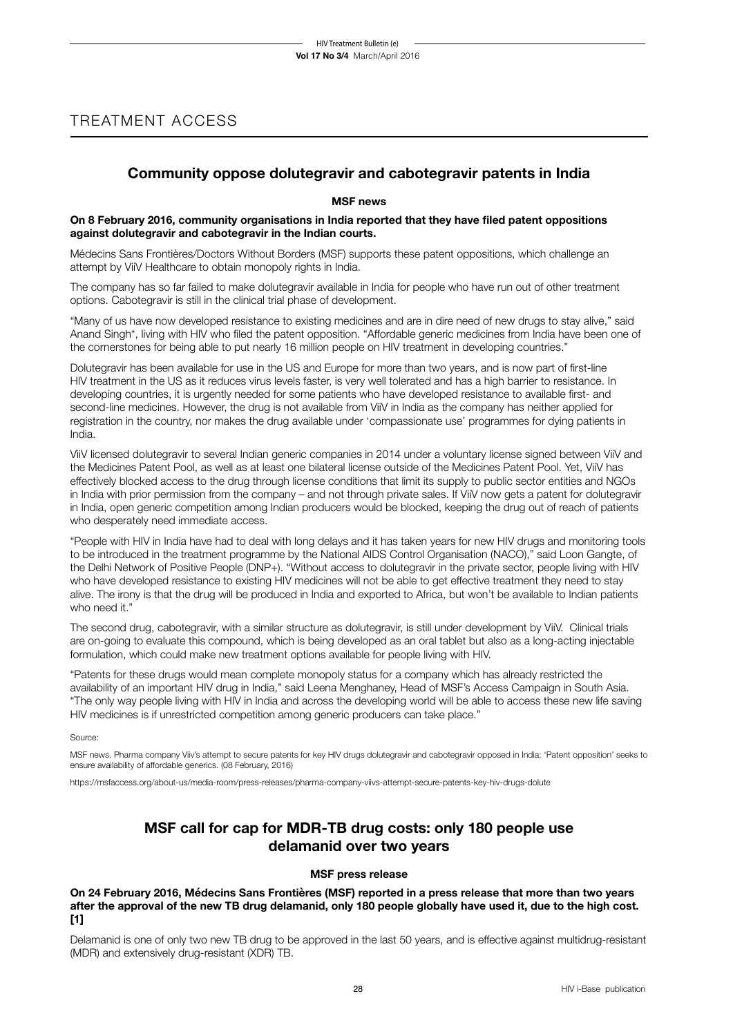## TREATMENT ACCESS

## **Community oppose dolutegravir and cabotegravir patents in India**

## **MSF news**

## **On 8 February 2016, community organisations in India reported that they have filed patent oppositions against dolutegravir and cabotegravir in the Indian courts.**

Médecins Sans Frontières/Doctors Without Borders (MSF) supports these patent oppositions, which challenge an attempt by ViiV Healthcare to obtain monopoly rights in India.

The company has so far failed to make dolutegravir available in India for people who have run out of other treatment options. Cabotegravir is still in the clinical trial phase of development.

"Many of us have now developed resistance to existing medicines and are in dire need of new drugs to stay alive," said Anand Singh\*, living with HIV who filed the patent opposition. "Affordable generic medicines from India have been one of the cornerstones for being able to put nearly 16 million people on HIV treatment in developing countries."

Dolutegravir has been available for use in the US and Europe for more than two years, and is now part of first-line HIV treatment in the US as it reduces virus levels faster, is very well tolerated and has a high barrier to resistance. In developing countries, it is urgently needed for some patients who have developed resistance to available first- and second-line medicines. However, the drug is not available from ViiV in India as the company has neither applied for registration in the country, nor makes the drug available under 'compassionate use' programmes for dying patients in India.

ViiV licensed dolutegravir to several Indian generic companies in 2014 under a voluntary license signed between ViiV and the Medicines Patent Pool, as well as at least one bilateral license outside of the Medicines Patent Pool. Yet, ViiV has effectively blocked access to the drug through license conditions that limit its supply to public sector entities and NGOs in India with prior permission from the company – and not through private sales. If ViiV now gets a patent for dolutegravir in India, open generic competition among Indian producers would be blocked, keeping the drug out of reach of patients who desperately need immediate access.

"People with HIV in India have had to deal with long delays and it has taken years for new HIV drugs and monitoring tools to be introduced in the treatment programme by the National AIDS Control Organisation (NACO)," said Loon Gangte, of the Delhi Network of Positive People (DNP+). "Without access to dolutegravir in the private sector, people living with HIV who have developed resistance to existing HIV medicines will not be able to get effective treatment they need to stay alive. The irony is that the drug will be produced in India and exported to Africa, but won't be available to Indian patients who need it."

The second drug, cabotegravir, with a similar structure as dolutegravir, is still under development by ViiV. Clinical trials are on-going to evaluate this compound, which is being developed as an oral tablet but also as a long-acting injectable formulation, which could make new treatment options available for people living with HIV.

"Patents for these drugs would mean complete monopoly status for a company which has already restricted the availability of an important HIV drug in India," said Leena Menghaney, Head of MSF's Access Campaign in South Asia. "The only way people living with HIV in India and across the developing world will be able to access these new life saving HIV medicines is if unrestricted competition among generic producers can take place."

Source:

MSF news. Pharma company Viiv's attempt to secure patents for key HIV drugs dolutegravir and cabotegravir opposed in India: 'Patent opposition' seeks to ensure availability of affordable generics. (08 February, 2016)

https://msfaccess.org/about-us/media-room/press-releases/pharma-company-viivs-attempt-secure-patents-key-hiv-drugs-dolute

## **MSF call for cap for MDR-TB drug costs: only 180 people use delamanid over two years**

## **MSF press release**

**On 24 February 2016, Médecins Sans Frontières (MSF) reported in a press release that more than two years after the approval of the new TB drug delamanid, only 180 people globally have used it, due to the high cost. [1]**

Delamanid is one of only two new TB drug to be approved in the last 50 years, and is effective against multidrug-resistant (MDR) and extensively drug-resistant (XDR) TB.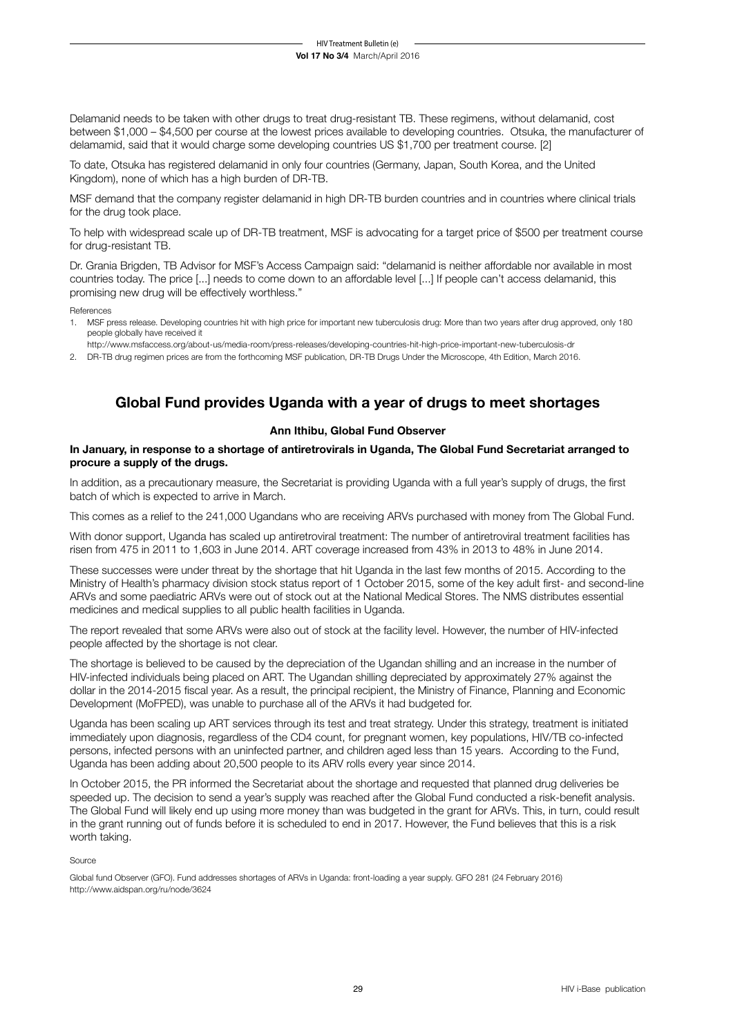Delamanid needs to be taken with other drugs to treat drug-resistant TB. These regimens, without delamanid, cost between \$1,000 – \$4,500 per course at the lowest prices available to developing countries. Otsuka, the manufacturer of delamamid, said that it would charge some developing countries US \$1,700 per treatment course. [2]

To date, Otsuka has registered delamanid in only four countries (Germany, Japan, South Korea, and the United Kingdom), none of which has a high burden of DR-TB.

MSF demand that the company register delamanid in high DR-TB burden countries and in countries where clinical trials for the drug took place.

To help with widespread scale up of DR-TB treatment, MSF is advocating for a target price of \$500 per treatment course for drug-resistant TB.

Dr. Grania Brigden, TB Advisor for MSF's Access Campaign said: "delamanid is neither affordable nor available in most countries today. The price [...] needs to come down to an affordable level [...] If people can't access delamanid, this promising new drug will be effectively worthless."

References

- 1. MSF press release. Developing countries hit with high price for important new tuberculosis drug: More than two years after drug approved, only 180 people globally have received it
- http://www.msfaccess.org/about-us/media-room/press-releases/developing-countries-hit-high-price-important-new-tuberculosis-dr
- 2. DR-TB drug regimen prices are from the forthcoming MSF publication, DR-TB Drugs Under the Microscope, 4th Edition, March 2016.

## **Global Fund provides Uganda with a year of drugs to meet shortages**

## **Ann Ithibu, Global Fund Observer**

## **In January, in response to a shortage of antiretrovirals in Uganda, The Global Fund Secretariat arranged to procure a supply of the drugs.**

In addition, as a precautionary measure, the Secretariat is providing Uganda with a full year's supply of drugs, the first batch of which is expected to arrive in March.

This comes as a relief to the 241,000 Ugandans who are receiving ARVs purchased with money from The Global Fund.

With donor support, Uganda has scaled up antiretroviral treatment: The number of antiretroviral treatment facilities has risen from 475 in 2011 to 1,603 in June 2014. ART coverage increased from 43% in 2013 to 48% in June 2014.

These successes were under threat by the shortage that hit Uganda in the last few months of 2015. According to the Ministry of Health's pharmacy division stock status report of 1 October 2015, some of the key adult first- and second-line ARVs and some paediatric ARVs were out of stock out at the National Medical Stores. The NMS distributes essential medicines and medical supplies to all public health facilities in Uganda.

The report revealed that some ARVs were also out of stock at the facility level. However, the number of HIV-infected people affected by the shortage is not clear.

The shortage is believed to be caused by the depreciation of the Ugandan shilling and an increase in the number of HIV-infected individuals being placed on ART. The Ugandan shilling depreciated by approximately 27% against the dollar in the 2014-2015 fiscal year. As a result, the principal recipient, the Ministry of Finance, Planning and Economic Development (MoFPED), was unable to purchase all of the ARVs it had budgeted for.

Uganda has been scaling up ART services through its test and treat strategy. Under this strategy, treatment is initiated immediately upon diagnosis, regardless of the CD4 count, for pregnant women, key populations, HIV/TB co-infected persons, infected persons with an uninfected partner, and children aged less than 15 years. According to the Fund, Uganda has been adding about 20,500 people to its ARV rolls every year since 2014.

In October 2015, the PR informed the Secretariat about the shortage and requested that planned drug deliveries be speeded up. The decision to send a year's supply was reached after the Global Fund conducted a risk-benefit analysis. The Global Fund will likely end up using more money than was budgeted in the grant for ARVs. This, in turn, could result in the grant running out of funds before it is scheduled to end in 2017. However, the Fund believes that this is a risk worth taking.

Source

Global fund Observer (GFO). Fund addresses shortages of ARVs in Uganda: front-loading a year supply. GFO 281 (24 February 2016) http://www.aidspan.org/ru/node/3624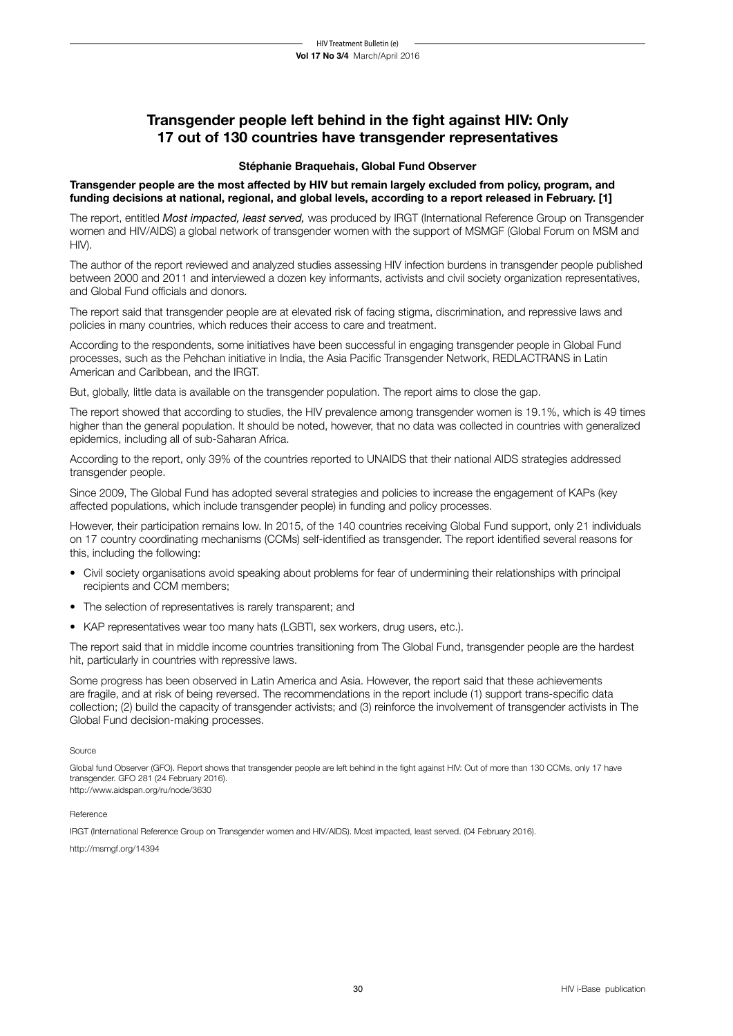## **Transgender people left behind in the fight against HIV: Only 17 out of 130 countries have transgender representatives**

## **Stéphanie Braquehais, Global Fund Observer**

## **Transgender people are the most affected by HIV but remain largely excluded from policy, program, and funding decisions at national, regional, and global levels, according to a report released in February. [1]**

The report, entitled *Most impacted, least served,* was produced by IRGT (International Reference Group on Transgender women and HIV/AIDS) a global network of transgender women with the support of MSMGF (Global Forum on MSM and HIV).

The author of the report reviewed and analyzed studies assessing HIV infection burdens in transgender people published between 2000 and 2011 and interviewed a dozen key informants, activists and civil society organization representatives, and Global Fund officials and donors.

The report said that transgender people are at elevated risk of facing stigma, discrimination, and repressive laws and policies in many countries, which reduces their access to care and treatment.

According to the respondents, some initiatives have been successful in engaging transgender people in Global Fund processes, such as the Pehchan initiative in India, the Asia Pacific Transgender Network, REDLACTRANS in Latin American and Caribbean, and the IRGT.

But, globally, little data is available on the transgender population. The report aims to close the gap.

The report showed that according to studies, the HIV prevalence among transgender women is 19.1%, which is 49 times higher than the general population. It should be noted, however, that no data was collected in countries with generalized epidemics, including all of sub-Saharan Africa.

According to the report, only 39% of the countries reported to UNAIDS that their national AIDS strategies addressed transgender people.

Since 2009, The Global Fund has adopted several strategies and policies to increase the engagement of KAPs (key affected populations, which include transgender people) in funding and policy processes.

However, their participation remains low. In 2015, of the 140 countries receiving Global Fund support, only 21 individuals on 17 country coordinating mechanisms (CCMs) self-identified as transgender. The report identified several reasons for this, including the following:

- Civil society organisations avoid speaking about problems for fear of undermining their relationships with principal recipients and CCM members;
- The selection of representatives is rarely transparent; and
- KAP representatives wear too many hats (LGBTI, sex workers, drug users, etc.).

The report said that in middle income countries transitioning from The Global Fund, transgender people are the hardest hit, particularly in countries with repressive laws.

Some progress has been observed in Latin America and Asia. However, the report said that these achievements are fragile, and at risk of being reversed. The recommendations in the report include (1) support trans-specific data collection; (2) build the capacity of transgender activists; and (3) reinforce the involvement of transgender activists in The Global Fund decision-making processes.

## Source

Global fund Observer (GFO). Report shows that transgender people are left behind in the fight against HIV: Out of more than 130 CCMs, only 17 have transgender. GFO 281 (24 February 2016). http://www.aidspan.org/ru/node/3630

## Reference

IRGT (International Reference Group on Transgender women and HIV/AIDS). Most impacted, least served. (04 February 2016).

http://msmgf.org/14394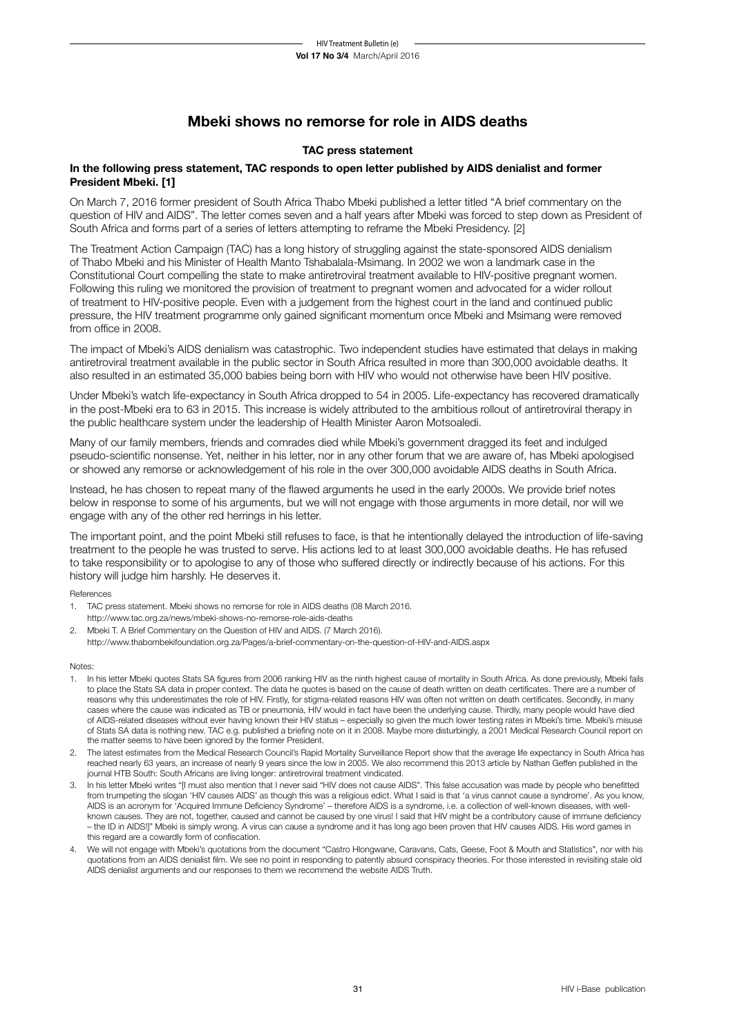## **Mbeki shows no remorse for role in AIDS deaths**

## **TAC press statement**

## **In the following press statement, TAC responds to open letter published by AIDS denialist and former President Mbeki. [1]**

On March 7, 2016 former president of South Africa Thabo Mbeki published a letter titled "A brief commentary on the question of HIV and AIDS". The letter comes seven and a half years after Mbeki was forced to step down as President of South Africa and forms part of a series of letters attempting to reframe the Mbeki Presidency. [2]

The Treatment Action Campaign (TAC) has a long history of struggling against the state-sponsored AIDS denialism of Thabo Mbeki and his Minister of Health Manto Tshabalala-Msimang. In 2002 we won a landmark case in the Constitutional Court compelling the state to make antiretroviral treatment available to HIV-positive pregnant women. Following this ruling we monitored the provision of treatment to pregnant women and advocated for a wider rollout of treatment to HIV-positive people. Even with a judgement from the highest court in the land and continued public pressure, the HIV treatment programme only gained significant momentum once Mbeki and Msimang were removed from office in 2008.

The impact of Mbeki's AIDS denialism was catastrophic. Two independent studies have estimated that delays in making antiretroviral treatment available in the public sector in South Africa resulted in more than 300,000 avoidable deaths. It also resulted in an estimated 35,000 babies being born with HIV who would not otherwise have been HIV positive.

Under Mbeki's watch life-expectancy in South Africa dropped to 54 in 2005. Life-expectancy has recovered dramatically in the post-Mbeki era to 63 in 2015. This increase is widely attributed to the ambitious rollout of antiretroviral therapy in the public healthcare system under the leadership of Health Minister Aaron Motsoaledi.

Many of our family members, friends and comrades died while Mbeki's government dragged its feet and indulged pseudo-scientific nonsense. Yet, neither in his letter, nor in any other forum that we are aware of, has Mbeki apologised or showed any remorse or acknowledgement of his role in the over 300,000 avoidable AIDS deaths in South Africa.

Instead, he has chosen to repeat many of the flawed arguments he used in the early 2000s. We provide brief notes below in response to some of his arguments, but we will not engage with those arguments in more detail, nor will we engage with any of the other red herrings in his letter.

The important point, and the point Mbeki still refuses to face, is that he intentionally delayed the introduction of life-saving treatment to the people he was trusted to serve. His actions led to at least 300,000 avoidable deaths. He has refused to take responsibility or to apologise to any of those who suffered directly or indirectly because of his actions. For this history will judge him harshly. He deserves it.

References

- 1. TAC press statement. Mbeki shows no remorse for role in AIDS deaths (08 March 2016. http://www.tac.org.za/news/mbeki-shows-no-remorse-role-aids-deaths
- 2. Mbeki T. A Brief Commentary on the Question of HIV and AIDS. (7 March 2016). http://www.thabombekifoundation.org.za/Pages/a-brief-commentary-on-the-question-of-HIV-and-AIDS.aspx

Notes:

- 1. In his letter Mbeki quotes Stats SA figures from 2006 ranking HIV as the ninth highest cause of mortality in South Africa. As done previously, Mbeki fails to place the Stats SA data in proper context. The data he quotes is based on the cause of death written on death certificates. There are a number of reasons why this underestimates the role of HIV. Firstly, for stigma-related reasons HIV was often not written on death certificates. Secondly, in many cases where the cause was indicated as TB or pneumonia, HIV would in fact have been the underlying cause. Thirdly, many people would have died of AIDS-related diseases without ever having known their HIV status – especially so given the much lower testing rates in Mbeki's time. Mbeki's misuse of Stats SA data is nothing new. TAC e.g. published a briefing note on it in 2008. Maybe more disturbingly, a 2001 Medical Research Council report on the matter seems to have been ignored by the former President.
- 2. The latest estimates from the Medical Research Council's Rapid Mortality Surveillance Report show that the average life expectancy in South Africa has reached nearly 63 years, an increase of nearly 9 years since the low in 2005. We also recommend this 2013 article by Nathan Geffen published in the journal HTB South: South Africans are living longer: antiretroviral treatment vindicated.
- 3. In his letter Mbeki writes "[I must also mention that I never said "HIV does not cause AIDS". This false accusation was made by people who benefitted from trumpeting the slogan 'HIV causes AIDS' as though this was a religious edict. What I said is that 'a virus cannot cause a syndrome'. As you know, AIDS is an acronym for 'Acquired Immune Deficiency Syndrome' – therefore AIDS is a syndrome, i.e. a collection of well-known diseases, with wellknown causes. They are not, together, caused and cannot be caused by one virus! I said that HIV might be a contributory cause of immune deficiency – the ID in AIDS!]" Mbeki is simply wrong. A virus can cause a syndrome and it has long ago been proven that HIV causes AIDS. His word games in this regard are a cowardly form of confiscation.
- 4. We will not engage with Mbeki's quotations from the document "Castro Hlongwane, Caravans, Cats, Geese, Foot & Mouth and Statistics", nor with his quotations from an AIDS denialist film. We see no point in responding to patently absurd conspiracy theories. For those interested in revisiting stale old AIDS denialist arguments and our responses to them we recommend the website AIDS Truth.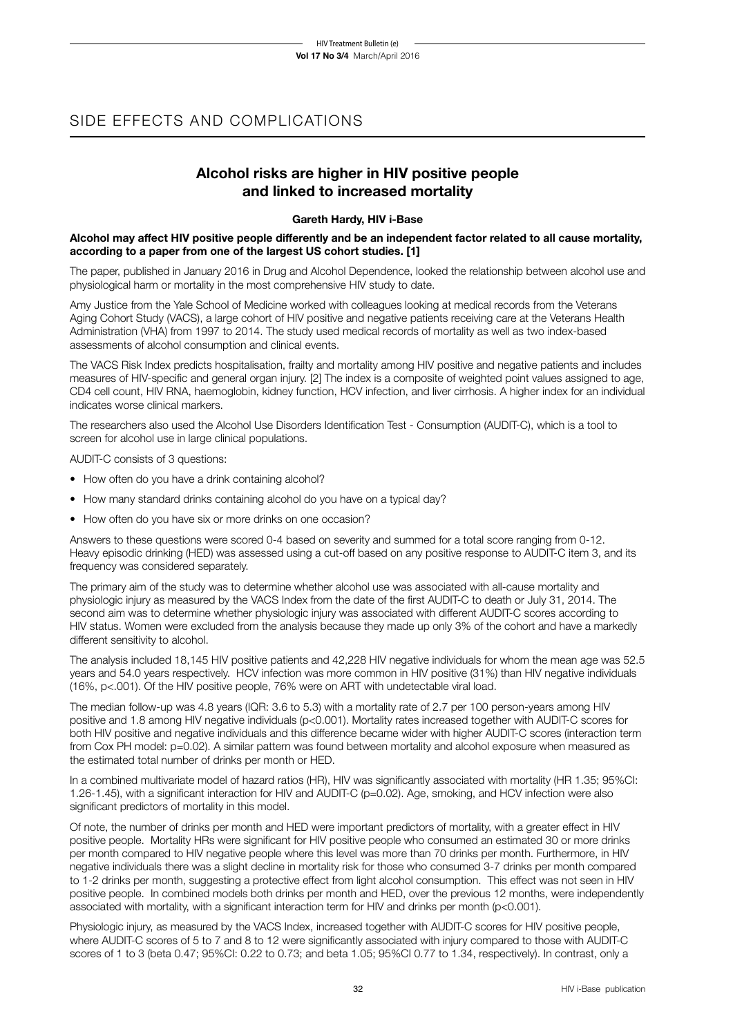## SIDE EFFECTS AND COMPLICATIONS

## **Alcohol risks are higher in HIV positive people and linked to increased mortality**

## **Gareth Hardy, HIV i-Base**

## **Alcohol may affect HIV positive people differently and be an independent factor related to all cause mortality, according to a paper from one of the largest US cohort studies. [1]**

The paper, published in January 2016 in Drug and Alcohol Dependence, looked the relationship between alcohol use and physiological harm or mortality in the most comprehensive HIV study to date.

Amy Justice from the Yale School of Medicine worked with colleagues looking at medical records from the Veterans Aging Cohort Study (VACS), a large cohort of HIV positive and negative patients receiving care at the Veterans Health Administration (VHA) from 1997 to 2014. The study used medical records of mortality as well as two index-based assessments of alcohol consumption and clinical events.

The VACS Risk Index predicts hospitalisation, frailty and mortality among HIV positive and negative patients and includes measures of HIV-specific and general organ injury. [2] The index is a composite of weighted point values assigned to age, CD4 cell count, HIV RNA, haemoglobin, kidney function, HCV infection, and liver cirrhosis. A higher index for an individual indicates worse clinical markers.

The researchers also used the Alcohol Use Disorders Identification Test - Consumption (AUDIT-C), which is a tool to screen for alcohol use in large clinical populations.

AUDIT-C consists of 3 questions:

- How often do you have a drink containing alcohol?
- How many standard drinks containing alcohol do you have on a typical day?
- How often do you have six or more drinks on one occasion?

Answers to these questions were scored 0-4 based on severity and summed for a total score ranging from 0-12. Heavy episodic drinking (HED) was assessed using a cut-off based on any positive response to AUDIT-C item 3, and its frequency was considered separately.

The primary aim of the study was to determine whether alcohol use was associated with all-cause mortality and physiologic injury as measured by the VACS Index from the date of the first AUDIT-C to death or July 31, 2014. The second aim was to determine whether physiologic injury was associated with different AUDIT-C scores according to HIV status. Women were excluded from the analysis because they made up only 3% of the cohort and have a markedly different sensitivity to alcohol.

The analysis included 18,145 HIV positive patients and 42,228 HIV negative individuals for whom the mean age was 52.5 years and 54.0 years respectively. HCV infection was more common in HIV positive (31%) than HIV negative individuals (16%, p<.001). Of the HIV positive people, 76% were on ART with undetectable viral load.

The median follow-up was 4.8 years (IQR: 3.6 to 5.3) with a mortality rate of 2.7 per 100 person-years among HIV positive and 1.8 among HIV negative individuals (p<0.001). Mortality rates increased together with AUDIT-C scores for both HIV positive and negative individuals and this difference became wider with higher AUDIT-C scores (interaction term from Cox PH model: p=0.02). A similar pattern was found between mortality and alcohol exposure when measured as the estimated total number of drinks per month or HED.

In a combined multivariate model of hazard ratios (HR), HIV was significantly associated with mortality (HR 1.35; 95%CI: 1.26-1.45), with a significant interaction for HIV and AUDIT-C (p=0.02). Age, smoking, and HCV infection were also significant predictors of mortality in this model.

Of note, the number of drinks per month and HED were important predictors of mortality, with a greater effect in HIV positive people. Mortality HRs were significant for HIV positive people who consumed an estimated 30 or more drinks per month compared to HIV negative people where this level was more than 70 drinks per month. Furthermore, in HIV negative individuals there was a slight decline in mortality risk for those who consumed 3-7 drinks per month compared to 1-2 drinks per month, suggesting a protective effect from light alcohol consumption. This effect was not seen in HIV positive people. In combined models both drinks per month and HED, over the previous 12 months, were independently associated with mortality, with a significant interaction term for HIV and drinks per month (p<0.001).

Physiologic injury, as measured by the VACS Index, increased together with AUDIT-C scores for HIV positive people, where AUDIT-C scores of 5 to 7 and 8 to 12 were significantly associated with injury compared to those with AUDIT-C scores of 1 to 3 (beta 0.47; 95%CI: 0.22 to 0.73; and beta 1.05; 95%CI 0.77 to 1.34, respectively). In contrast, only a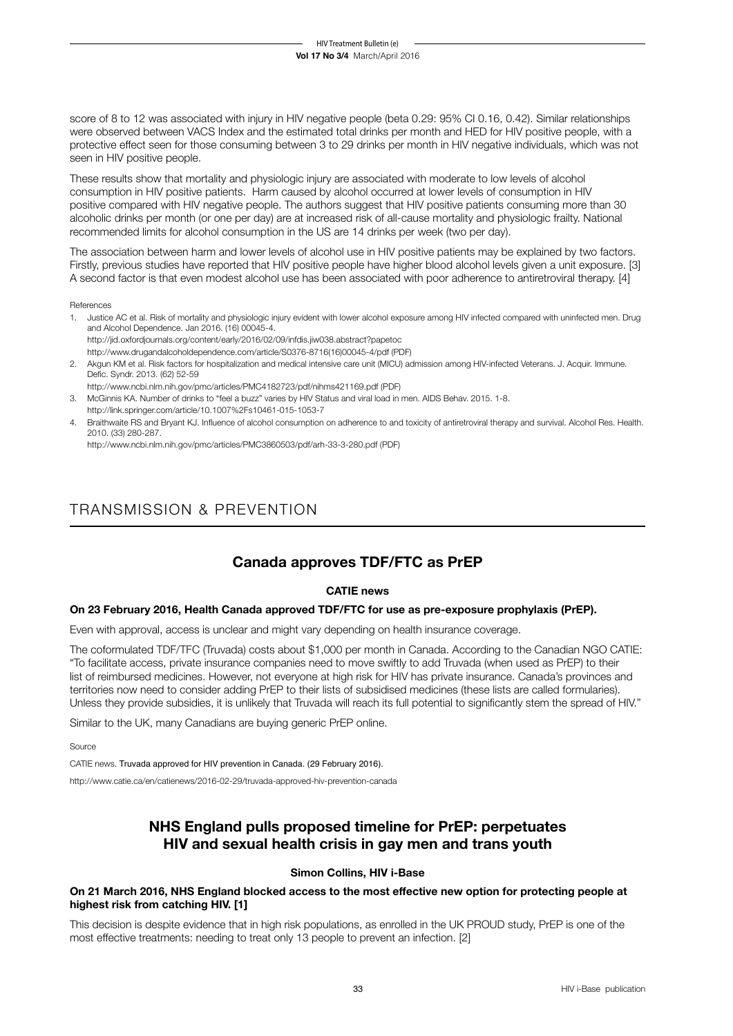score of 8 to 12 was associated with injury in HIV negative people (beta 0.29: 95% CI 0.16, 0.42). Similar relationships were observed between VACS Index and the estimated total drinks per month and HED for HIV positive people, with a protective effect seen for those consuming between 3 to 29 drinks per month in HIV negative individuals, which was not seen in HIV positive people.

These results show that mortality and physiologic injury are associated with moderate to low levels of alcohol consumption in HIV positive patients. Harm caused by alcohol occurred at lower levels of consumption in HIV positive compared with HIV negative people. The authors suggest that HIV positive patients consuming more than 30 alcoholic drinks per month (or one per day) are at increased risk of all-cause mortality and physiologic frailty. National recommended limits for alcohol consumption in the US are 14 drinks per week (two per day).

The association between harm and lower levels of alcohol use in HIV positive patients may be explained by two factors. Firstly, previous studies have reported that HIV positive people have higher blood alcohol levels given a unit exposure. [3] A second factor is that even modest alcohol use has been associated with poor adherence to antiretroviral therapy. [4]

References

- 1. Justice AC et al. Risk of mortality and physiologic injury evident with lower alcohol exposure among HIV infected compared with uninfected men. Drug and Alcohol Dependence. Jan 2016. (16) 00045-4. http://jid.oxfordjournals.org/content/early/2016/02/09/infdis.jiw038.abstract?papetoc
	- http://www.drugandalcoholdependence.com/article/S0376-8716(16)00045-4/pdf (PDF)
- 2. Akgun KM et al. Risk factors for hospitalization and medical intensive care unit (MICU) admission among HIV-infected Veterans. J. Acquir. Immune. Defic. Syndr. 2013. (62) 52-59
- http://www.ncbi.nlm.nih.gov/pmc/articles/PMC4182723/pdf/nihms421169.pdf (PDF)
- 3. McGinnis KA. Number of drinks to "feel a buzz" varies by HIV Status and viral load in men. AIDS Behav. 2015. 1-8.
- http://link.springer.com/article/10.1007%2Fs10461-015-1053-7
- 4. Braithwaite RS and Bryant KJ. Influence of alcohol consumption on adherence to and toxicity of antiretroviral therapy and survival. Alcohol Res. Health. 2010. (33) 280-287.

http://www.ncbi.nlm.nih.gov/pmc/articles/PMC3860503/pdf/arh-33-3-280.pdf (PDF)

## TRANSMISSION & PREVENTION

## **Canada approves TDF/FTC as PrEP**

## **CATIE news**

## **On 23 February 2016, Health Canada approved TDF/FTC for use as pre-exposure prophylaxis (PrEP).**

Even with approval, access is unclear and might vary depending on health insurance coverage.

The coformulated TDF/TFC (Truvada) costs about \$1,000 per month in Canada. According to the Canadian NGO CATIE: "To facilitate access, private insurance companies need to move swiftly to add Truvada (when used as PrEP) to their list of reimbursed medicines. However, not everyone at high risk for HIV has private insurance. Canada's provinces and territories now need to consider adding PrEP to their lists of subsidised medicines (these lists are called formularies). Unless they provide subsidies, it is unlikely that Truvada will reach its full potential to significantly stem the spread of HIV."

Similar to the UK, many Canadians are buying generic PrEP online.

Source

CATIE news. Truvada approved for HIV prevention in Canada. (29 February 2016).

http://www.catie.ca/en/catienews/2016-02-29/truvada-approved-hiv-prevention-canada

## **NHS England pulls proposed timeline for PrEP: perpetuates HIV and sexual health crisis in gay men and trans youth**

## **Simon Collins, HIV i-Base**

**On 21 March 2016, NHS England blocked access to the most effective new option for protecting people at highest risk from catching HIV. [1]**

This decision is despite evidence that in high risk populations, as enrolled in the UK PROUD study, PrEP is one of the most effective treatments: needing to treat only 13 people to prevent an infection. [2]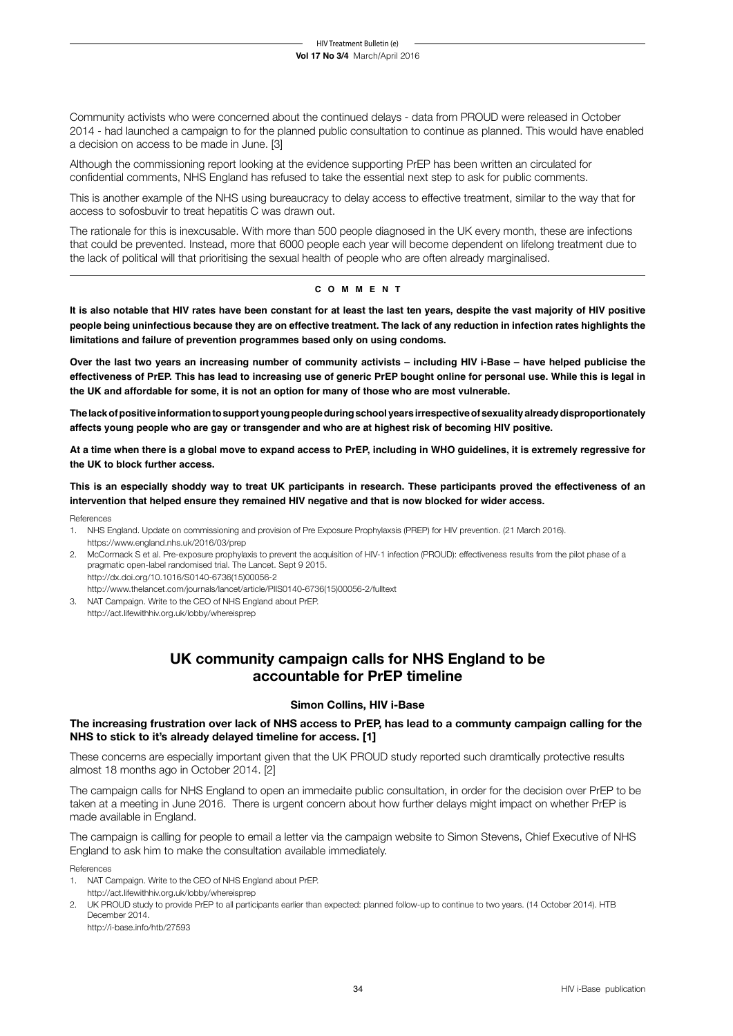Community activists who were concerned about the continued delays - data from PROUD were released in October 2014 - had launched a campaign to for the planned public consultation to continue as planned. This would have enabled a decision on access to be made in June. [3]

Although the commissioning report looking at the evidence supporting PrEP has been written an circulated for confidential comments, NHS England has refused to take the essential next step to ask for public comments.

This is another example of the NHS using bureaucracy to delay access to effective treatment, similar to the way that for access to sofosbuvir to treat hepatitis C was drawn out.

The rationale for this is inexcusable. With more than 500 people diagnosed in the UK every month, these are infections that could be prevented. Instead, more that 6000 people each year will become dependent on lifelong treatment due to the lack of political will that prioritising the sexual health of people who are often already marginalised.

## **c o m m e n t**

**It is also notable that HIV rates have been constant for at least the last ten years, despite the vast majority of HIV positive people being uninfectious because they are on effective treatment. The lack of any reduction in infection rates highlights the limitations and failure of prevention programmes based only on using condoms.**

**Over the last two years an increasing number of community activists – including HIV i-Base – have helped publicise the effectiveness of PrEP. This has lead to increasing use of generic PrEP bought online for personal use. While this is legal in the UK and affordable for some, it is not an option for many of those who are most vulnerable.**

**The lack of positive information to support young people during school years irrespective of sexuality already disproportionately affects young people who are gay or transgender and who are at highest risk of becoming HIV positive.**

**At a time when there is a global move to expand access to PrEP, including in WHO guidelines, it is extremely regressive for the UK to block further access.**

**This is an especially shoddy way to treat UK participants in research. These participants proved the effectiveness of an intervention that helped ensure they remained HIV negative and that is now blocked for wider access.**

References

- 1. NHS England. Update on commissioning and provision of Pre Exposure Prophylaxsis (PREP) for HIV prevention. (21 March 2016). https://www.england.nhs.uk/2016/03/prep
- 2. McCormack S et al. Pre-exposure prophylaxis to prevent the acquisition of HIV-1 infection (PROUD): effectiveness results from the pilot phase of a pragmatic open-label randomised trial. The Lancet. Sept 9 2015. http://dx.doi.org/10.1016/S0140-6736(15)00056-2
	- http://www.thelancet.com/journals/lancet/article/PIIS0140-6736(15)00056-2/fulltext
- 3. NAT Campaign. Write to the CEO of NHS England about PrEP. http://act.lifewithhiv.org.uk/lobby/whereisprep

## **UK community campaign calls for NHS England to be accountable for PrEP timeline**

## **Simon Collins, HIV i-Base**

## **The increasing frustration over lack of NHS access to PrEP, has lead to a communty campaign calling for the NHS to stick to it's already delayed timeline for access. [1]**

These concerns are especially important given that the UK PROUD study reported such dramtically protective results almost 18 months ago in October 2014. [2]

The campaign calls for NHS England to open an immedaite public consultation, in order for the decision over PrEP to be taken at a meeting in June 2016. There is urgent concern about how further delays might impact on whether PrEP is made available in England.

The campaign is calling for people to email a letter via the campaign website to Simon Stevens, Chief Executive of NHS England to ask him to make the consultation available immediately.

References

- 1. NAT Campaign. Write to the CEO of NHS England about PrEP. http://act.lifewithhiv.org.uk/lobby/whereisprep
- 2. UK PROUD study to provide PrEP to all participants earlier than expected: planned follow-up to continue to two years. (14 October 2014). HTB December 2014.

http://i-base.info/htb/27593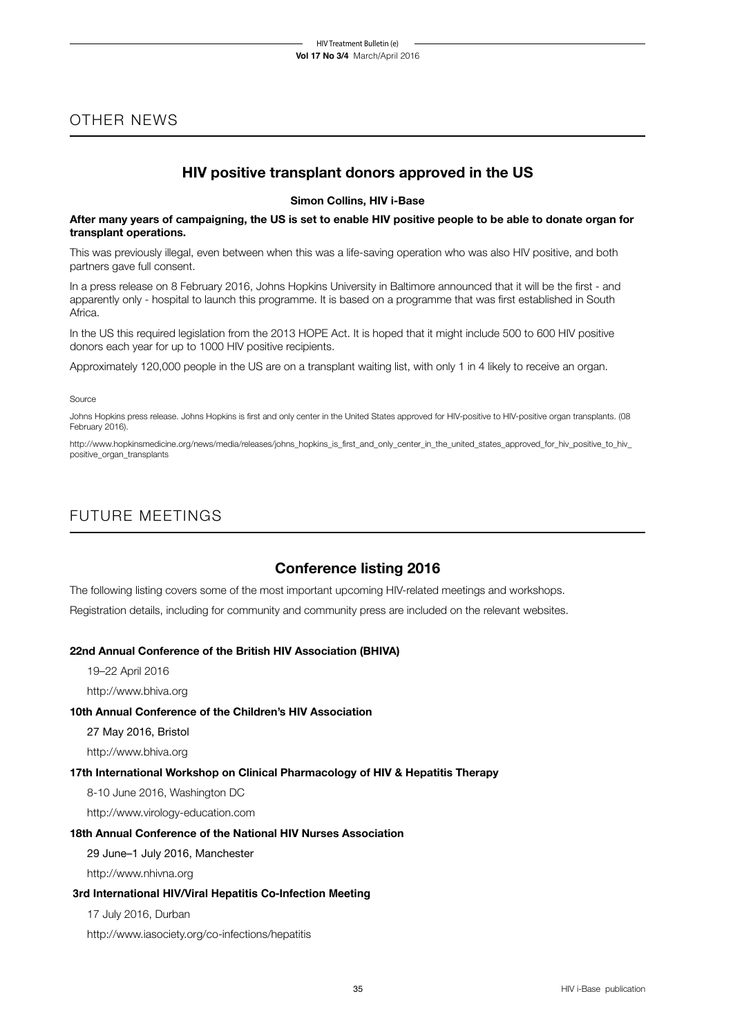## OTHER NEWS

## **HIV positive transplant donors approved in the US**

**Simon Collins, HIV i-Base**

**After many years of campaigning, the US is set to enable HIV positive people to be able to donate organ for transplant operations.**

This was previously illegal, even between when this was a life-saving operation who was also HIV positive, and both partners gave full consent.

In a press release on 8 February 2016, Johns Hopkins University in Baltimore announced that it will be the first - and apparently only - hospital to launch this programme. It is based on a programme that was first established in South Africa.

In the US this required legislation from the 2013 HOPE Act. It is hoped that it might include 500 to 600 HIV positive donors each year for up to 1000 HIV positive recipients.

Approximately 120,000 people in the US are on a transplant waiting list, with only 1 in 4 likely to receive an organ.

#### Source

Johns Hopkins press release. Johns Hopkins is first and only center in the United States approved for HIV-positive to HIV-positive organ transplants. (08 February 2016).

http://www.hopkinsmedicine.org/news/media/releases/johns\_hopkins\_is\_first\_and\_only\_center\_in\_the\_united\_states\_approved\_for\_hiv\_positive\_to\_hiv\_ positive\_organ\_transplants

## FUTURE MEETINGS

## **Conference listing 2016**

The following listing covers some of the most important upcoming HIV-related meetings and workshops. Registration details, including for community and community press are included on the relevant websites.

## **22nd Annual Conference of the British HIV Association (BHIVA)**

19–22 April 2016

http://www.bhiva.org

## **10th Annual Conference of the Children's HIV Association**

27 May 2016, Bristol

http://www.bhiva.org

## **17th International Workshop on Clinical Pharmacology of HIV & Hepatitis Therapy**

8-10 June 2016, Washington DC

http://www.virology-education.com

## **18th Annual Conference of the National HIV Nurses Association**

29 June–1 July 2016, Manchester

http://www.nhivna.org

## **3rd International HIV/Viral Hepatitis Co-Infection Meeting**

17 July 2016, Durban

http://www.iasociety.org/co-infections/hepatitis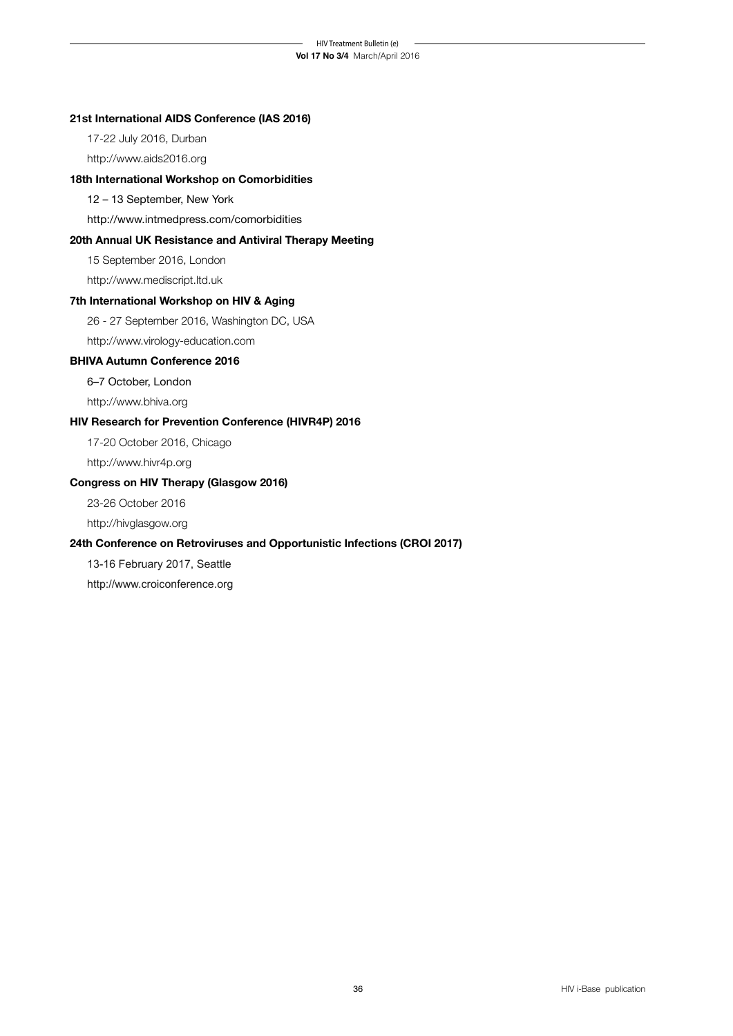## **21st International AIDS Conference (IAS 2016)**

17-22 July 2016, Durban

http://www.aids2016.org

## **18th International Workshop on Comorbidities**

12 – 13 September, New York

 http://www.intmedpress.com/comorbidities

## **20th Annual UK Resistance and Antiviral Therapy Meeting**

15 September 2016, London

http://www.mediscript.ltd.uk

## **7th International Workshop on HIV & Aging**

26 - 27 September 2016, Washington DC, USA

http://www.virology-education.com

## **BHIVA Autumn Conference 2016**

 6–7 October, London

http://www.bhiva.org

## **HIV Research for Prevention Conference (HIVR4P) 2016**

17-20 October 2016, Chicago

http://www.hivr4p.org

## **Congress on HIV Therapy (Glasgow 2016)**

23-26 October 2016

http://hivglasgow.org

## **24th Conference on Retroviruses and Opportunistic Infections (CROI 2017)**

13-16 February 2017, Seattle

http://www.croiconference.org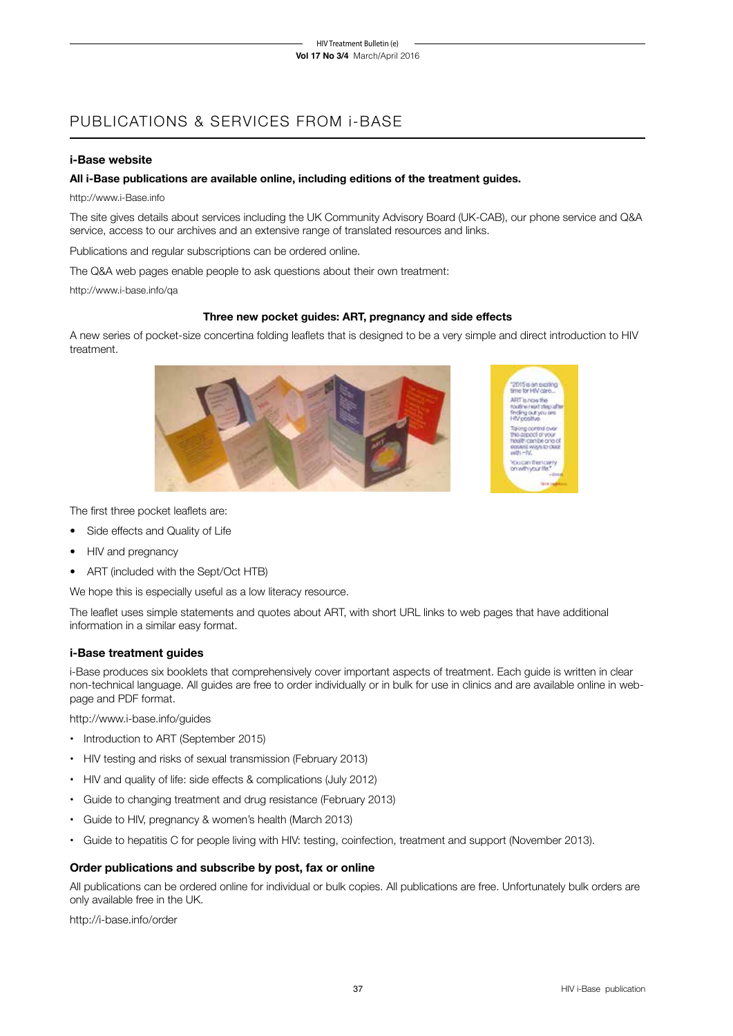## PUBLICATIONS & SERVICES FROM i-BASE

## **i-Base website**

## **All i-Base publications are available online, including editions of the treatment guides.**

http://www.i-Base.info

The site gives details about services including the UK Community Advisory Board (UK-CAB), our phone service and Q&A service, access to our archives and an extensive range of translated resources and links.

Publications and regular subscriptions can be ordered online.

The Q&A web pages enable people to ask questions about their own treatment:

http://www.i-base.info/qa

## **Three new pocket guides: ART, pregnancy and side effects**

A new series of pocket-size concertina folding leaflets that is designed to be a very simple and direct introduction to HIV treatment.



The first three pocket leaflets are:

- Side effects and Quality of Life
- HIV and pregnancy
- ART (included with the Sept/Oct HTB)

We hope this is especially useful as a low literacy resource.

The leaflet uses simple statements and quotes about ART, with short URL links to web pages that have additional information in a similar easy format.

## **i-Base treatment guides**

i-Base produces six booklets that comprehensively cover important aspects of treatment. Each guide is written in clear non-technical language. All guides are free to order individually or in bulk for use in clinics and are available online in webpage and PDF format.

http://www.i-base.info/guides

- Introduction to ART (September 2015)
- HIV testing and risks of sexual transmission (February 2013)
- HIV and quality of life: side effects & complications (July 2012)
- Guide to changing treatment and drug resistance (February 2013)
- • Guide to HIV, pregnancy & women's health (March 2013)
- Guide to hepatitis C for people living with HIV: testing, coinfection, treatment and support (November 2013).

## **Order publications and subscribe by post, fax or online**

All publications can be ordered online for individual or bulk copies. All publications are free. Unfortunately bulk orders are only available free in the UK.

http://i-base.info/order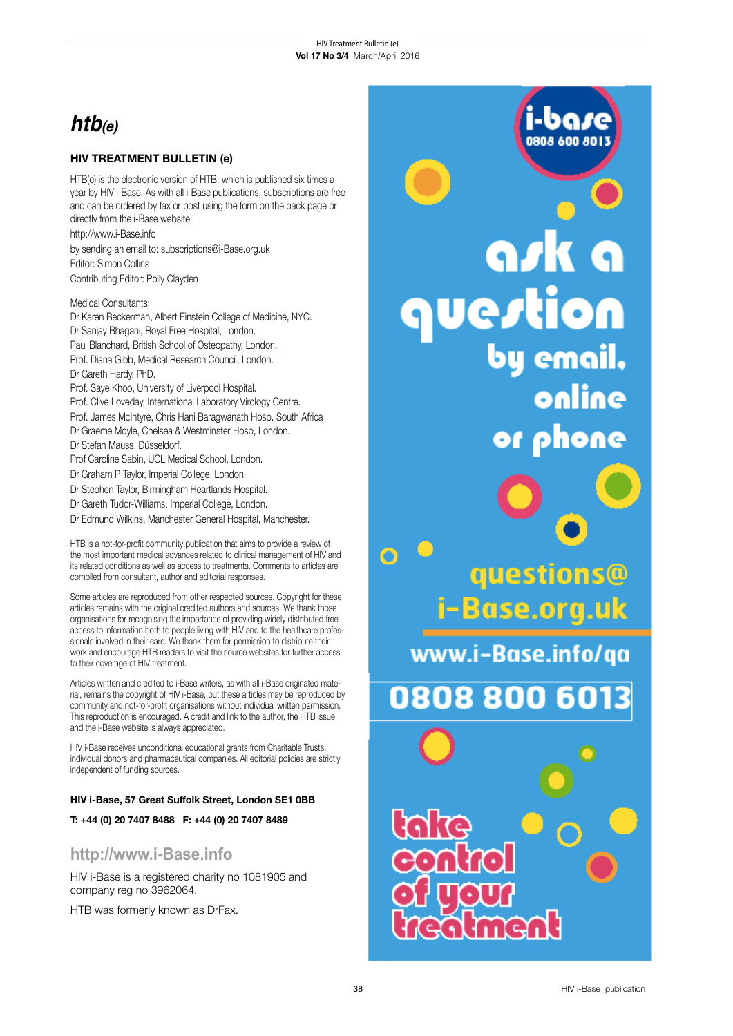# **htb(e)**

## **HIV TREATMENT BULLETIN (e)**

HTB(e) is the electronic version of HTB, which is published six times a year by HIV i-Base. As with all i-Base publications, subscriptions are free and can be ordered by fax or post using the form on the back page or directly from the i-Base website: http://www.i-Base.info by sending an email to: subscriptions@i-Base.org.uk Editor: Simon Collins

Contributing Editor: Polly Clayden

## Medical Consultants:

Dr Karen Beckerman, Albert Einstein College of Medicine, NYC. Dr Sanjay Bhagani, Royal Free Hospital, London. Paul Blanchard, British School of Osteopathy, London. Prof. Diana Gibb, Medical Research Council, London. Dr Gareth Hardy, PhD. Prof. Saye Khoo, University of Liverpool Hospital. Prof. Clive Loveday, International Laboratory Virology Centre. Prof. James McIntyre, Chris Hani Baragwanath Hosp. South Africa Dr Graeme Moyle, Chelsea & Westminster Hosp, London. Dr Stefan Mauss, Düsseldorf. Prof Caroline Sabin, UCL Medical School, London. Dr Graham P Taylor, Imperial College, London.

- Dr Stephen Taylor, Birmingham Heartlands Hospital.
- Dr Gareth Tudor-Williams, Imperial College, London.
- Dr Edmund Wilkins, Manchester General Hospital, Manchester.

HTB is a not-for-profit community publication that aims to provide a review of the most important medical advances related to clinical management of HIV and its related conditions as well as access to treatments. Comments to articles are compiled from consultant, author and editorial responses.

Some articles are reproduced from other respected sources. Copyright for these articles remains with the original credited authors and sources. We thank those organisations for recognising the importance of providing widely distributed free access to information both to people living with HIV and to the healthcare professionals involved in their care. We thank them for permission to distribute their work and encourage HTB readers to visit the source websites for further access to their coverage of HIV treatment.

Articles written and credited to i-Base writers, as with all i-Base originated material, remains the copyright of HIV i-Base, but these articles may be reproduced by community and not-for-profit organisations without individual written permission. This reproduction is encouraged. A credit and link to the author, the HTB issue and the i-Base website is always appreciated.

HIV i-Base receives unconditional educational grants from Charitable Trusts, individual donors and pharmaceutical companies. All editorial policies are strictly independent of funding sources.

## **HIV i-Base, 57 Great Suffolk Street, London SE1 0BB**

**T: +44 (0) 20 7407 8488 F: +44 (0) 20 7407 8489**

## **http://www.i-Base.info**

HIV i-Base is a registered charity no 1081905 and company reg no 3962064.

HTB was formerly known as DrFax.

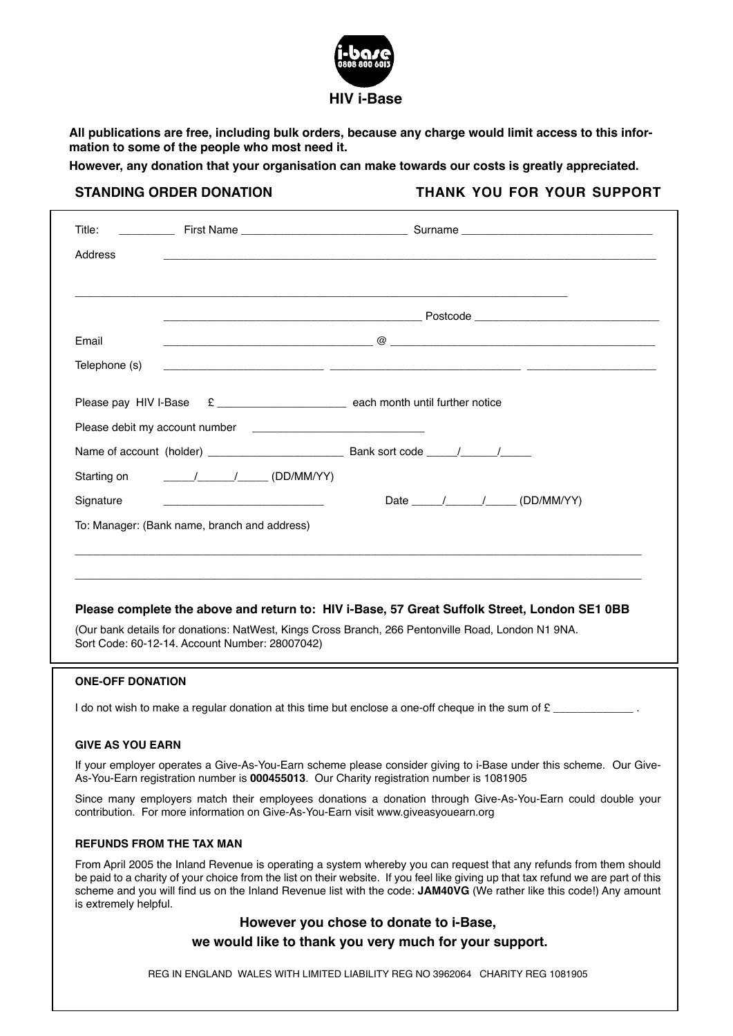

**All publications are free, including bulk orders, because any charge would limit access to this information to some of the people who most need it.** 

**However, any donation that your organisation can make towards our costs is greatly appreciated.**

STANDING ORDER DONATION **THANK YOU FOR YOUR SUPPORT** 

| Title:<br>Address               |                                                                                                                                                                                                                                                                                                                                                                                                                                 |                                                                                                                                                                                                                                                                                                                                                                                  |  |  |
|---------------------------------|---------------------------------------------------------------------------------------------------------------------------------------------------------------------------------------------------------------------------------------------------------------------------------------------------------------------------------------------------------------------------------------------------------------------------------|----------------------------------------------------------------------------------------------------------------------------------------------------------------------------------------------------------------------------------------------------------------------------------------------------------------------------------------------------------------------------------|--|--|
|                                 |                                                                                                                                                                                                                                                                                                                                                                                                                                 |                                                                                                                                                                                                                                                                                                                                                                                  |  |  |
| Email                           |                                                                                                                                                                                                                                                                                                                                                                                                                                 | $\qquad \qquad \qquad @$ $\qquad \qquad \qquad \qquad \qquad \qquad$                                                                                                                                                                                                                                                                                                             |  |  |
| Telephone (s)                   |                                                                                                                                                                                                                                                                                                                                                                                                                                 |                                                                                                                                                                                                                                                                                                                                                                                  |  |  |
|                                 |                                                                                                                                                                                                                                                                                                                                                                                                                                 |                                                                                                                                                                                                                                                                                                                                                                                  |  |  |
| Please pay HIV I-Base           |                                                                                                                                                                                                                                                                                                                                                                                                                                 |                                                                                                                                                                                                                                                                                                                                                                                  |  |  |
|                                 |                                                                                                                                                                                                                                                                                                                                                                                                                                 |                                                                                                                                                                                                                                                                                                                                                                                  |  |  |
|                                 |                                                                                                                                                                                                                                                                                                                                                                                                                                 |                                                                                                                                                                                                                                                                                                                                                                                  |  |  |
| Starting on                     | $\frac{1}{\sqrt{1-\frac{1}{2}}}\frac{1}{\sqrt{1-\frac{1}{2}}}\frac{1}{\sqrt{1-\frac{1}{2}}}\frac{1}{\sqrt{1-\frac{1}{2}}}\frac{1}{\sqrt{1-\frac{1}{2}}}\frac{1}{\sqrt{1-\frac{1}{2}}}\frac{1}{\sqrt{1-\frac{1}{2}}}\frac{1}{\sqrt{1-\frac{1}{2}}}\frac{1}{\sqrt{1-\frac{1}{2}}}\frac{1}{\sqrt{1-\frac{1}{2}}}\frac{1}{\sqrt{1-\frac{1}{2}}}\frac{1}{\sqrt{1-\frac{1}{2}}}\frac{1}{\sqrt{1-\frac{1}{2}}}\frac{1}{\sqrt{1-\frac{$ |                                                                                                                                                                                                                                                                                                                                                                                  |  |  |
| Signature                       |                                                                                                                                                                                                                                                                                                                                                                                                                                 | Date / / / / / (DD/MM/YY)                                                                                                                                                                                                                                                                                                                                                        |  |  |
|                                 | To: Manager: (Bank name, branch and address)                                                                                                                                                                                                                                                                                                                                                                                    |                                                                                                                                                                                                                                                                                                                                                                                  |  |  |
|                                 | Sort Code: 60-12-14. Account Number: 28007042)                                                                                                                                                                                                                                                                                                                                                                                  | Please complete the above and return to: HIV i-Base, 57 Great Suffolk Street, London SE1 0BB<br>(Our bank details for donations: NatWest, Kings Cross Branch, 266 Pentonville Road, London N1 9NA.                                                                                                                                                                               |  |  |
| <b>ONE-OFF DONATION</b>         |                                                                                                                                                                                                                                                                                                                                                                                                                                 |                                                                                                                                                                                                                                                                                                                                                                                  |  |  |
|                                 |                                                                                                                                                                                                                                                                                                                                                                                                                                 | I do not wish to make a regular donation at this time but enclose a one-off cheque in the sum of £                                                                                                                                                                                                                                                                               |  |  |
| <b>GIVE AS YOU EARN</b>         |                                                                                                                                                                                                                                                                                                                                                                                                                                 |                                                                                                                                                                                                                                                                                                                                                                                  |  |  |
|                                 | If your employer operates a Give-As-You-Earn scheme please consider giving to i-Base under this scheme. Our Give-<br>As-You-Earn registration number is 000455013. Our Charity registration number is 1081905                                                                                                                                                                                                                   |                                                                                                                                                                                                                                                                                                                                                                                  |  |  |
|                                 | Since many employers match their employees donations a donation through Give-As-You-Earn could double your<br>contribution. For more information on Give-As-You-Earn visit www.giveasyouearn.org                                                                                                                                                                                                                                |                                                                                                                                                                                                                                                                                                                                                                                  |  |  |
| <b>REFUNDS FROM THE TAX MAN</b> |                                                                                                                                                                                                                                                                                                                                                                                                                                 |                                                                                                                                                                                                                                                                                                                                                                                  |  |  |
| is extremely helpful.           |                                                                                                                                                                                                                                                                                                                                                                                                                                 | From April 2005 the Inland Revenue is operating a system whereby you can request that any refunds from them should<br>be paid to a charity of your choice from the list on their website. If you feel like giving up that tax refund we are part of this<br>scheme and you will find us on the Inland Revenue list with the code: JAM40VG (We rather like this code!) Any amount |  |  |
|                                 |                                                                                                                                                                                                                                                                                                                                                                                                                                 | However you chose to donate to i-Base,                                                                                                                                                                                                                                                                                                                                           |  |  |
|                                 |                                                                                                                                                                                                                                                                                                                                                                                                                                 | we would like to thank you very much for your support.                                                                                                                                                                                                                                                                                                                           |  |  |

REG IN ENGLAND WALES WITH LIMITED LIABILITY REG NO 3962064 CHARITY REG 1081905